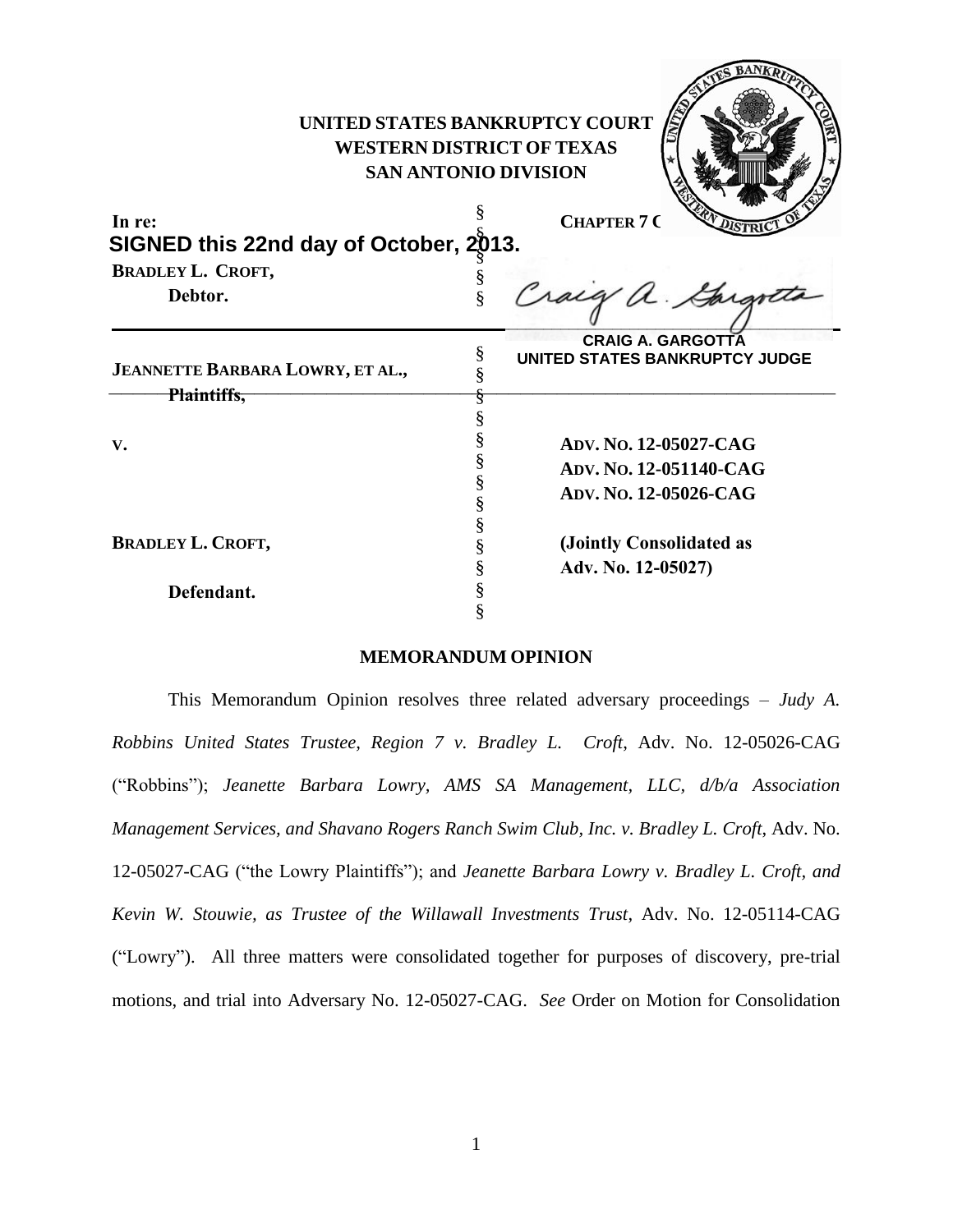| UNITED STATES BANKRUPTCY COURT<br><b>WESTERN DISTRICT OF TEXAS</b><br><b>SAN ANTONIO DIVISION</b><br><b>CHAPTER 7 C</b><br>In re:<br>SIGNED this 22nd day of October, 2013. |                                                                                                   |
|-----------------------------------------------------------------------------------------------------------------------------------------------------------------------------|---------------------------------------------------------------------------------------------------|
| <b>BRADLEY L. CROFT,</b><br>Debtor.                                                                                                                                         | Craig a Gargotta                                                                                  |
| JEANNETTE BARBARA LOWRY, ET AL.,<br>Plaintiffs,                                                                                                                             | <b>CRAIG A. GARGOTTA</b><br>§<br>UNITED STATES BANKRUPTCY JUDGE                                   |
| V.                                                                                                                                                                          | §<br>§<br>ADV. No. 12-05027-CAG<br>§<br>ADV. No. 12-051140-CAG<br>§<br>ADV. NO. 12-05026-CAG<br>§ |
| <b>BRADLEY L. CROFT,</b><br>Defendant.                                                                                                                                      | §<br>(Jointly Consolidated as<br>§<br>§<br>Adv. No. 12-05027)<br>§                                |
|                                                                                                                                                                             |                                                                                                   |

## **MEMORANDUM OPINION**

This Memorandum Opinion resolves three related adversary proceedings – *Judy A. Robbins United States Trustee, Region 7 v. Bradley L. Croft*, Adv. No. 12-05026-CAG ("Robbins"); *Jeanette Barbara Lowry, AMS SA Management, LLC, d/b/a Association Management Services, and Shavano Rogers Ranch Swim Club, Inc. v. Bradley L. Croft, Adv. No.* 12-05027-CAG ("the Lowry Plaintiffs"); and *Jeanette Barbara Lowry v. Bradley L. Croft, and Kevin W. Stouwie, as Trustee of the Willawall Investments Trust*, Adv. No. 12-05114-CAG ("Lowry"). All three matters were consolidated together for purposes of discovery, pre-trial motions, and trial into Adversary No. 12-05027-CAG. *See* Order on Motion for Consolidation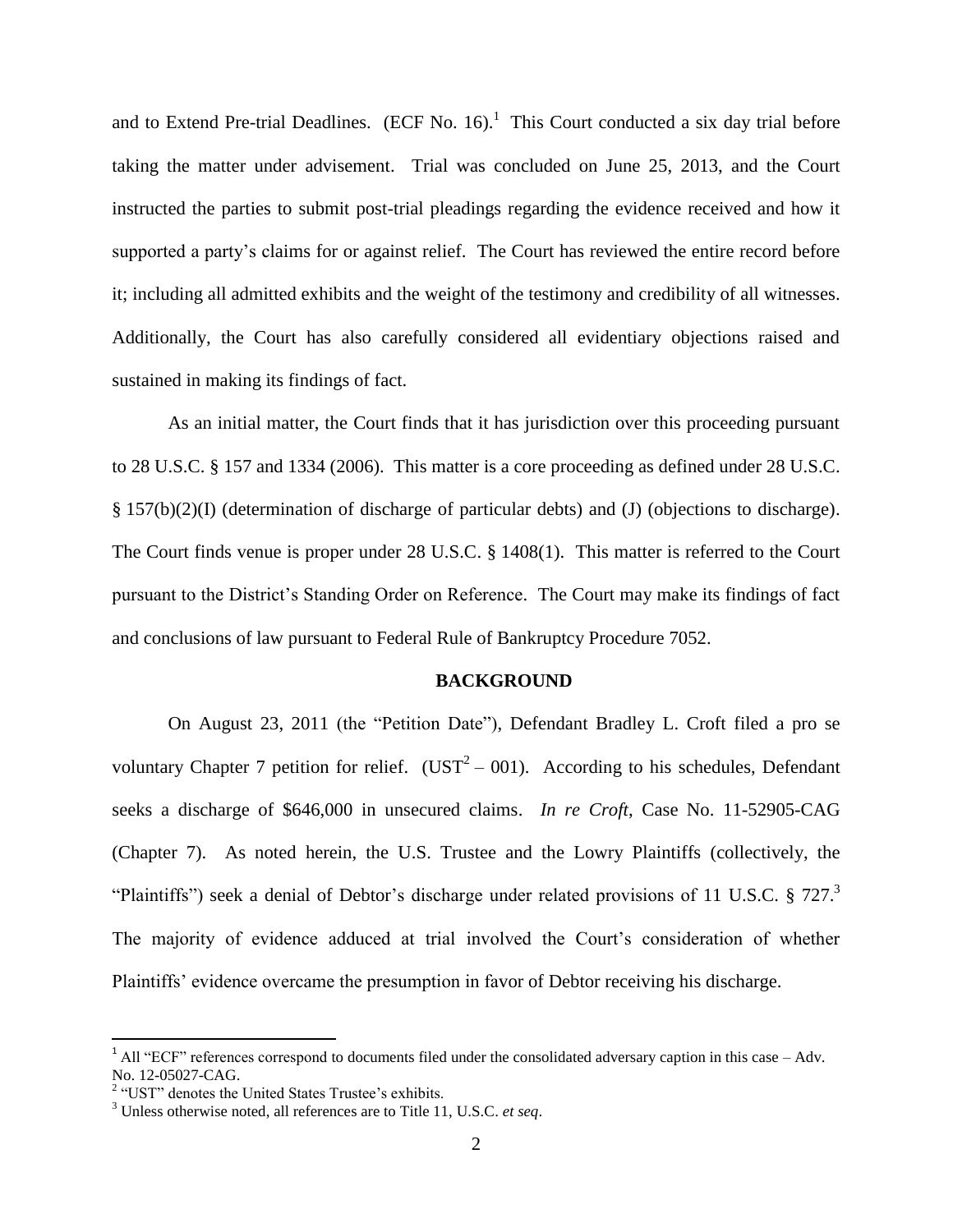and to Extend Pre-trial Deadlines. (ECF No. 16).<sup>1</sup> This Court conducted a six day trial before taking the matter under advisement. Trial was concluded on June 25, 2013, and the Court instructed the parties to submit post-trial pleadings regarding the evidence received and how it supported a party's claims for or against relief. The Court has reviewed the entire record before it; including all admitted exhibits and the weight of the testimony and credibility of all witnesses. Additionally, the Court has also carefully considered all evidentiary objections raised and sustained in making its findings of fact.

As an initial matter, the Court finds that it has jurisdiction over this proceeding pursuant to 28 U.S.C. § 157 and 1334 (2006). This matter is a core proceeding as defined under 28 U.S.C. § 157(b)(2)(I) (determination of discharge of particular debts) and (J) (objections to discharge). The Court finds venue is proper under 28 U.S.C. § 1408(1). This matter is referred to the Court pursuant to the District's Standing Order on Reference. The Court may make its findings of fact and conclusions of law pursuant to Federal Rule of Bankruptcy Procedure 7052.

### **BACKGROUND**

On August 23, 2011 (the "Petition Date"), Defendant Bradley L. Croft filed a pro se voluntary Chapter 7 petition for relief. ( $\text{UST}^2 - 001$ ). According to his schedules, Defendant seeks a discharge of \$646,000 in unsecured claims. *In re Croft*, Case No. 11-52905-CAG (Chapter 7). As noted herein, the U.S. Trustee and the Lowry Plaintiffs (collectively, the "Plaintiffs") seek a denial of Debtor's discharge under related provisions of 11 U.S.C.  $\S 727$ . The majority of evidence adduced at trial involved the Court's consideration of whether Plaintiffs' evidence overcame the presumption in favor of Debtor receiving his discharge.

 $\overline{\phantom{a}}$ 

 $1$  All "ECF" references correspond to documents filed under the consolidated adversary caption in this case – Adv. No. 12-05027-CAG.

<sup>&</sup>lt;sup>2</sup> "UST" denotes the United States Trustee's exhibits.

<sup>3</sup> Unless otherwise noted, all references are to Title 11, U.S.C. *et seq*.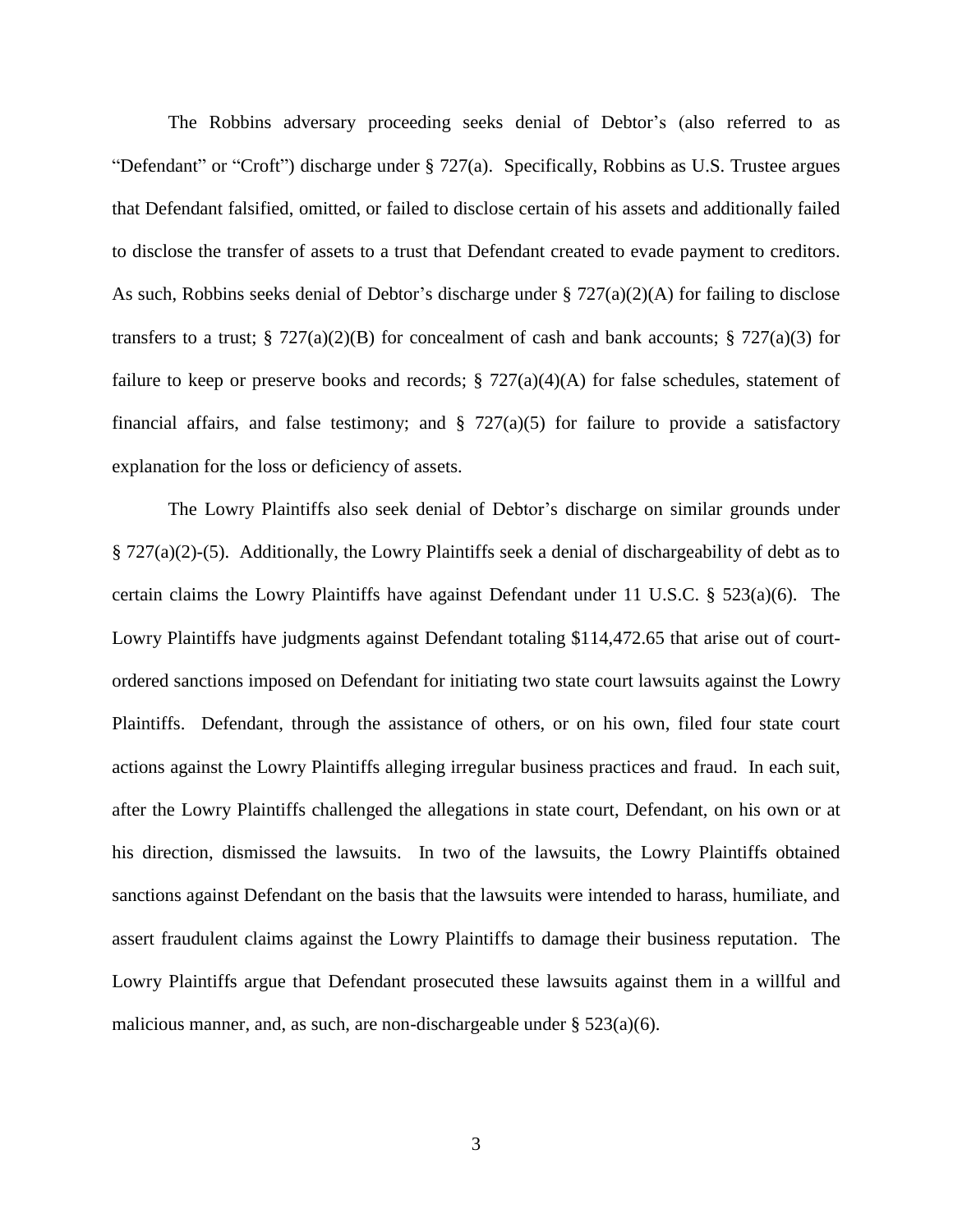The Robbins adversary proceeding seeks denial of Debtor's (also referred to as "Defendant" or "Croft") discharge under § 727(a). Specifically, Robbins as U.S. Trustee argues that Defendant falsified, omitted, or failed to disclose certain of his assets and additionally failed to disclose the transfer of assets to a trust that Defendant created to evade payment to creditors. As such, Robbins seeks denial of Debtor's discharge under  $\S 727(a)(2)(A)$  for failing to disclose transfers to a trust; § 727(a)(2)(B) for concealment of cash and bank accounts; § 727(a)(3) for failure to keep or preserve books and records;  $\S 727(a)(4)(A)$  for false schedules, statement of financial affairs, and false testimony; and  $\S$  727(a)(5) for failure to provide a satisfactory explanation for the loss or deficiency of assets.

The Lowry Plaintiffs also seek denial of Debtor's discharge on similar grounds under § 727(a)(2)-(5). Additionally, the Lowry Plaintiffs seek a denial of dischargeability of debt as to certain claims the Lowry Plaintiffs have against Defendant under 11 U.S.C. § 523(a)(6). The Lowry Plaintiffs have judgments against Defendant totaling \$114,472.65 that arise out of courtordered sanctions imposed on Defendant for initiating two state court lawsuits against the Lowry Plaintiffs. Defendant, through the assistance of others, or on his own, filed four state court actions against the Lowry Plaintiffs alleging irregular business practices and fraud. In each suit, after the Lowry Plaintiffs challenged the allegations in state court, Defendant, on his own or at his direction, dismissed the lawsuits. In two of the lawsuits, the Lowry Plaintiffs obtained sanctions against Defendant on the basis that the lawsuits were intended to harass, humiliate, and assert fraudulent claims against the Lowry Plaintiffs to damage their business reputation. The Lowry Plaintiffs argue that Defendant prosecuted these lawsuits against them in a willful and malicious manner, and, as such, are non-dischargeable under  $\S 523(a)(6)$ .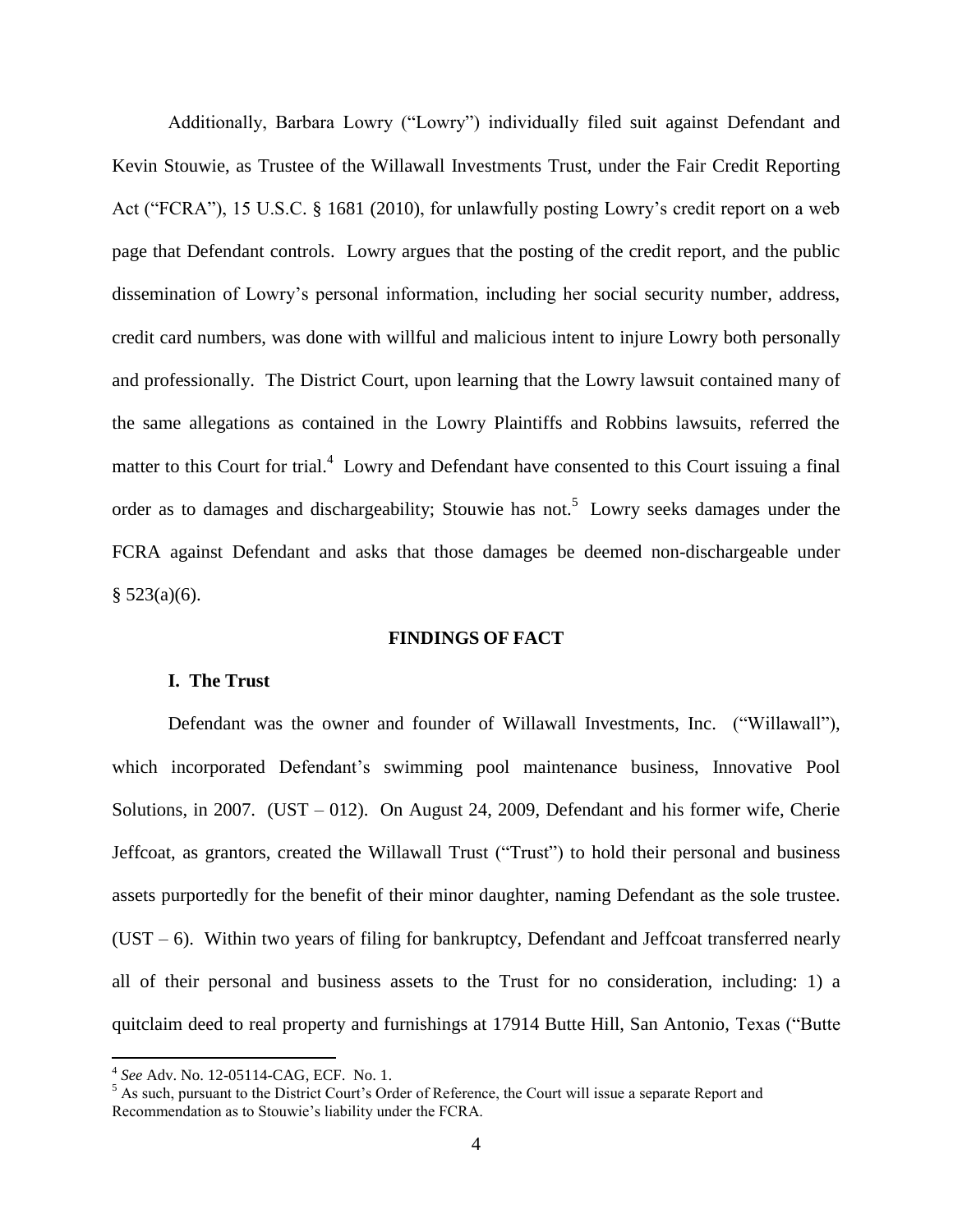Additionally, Barbara Lowry ("Lowry") individually filed suit against Defendant and Kevin Stouwie, as Trustee of the Willawall Investments Trust, under the Fair Credit Reporting Act ("FCRA"), 15 U.S.C. § 1681 (2010), for unlawfully posting Lowry's credit report on a web page that Defendant controls. Lowry argues that the posting of the credit report, and the public dissemination of Lowry's personal information, including her social security number, address, credit card numbers, was done with willful and malicious intent to injure Lowry both personally and professionally. The District Court, upon learning that the Lowry lawsuit contained many of the same allegations as contained in the Lowry Plaintiffs and Robbins lawsuits, referred the matter to this Court for trial.<sup>4</sup> Lowry and Defendant have consented to this Court issuing a final order as to damages and dischargeability; Stouwie has not.<sup>5</sup> Lowry seeks damages under the FCRA against Defendant and asks that those damages be deemed non-dischargeable under  $§ 523(a)(6).$ 

## **FINDINGS OF FACT**

### **I. The Trust**

Defendant was the owner and founder of Willawall Investments, Inc. ("Willawall"), which incorporated Defendant's swimming pool maintenance business, Innovative Pool Solutions, in 2007. (UST – 012). On August 24, 2009, Defendant and his former wife, Cherie Jeffcoat, as grantors, created the Willawall Trust ("Trust") to hold their personal and business assets purportedly for the benefit of their minor daughter, naming Defendant as the sole trustee.  $(UST - 6)$ . Within two years of filing for bankruptcy, Defendant and Jeffcoat transferred nearly all of their personal and business assets to the Trust for no consideration, including: 1) a quitclaim deed to real property and furnishings at 17914 Butte Hill, San Antonio, Texas ("Butte

 4 *See* Adv. No. 12-05114-CAG, ECF. No. 1.

 $<sup>5</sup>$  As such, pursuant to the District Court's Order of Reference, the Court will issue a separate Report and</sup> Recommendation as to Stouwie's liability under the FCRA.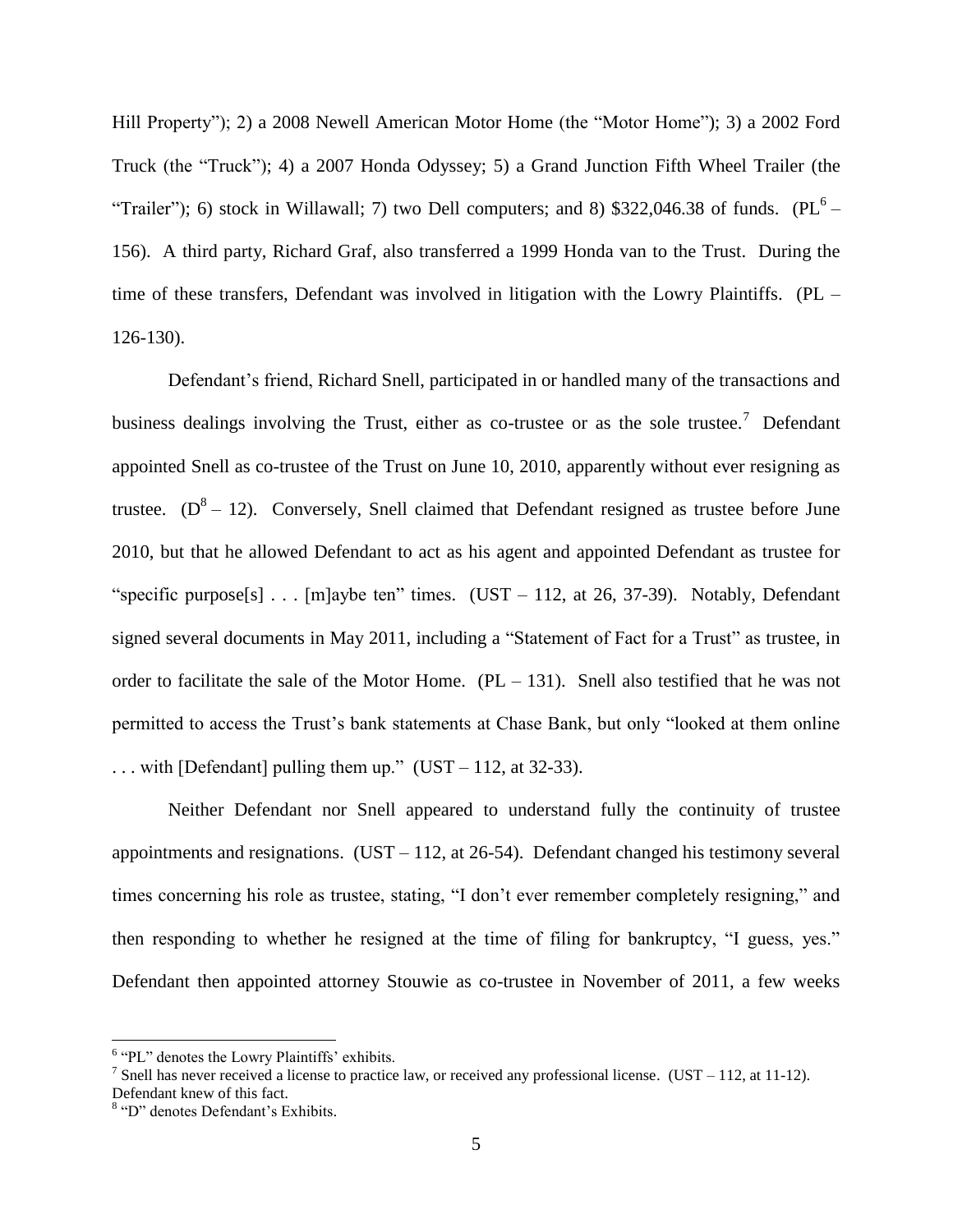Hill Property"); 2) a 2008 Newell American Motor Home (the "Motor Home"); 3) a 2002 Ford Truck (the "Truck"); 4) a 2007 Honda Odyssey; 5) a Grand Junction Fifth Wheel Trailer (the "Trailer"); 6) stock in Willawall; 7) two Dell computers; and 8) \$322,046.38 of funds. (PL<sup>6</sup> – 156). A third party, Richard Graf, also transferred a 1999 Honda van to the Trust. During the time of these transfers, Defendant was involved in litigation with the Lowry Plaintiffs. (PL – 126-130).

Defendant's friend, Richard Snell, participated in or handled many of the transactions and business dealings involving the Trust, either as co-trustee or as the sole trustee.<sup>7</sup> Defendant appointed Snell as co-trustee of the Trust on June 10, 2010, apparently without ever resigning as trustee.  $(D^8 - 12)$ . Conversely, Snell claimed that Defendant resigned as trustee before June 2010, but that he allowed Defendant to act as his agent and appointed Defendant as trustee for "specific purpose<sup>[s]</sup> . . . [m]aybe ten" times. (UST – 112, at 26, 37-39). Notably, Defendant signed several documents in May 2011, including a "Statement of Fact for a Trust" as trustee, in order to facilitate the sale of the Motor Home.  $(PL - 131)$ . Snell also testified that he was not permitted to access the Trust's bank statements at Chase Bank, but only "looked at them online ... with [Defendant] pulling them up." (UST – 112, at 32-33).

Neither Defendant nor Snell appeared to understand fully the continuity of trustee appointments and resignations. (UST – 112, at 26-54). Defendant changed his testimony several times concerning his role as trustee, stating, "I don't ever remember completely resigning," and then responding to whether he resigned at the time of filing for bankruptcy, "I guess, yes." Defendant then appointed attorney Stouwie as co-trustee in November of 2011, a few weeks

 $\overline{\phantom{a}}$ 

<sup>&</sup>lt;sup>6</sup> "PL" denotes the Lowry Plaintiffs' exhibits.

<sup>&</sup>lt;sup>7</sup> Snell has never received a license to practice law, or received any professional license. (UST – 112, at 11-12). Defendant knew of this fact.

<sup>&</sup>lt;sup>8</sup> "D" denotes Defendant's Exhibits.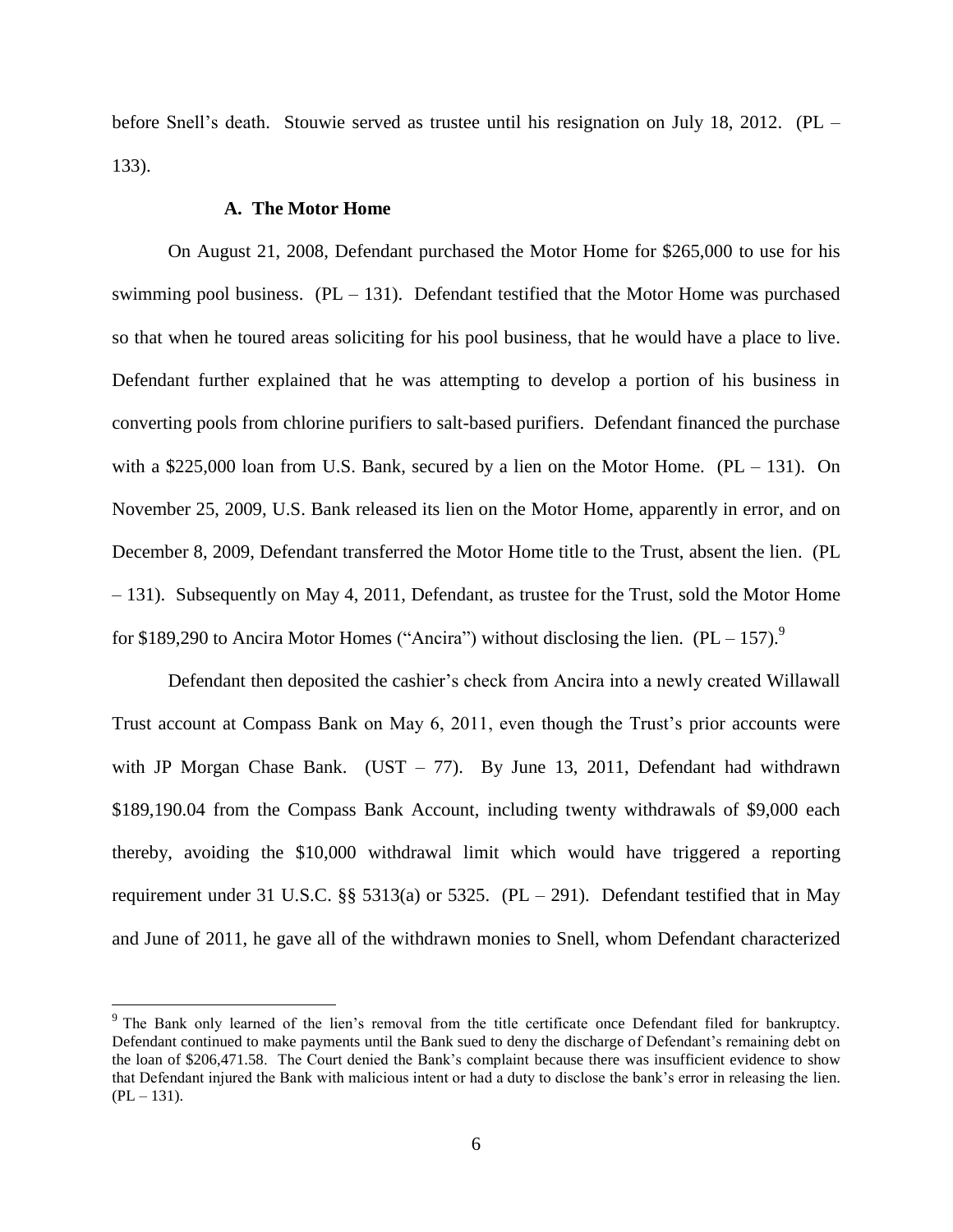before Snell's death. Stouwie served as trustee until his resignation on July 18, 2012. (PL – 133).

### **A. The Motor Home**

l

On August 21, 2008, Defendant purchased the Motor Home for \$265,000 to use for his swimming pool business.  $(PL - 131)$ . Defendant testified that the Motor Home was purchased so that when he toured areas soliciting for his pool business, that he would have a place to live. Defendant further explained that he was attempting to develop a portion of his business in converting pools from chlorine purifiers to salt-based purifiers. Defendant financed the purchase with a \$225,000 loan from U.S. Bank, secured by a lien on the Motor Home.  $(PL - 131)$ . On November 25, 2009, U.S. Bank released its lien on the Motor Home, apparently in error, and on December 8, 2009, Defendant transferred the Motor Home title to the Trust, absent the lien. (PL – 131). Subsequently on May 4, 2011, Defendant, as trustee for the Trust, sold the Motor Home for \$189,290 to Ancira Motor Homes ("Ancira") without disclosing the lien.  $(PL - 157)$ .

Defendant then deposited the cashier's check from Ancira into a newly created Willawall Trust account at Compass Bank on May 6, 2011, even though the Trust's prior accounts were with JP Morgan Chase Bank. (UST – 77). By June 13, 2011, Defendant had withdrawn \$189,190.04 from the Compass Bank Account, including twenty withdrawals of \$9,000 each thereby, avoiding the \$10,000 withdrawal limit which would have triggered a reporting requirement under 31 U.S.C. §§ 5313(a) or 5325. (PL – 291). Defendant testified that in May and June of 2011, he gave all of the withdrawn monies to Snell, whom Defendant characterized

<sup>&</sup>lt;sup>9</sup> The Bank only learned of the lien's removal from the title certificate once Defendant filed for bankruptcy. Defendant continued to make payments until the Bank sued to deny the discharge of Defendant's remaining debt on the loan of \$206,471.58. The Court denied the Bank's complaint because there was insufficient evidence to show that Defendant injured the Bank with malicious intent or had a duty to disclose the bank's error in releasing the lien.  $(PL - 131)$ .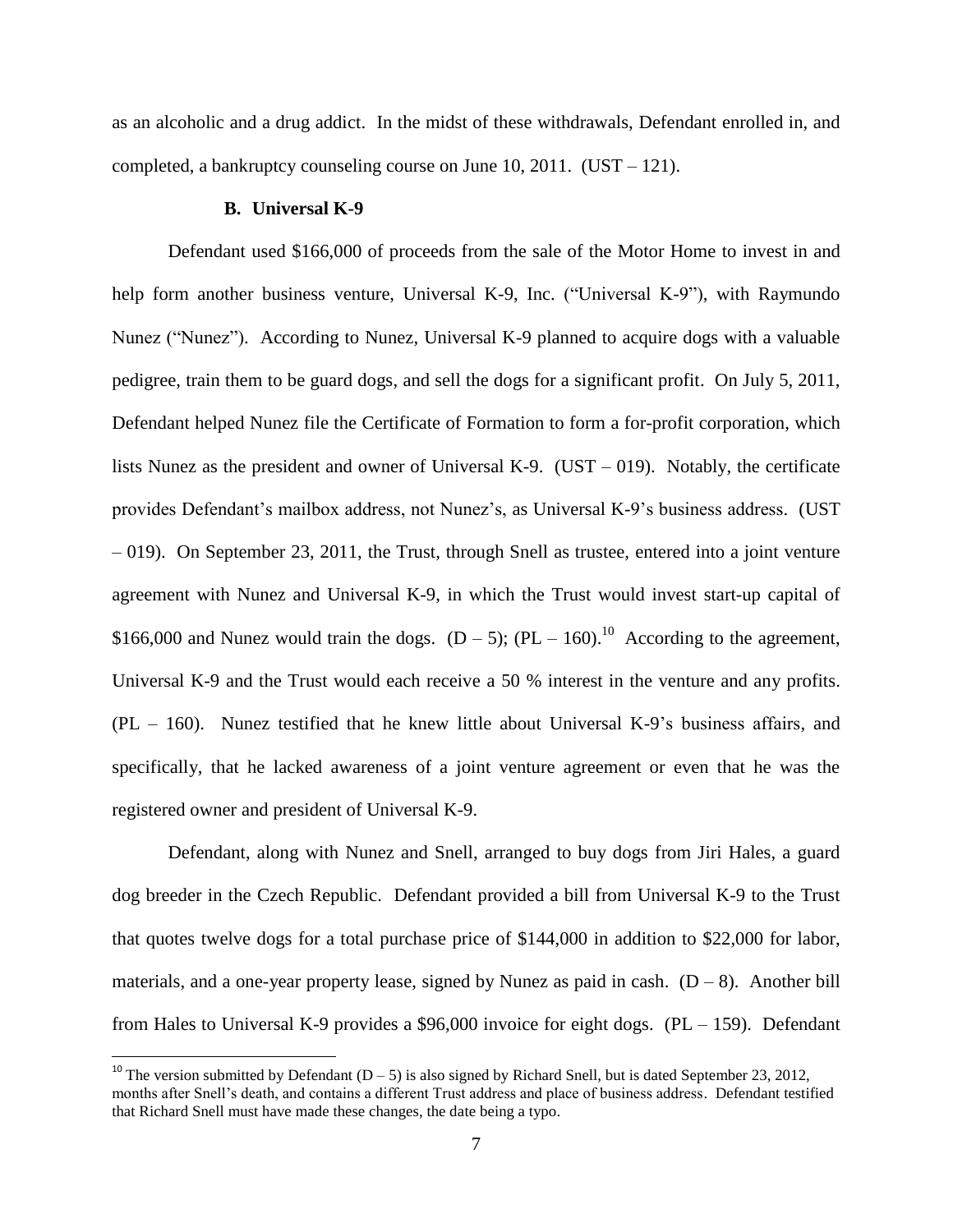as an alcoholic and a drug addict. In the midst of these withdrawals, Defendant enrolled in, and completed, a bankruptcy counseling course on June 10, 2011. (UST – 121).

#### **B. Universal K-9**

 $\overline{\phantom{a}}$ 

Defendant used \$166,000 of proceeds from the sale of the Motor Home to invest in and help form another business venture, Universal K-9, Inc. ("Universal K-9"), with Raymundo Nunez ("Nunez"). According to Nunez, Universal K-9 planned to acquire dogs with a valuable pedigree, train them to be guard dogs, and sell the dogs for a significant profit. On July 5, 2011, Defendant helped Nunez file the Certificate of Formation to form a for-profit corporation, which lists Nunez as the president and owner of Universal K-9. (UST – 019). Notably, the certificate provides Defendant's mailbox address, not Nunez's, as Universal K-9's business address. (UST – 019). On September 23, 2011, the Trust, through Snell as trustee, entered into a joint venture agreement with Nunez and Universal K-9, in which the Trust would invest start-up capital of \$166,000 and Nunez would train the dogs.  $(D - 5)$ ;  $(PL - 160)$ .<sup>10</sup> According to the agreement, Universal K-9 and the Trust would each receive a 50 % interest in the venture and any profits. (PL – 160). Nunez testified that he knew little about Universal K-9's business affairs, and specifically, that he lacked awareness of a joint venture agreement or even that he was the registered owner and president of Universal K-9.

Defendant, along with Nunez and Snell, arranged to buy dogs from Jiri Hales, a guard dog breeder in the Czech Republic. Defendant provided a bill from Universal K-9 to the Trust that quotes twelve dogs for a total purchase price of \$144,000 in addition to \$22,000 for labor, materials, and a one-year property lease, signed by Nunez as paid in cash.  $(D-8)$ . Another bill from Hales to Universal K-9 provides a \$96,000 invoice for eight dogs. (PL – 159). Defendant

<sup>&</sup>lt;sup>10</sup> The version submitted by Defendant (D – 5) is also signed by Richard Snell, but is dated September 23, 2012, months after Snell's death, and contains a different Trust address and place of business address. Defendant testified that Richard Snell must have made these changes, the date being a typo.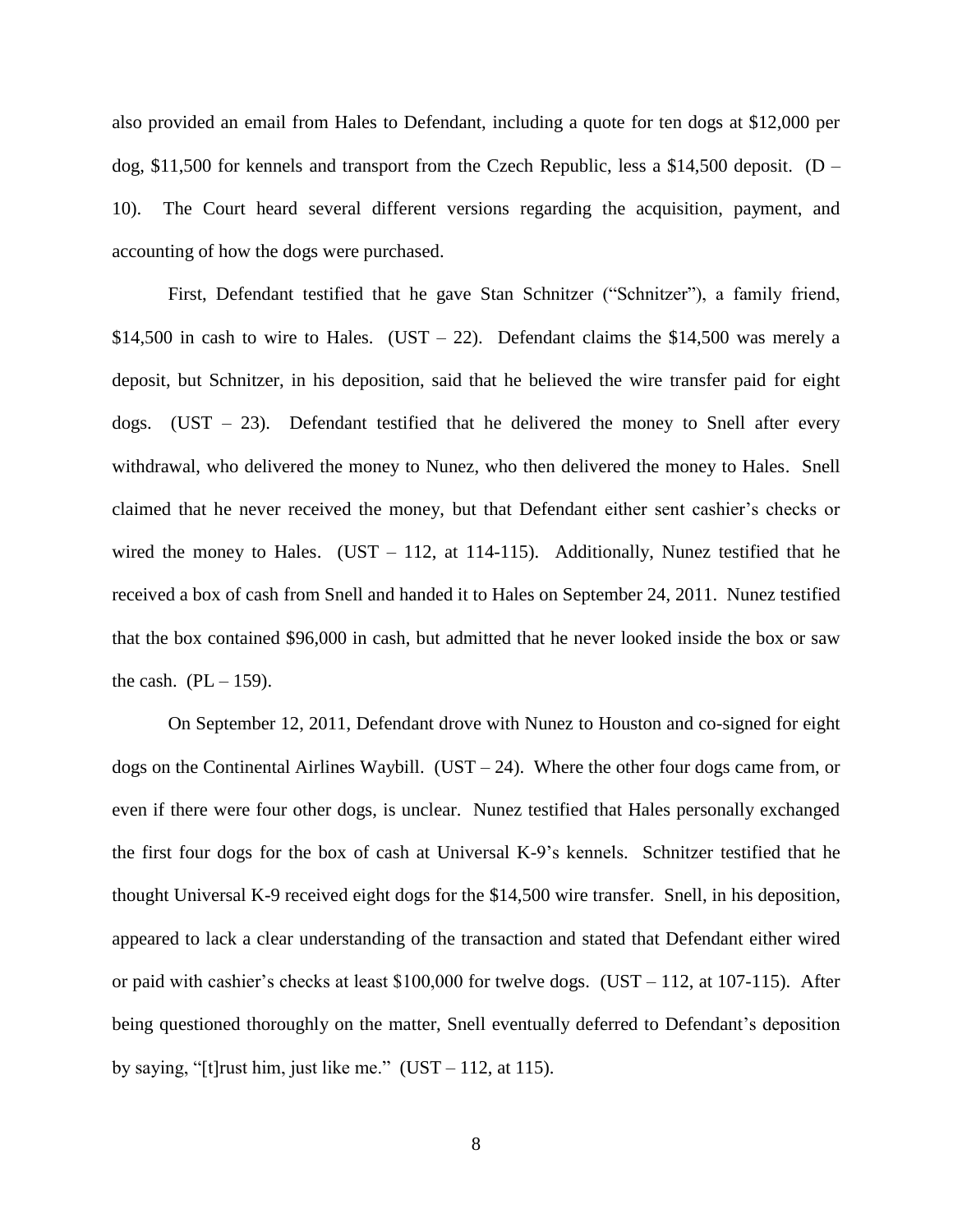also provided an email from Hales to Defendant, including a quote for ten dogs at \$12,000 per dog,  $$11,500$  for kennels and transport from the Czech Republic, less a  $$14,500$  deposit. (D – 10). The Court heard several different versions regarding the acquisition, payment, and accounting of how the dogs were purchased.

First, Defendant testified that he gave Stan Schnitzer ("Schnitzer"), a family friend, \$14,500 in cash to wire to Hales. (UST – 22). Defendant claims the \$14,500 was merely a deposit, but Schnitzer, in his deposition, said that he believed the wire transfer paid for eight dogs.  $(UST - 23)$ . Defendant testified that he delivered the money to Snell after every withdrawal, who delivered the money to Nunez, who then delivered the money to Hales. Snell claimed that he never received the money, but that Defendant either sent cashier's checks or wired the money to Hales. (UST  $-$  112, at 114-115). Additionally, Nunez testified that he received a box of cash from Snell and handed it to Hales on September 24, 2011. Nunez testified that the box contained \$96,000 in cash, but admitted that he never looked inside the box or saw the cash.  $(PL - 159)$ .

On September 12, 2011, Defendant drove with Nunez to Houston and co-signed for eight dogs on the Continental Airlines Waybill. (UST – 24). Where the other four dogs came from, or even if there were four other dogs, is unclear. Nunez testified that Hales personally exchanged the first four dogs for the box of cash at Universal K-9's kennels. Schnitzer testified that he thought Universal K-9 received eight dogs for the \$14,500 wire transfer. Snell, in his deposition, appeared to lack a clear understanding of the transaction and stated that Defendant either wired or paid with cashier's checks at least  $$100,000$  for twelve dogs. (UST – 112, at 107-115). After being questioned thoroughly on the matter, Snell eventually deferred to Defendant's deposition by saying, "[t] rust him, just like me."  $(UST - 112, at 115)$ .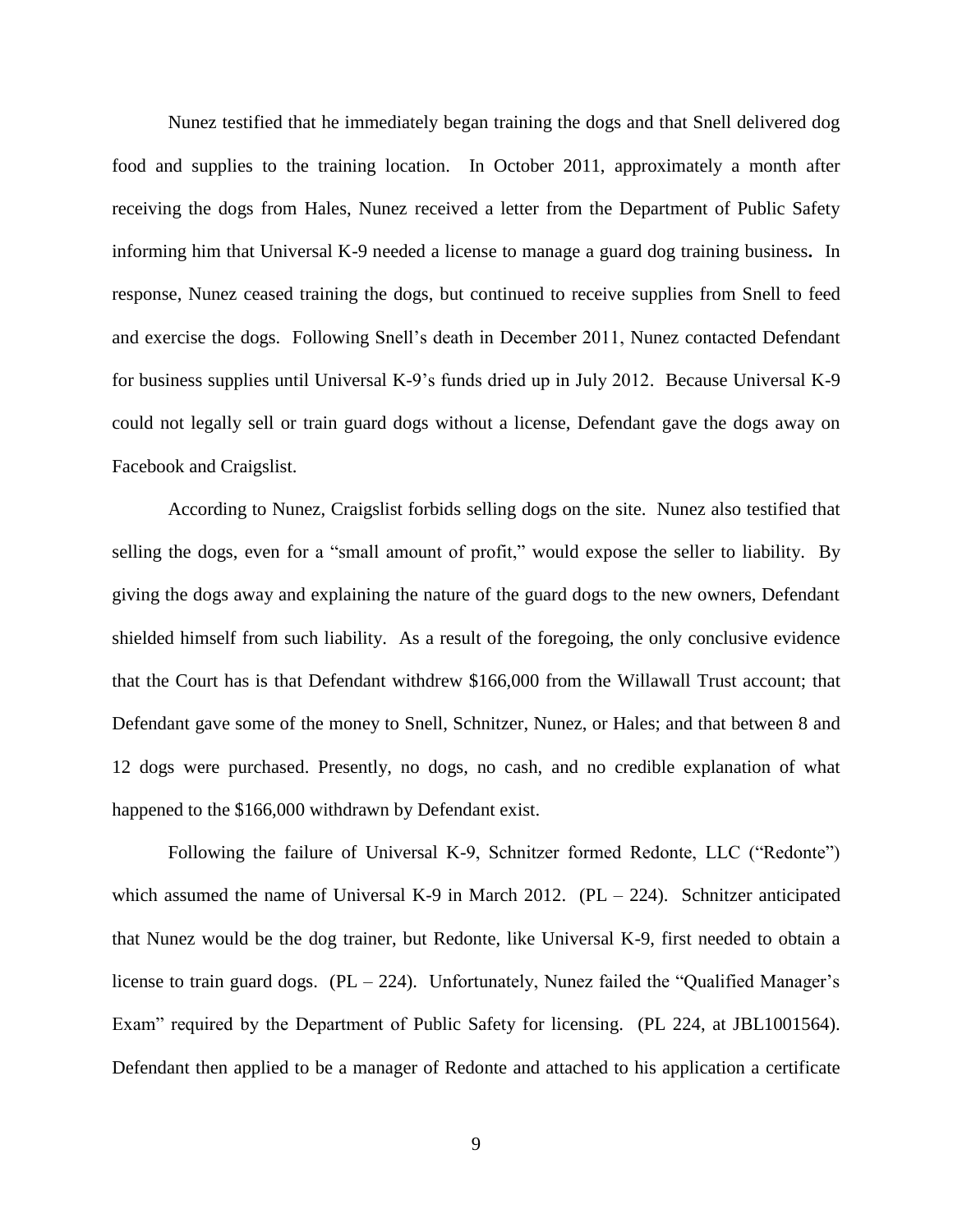Nunez testified that he immediately began training the dogs and that Snell delivered dog food and supplies to the training location. In October 2011, approximately a month after receiving the dogs from Hales, Nunez received a letter from the Department of Public Safety informing him that Universal K-9 needed a license to manage a guard dog training business**.** In response, Nunez ceased training the dogs, but continued to receive supplies from Snell to feed and exercise the dogs. Following Snell's death in December 2011, Nunez contacted Defendant for business supplies until Universal K-9's funds dried up in July 2012. Because Universal K-9 could not legally sell or train guard dogs without a license, Defendant gave the dogs away on Facebook and Craigslist.

According to Nunez, Craigslist forbids selling dogs on the site. Nunez also testified that selling the dogs, even for a "small amount of profit," would expose the seller to liability. By giving the dogs away and explaining the nature of the guard dogs to the new owners, Defendant shielded himself from such liability. As a result of the foregoing, the only conclusive evidence that the Court has is that Defendant withdrew \$166,000 from the Willawall Trust account; that Defendant gave some of the money to Snell, Schnitzer, Nunez, or Hales; and that between 8 and 12 dogs were purchased. Presently, no dogs, no cash, and no credible explanation of what happened to the \$166,000 withdrawn by Defendant exist.

Following the failure of Universal K-9, Schnitzer formed Redonte, LLC ("Redonte") which assumed the name of Universal K-9 in March 2012. (PL  $-$  224). Schnitzer anticipated that Nunez would be the dog trainer, but Redonte, like Universal K-9, first needed to obtain a license to train guard dogs.  $(PL - 224)$ . Unfortunately, Nunez failed the "Qualified Manager's Exam" required by the Department of Public Safety for licensing. (PL 224, at JBL1001564). Defendant then applied to be a manager of Redonte and attached to his application a certificate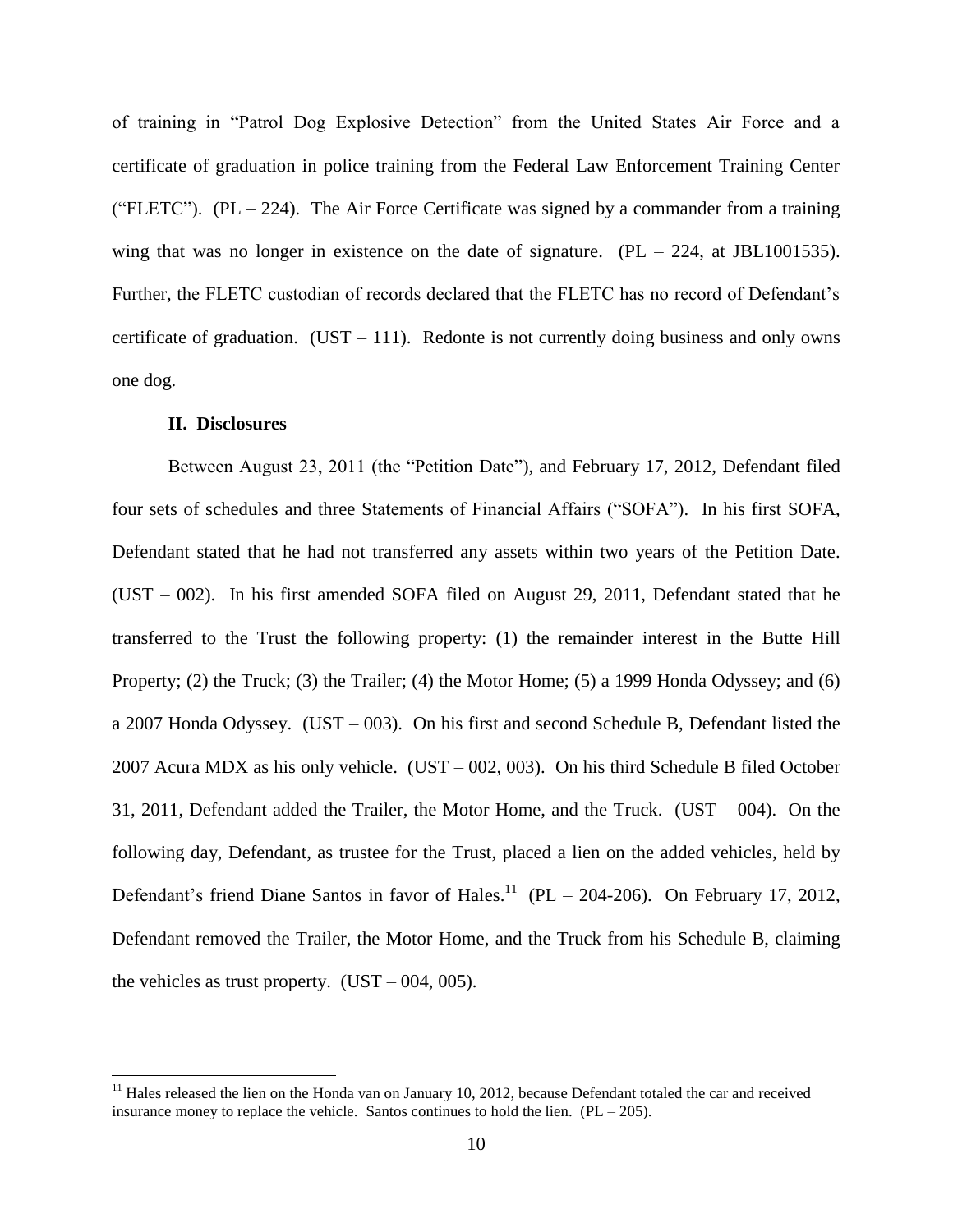of training in "Patrol Dog Explosive Detection" from the United States Air Force and a certificate of graduation in police training from the Federal Law Enforcement Training Center ("FLETC"). (PL – 224). The Air Force Certificate was signed by a commander from a training wing that was no longer in existence on the date of signature.  $(PL - 224, \text{ at } JBL1001535)$ . Further, the FLETC custodian of records declared that the FLETC has no record of Defendant's certificate of graduation. (UST – 111). Redonte is not currently doing business and only owns one dog.

## **II. Disclosures**

 $\overline{\phantom{a}}$ 

Between August 23, 2011 (the "Petition Date"), and February 17, 2012, Defendant filed four sets of schedules and three Statements of Financial Affairs ("SOFA"). In his first SOFA, Defendant stated that he had not transferred any assets within two years of the Petition Date. (UST – 002). In his first amended SOFA filed on August 29, 2011, Defendant stated that he transferred to the Trust the following property: (1) the remainder interest in the Butte Hill Property; (2) the Truck; (3) the Trailer; (4) the Motor Home; (5) a 1999 Honda Odyssey; and (6) a 2007 Honda Odyssey. (UST – 003). On his first and second Schedule B, Defendant listed the 2007 Acura MDX as his only vehicle. (UST – 002, 003). On his third Schedule B filed October 31, 2011, Defendant added the Trailer, the Motor Home, and the Truck. (UST – 004). On the following day, Defendant, as trustee for the Trust, placed a lien on the added vehicles, held by Defendant's friend Diane Santos in favor of Hales.<sup>11</sup> (PL – 204-206). On February 17, 2012, Defendant removed the Trailer, the Motor Home, and the Truck from his Schedule B, claiming the vehicles as trust property.  $(UST - 004, 005)$ .

 $11$  Hales released the lien on the Honda van on January 10, 2012, because Defendant totaled the car and received insurance money to replace the vehicle. Santos continues to hold the lien.  $(PL - 205)$ .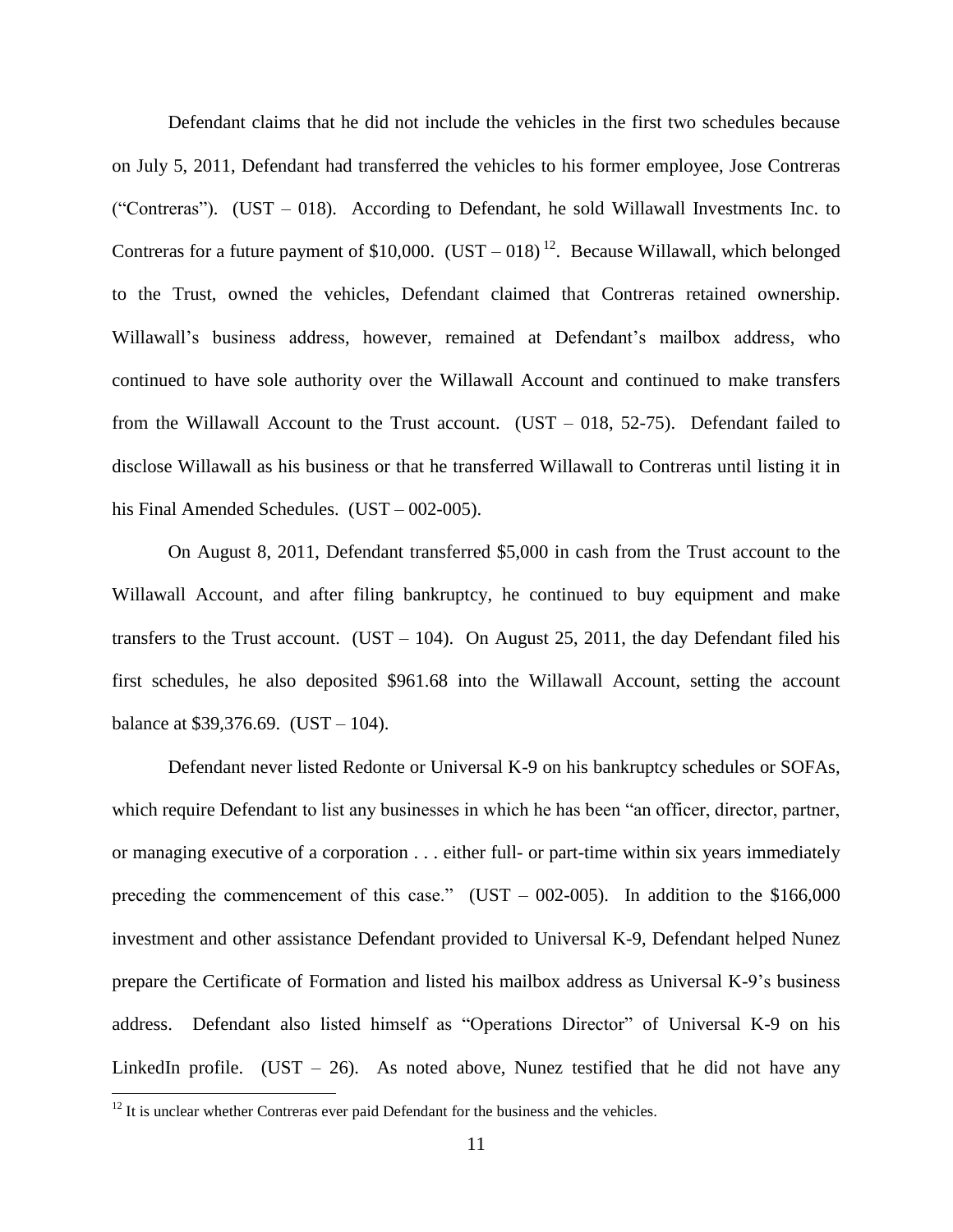Defendant claims that he did not include the vehicles in the first two schedules because on July 5, 2011, Defendant had transferred the vehicles to his former employee, Jose Contreras ("Contreras"). (UST – 018). According to Defendant, he sold Willawall Investments Inc. to Contreras for a future payment of \$10,000.  $(UST - 018)^{12}$ . Because Willawall, which belonged to the Trust, owned the vehicles, Defendant claimed that Contreras retained ownership. Willawall's business address, however, remained at Defendant's mailbox address, who continued to have sole authority over the Willawall Account and continued to make transfers from the Willawall Account to the Trust account.  $(UST - 018, 52-75)$ . Defendant failed to disclose Willawall as his business or that he transferred Willawall to Contreras until listing it in his Final Amended Schedules. (UST – 002-005).

On August 8, 2011, Defendant transferred \$5,000 in cash from the Trust account to the Willawall Account, and after filing bankruptcy, he continued to buy equipment and make transfers to the Trust account. (UST – 104). On August 25, 2011, the day Defendant filed his first schedules, he also deposited \$961.68 into the Willawall Account, setting the account balance at \$39,376.69. (UST – 104).

Defendant never listed Redonte or Universal K-9 on his bankruptcy schedules or SOFAs, which require Defendant to list any businesses in which he has been "an officer, director, partner, or managing executive of a corporation . . . either full- or part-time within six years immediately preceding the commencement of this case." (UST – 002-005). In addition to the  $$166,000$ investment and other assistance Defendant provided to Universal K-9, Defendant helped Nunez prepare the Certificate of Formation and listed his mailbox address as Universal K-9's business address. Defendant also listed himself as "Operations Director" of Universal K-9 on his LinkedIn profile. (UST  $-$  26). As noted above, Nunez testified that he did not have any

 $\overline{\phantom{a}}$ 

 $12$  It is unclear whether Contreras ever paid Defendant for the business and the vehicles.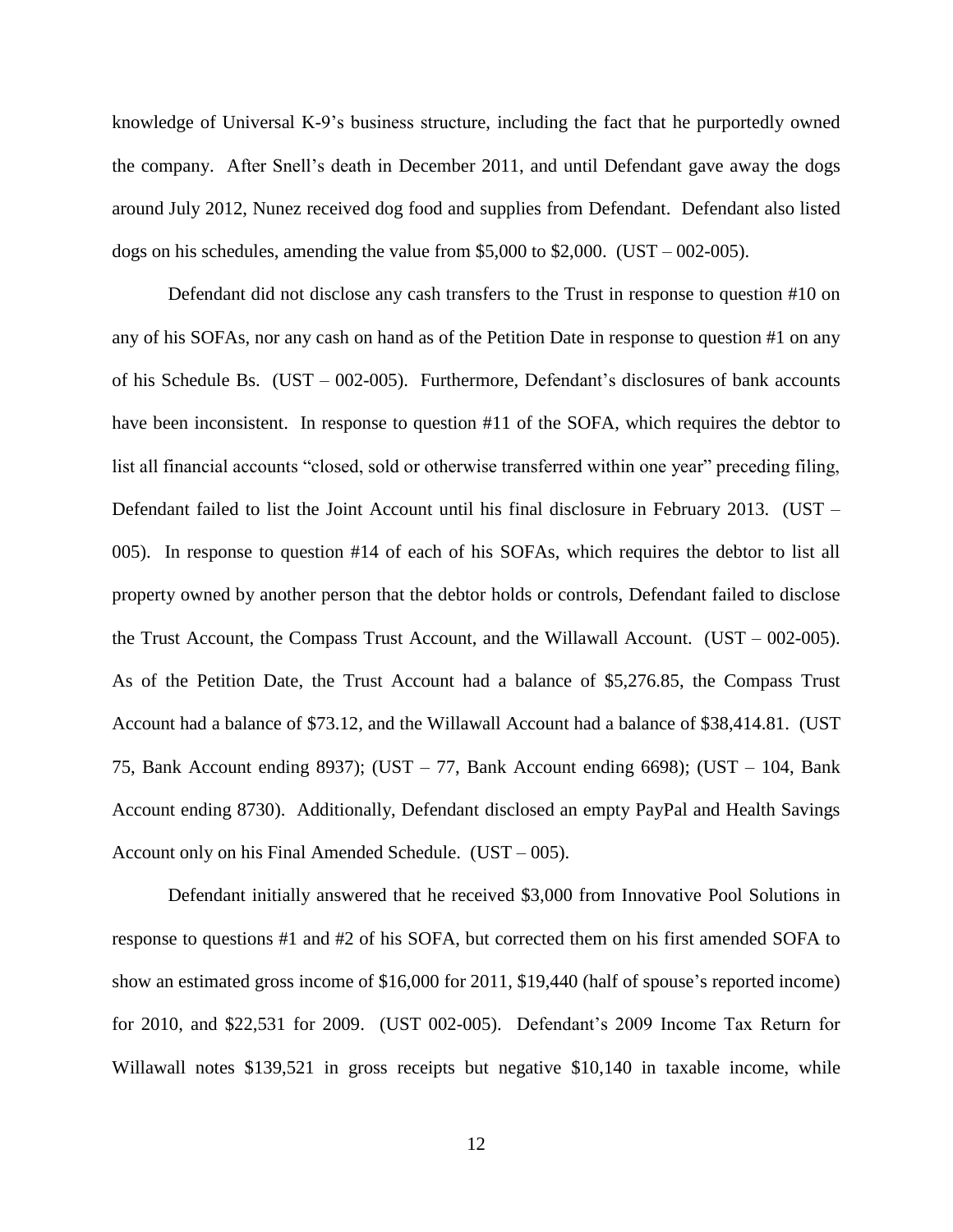knowledge of Universal K-9's business structure, including the fact that he purportedly owned the company. After Snell's death in December 2011, and until Defendant gave away the dogs around July 2012, Nunez received dog food and supplies from Defendant. Defendant also listed dogs on his schedules, amending the value from  $$5,000$  to  $$2,000$ . (UST – 002-005).

Defendant did not disclose any cash transfers to the Trust in response to question #10 on any of his SOFAs, nor any cash on hand as of the Petition Date in response to question #1 on any of his Schedule Bs. (UST – 002-005). Furthermore, Defendant's disclosures of bank accounts have been inconsistent. In response to question #11 of the SOFA, which requires the debtor to list all financial accounts "closed, sold or otherwise transferred within one year" preceding filing, Defendant failed to list the Joint Account until his final disclosure in February 2013. (UST – 005). In response to question #14 of each of his SOFAs, which requires the debtor to list all property owned by another person that the debtor holds or controls, Defendant failed to disclose the Trust Account, the Compass Trust Account, and the Willawall Account. (UST – 002-005). As of the Petition Date, the Trust Account had a balance of \$5,276.85, the Compass Trust Account had a balance of \$73.12, and the Willawall Account had a balance of \$38,414.81. (UST 75, Bank Account ending 8937); (UST – 77, Bank Account ending 6698); (UST – 104, Bank Account ending 8730). Additionally, Defendant disclosed an empty PayPal and Health Savings Account only on his Final Amended Schedule. (UST – 005).

Defendant initially answered that he received \$3,000 from Innovative Pool Solutions in response to questions #1 and #2 of his SOFA, but corrected them on his first amended SOFA to show an estimated gross income of \$16,000 for 2011, \$19,440 (half of spouse's reported income) for 2010, and \$22,531 for 2009. (UST 002-005). Defendant's 2009 Income Tax Return for Willawall notes \$139,521 in gross receipts but negative \$10,140 in taxable income, while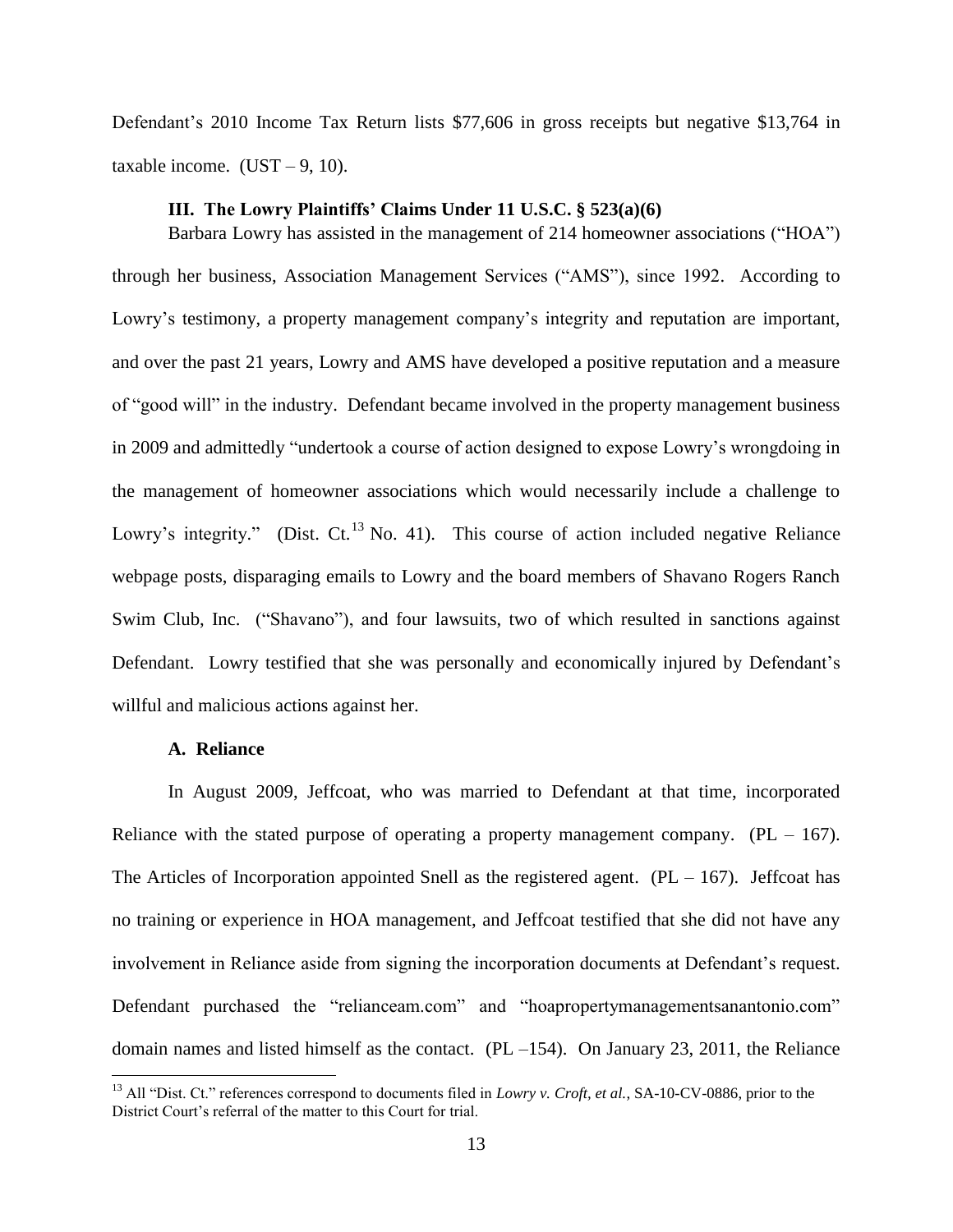Defendant's 2010 Income Tax Return lists \$77,606 in gross receipts but negative \$13,764 in taxable income.  $(UST - 9, 10)$ .

#### **III. The Lowry Plaintiffs' Claims Under 11 U.S.C. § 523(a)(6)**

Barbara Lowry has assisted in the management of 214 homeowner associations ("HOA") through her business, Association Management Services ("AMS"), since 1992. According to Lowry's testimony, a property management company's integrity and reputation are important, and over the past 21 years, Lowry and AMS have developed a positive reputation and a measure of "good will" in the industry. Defendant became involved in the property management business in 2009 and admittedly "undertook a course of action designed to expose Lowry's wrongdoing in the management of homeowner associations which would necessarily include a challenge to Lowry's integrity." (Dist. Ct.<sup>13</sup> No. 41). This course of action included negative Reliance webpage posts, disparaging emails to Lowry and the board members of Shavano Rogers Ranch Swim Club, Inc. ("Shavano"), and four lawsuits, two of which resulted in sanctions against Defendant. Lowry testified that she was personally and economically injured by Defendant's willful and malicious actions against her.

#### **A. Reliance**

 $\overline{\phantom{a}}$ 

In August 2009, Jeffcoat, who was married to Defendant at that time, incorporated Reliance with the stated purpose of operating a property management company.  $(PL - 167)$ . The Articles of Incorporation appointed Snell as the registered agent.  $(PL - 167)$ . Jeffcoat has no training or experience in HOA management, and Jeffcoat testified that she did not have any involvement in Reliance aside from signing the incorporation documents at Defendant's request. Defendant purchased the "relianceam.com" and "hoapropertymanagementsanantonio.com" domain names and listed himself as the contact. (PL –154). On January 23, 2011, the Reliance

<sup>&</sup>lt;sup>13</sup> All "Dist. Ct." references correspond to documents filed in *Lowry v. Croft, et al.*, SA-10-CV-0886, prior to the District Court's referral of the matter to this Court for trial.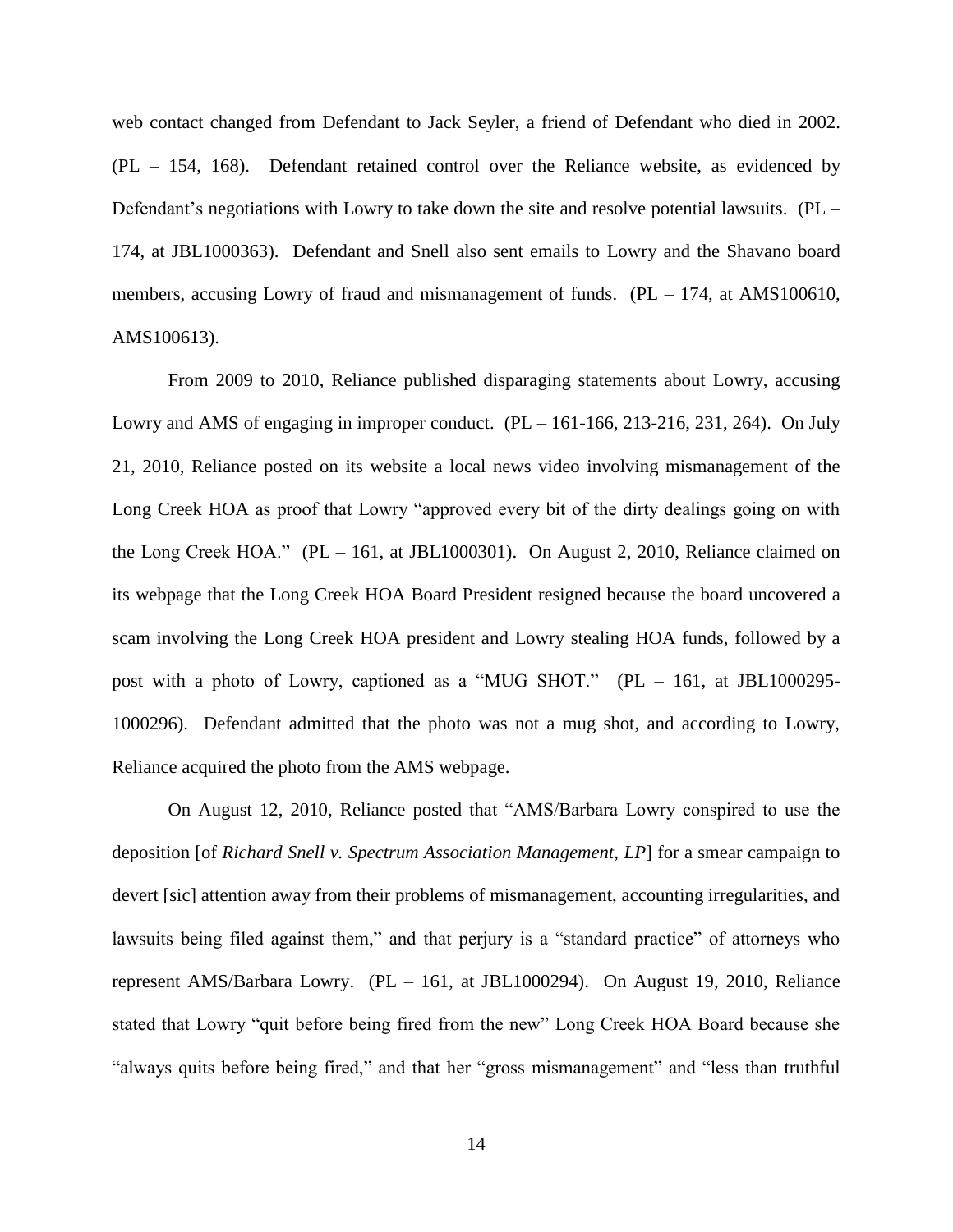web contact changed from Defendant to Jack Seyler, a friend of Defendant who died in 2002. (PL – 154, 168). Defendant retained control over the Reliance website, as evidenced by Defendant's negotiations with Lowry to take down the site and resolve potential lawsuits. (PL – 174, at JBL1000363). Defendant and Snell also sent emails to Lowry and the Shavano board members, accusing Lowry of fraud and mismanagement of funds.  $(PL - 174, at AMS100610,$ AMS100613).

From 2009 to 2010, Reliance published disparaging statements about Lowry, accusing Lowry and AMS of engaging in improper conduct.  $(PL - 161-166, 213-216, 231, 264)$ . On July 21, 2010, Reliance posted on its website a local news video involving mismanagement of the Long Creek HOA as proof that Lowry "approved every bit of the dirty dealings going on with the Long Creek HOA." (PL – 161, at JBL1000301). On August 2, 2010, Reliance claimed on its webpage that the Long Creek HOA Board President resigned because the board uncovered a scam involving the Long Creek HOA president and Lowry stealing HOA funds, followed by a post with a photo of Lowry, captioned as a "MUG SHOT." (PL – 161, at JBL1000295- 1000296). Defendant admitted that the photo was not a mug shot, and according to Lowry, Reliance acquired the photo from the AMS webpage.

On August 12, 2010, Reliance posted that "AMS/Barbara Lowry conspired to use the deposition [of *Richard Snell v. Spectrum Association Management, LP*] for a smear campaign to devert [sic] attention away from their problems of mismanagement, accounting irregularities, and lawsuits being filed against them," and that perjury is a "standard practice" of attorneys who represent AMS/Barbara Lowry. (PL – 161, at JBL1000294). On August 19, 2010, Reliance stated that Lowry "quit before being fired from the new" Long Creek HOA Board because she "always quits before being fired," and that her "gross mismanagement" and "less than truthful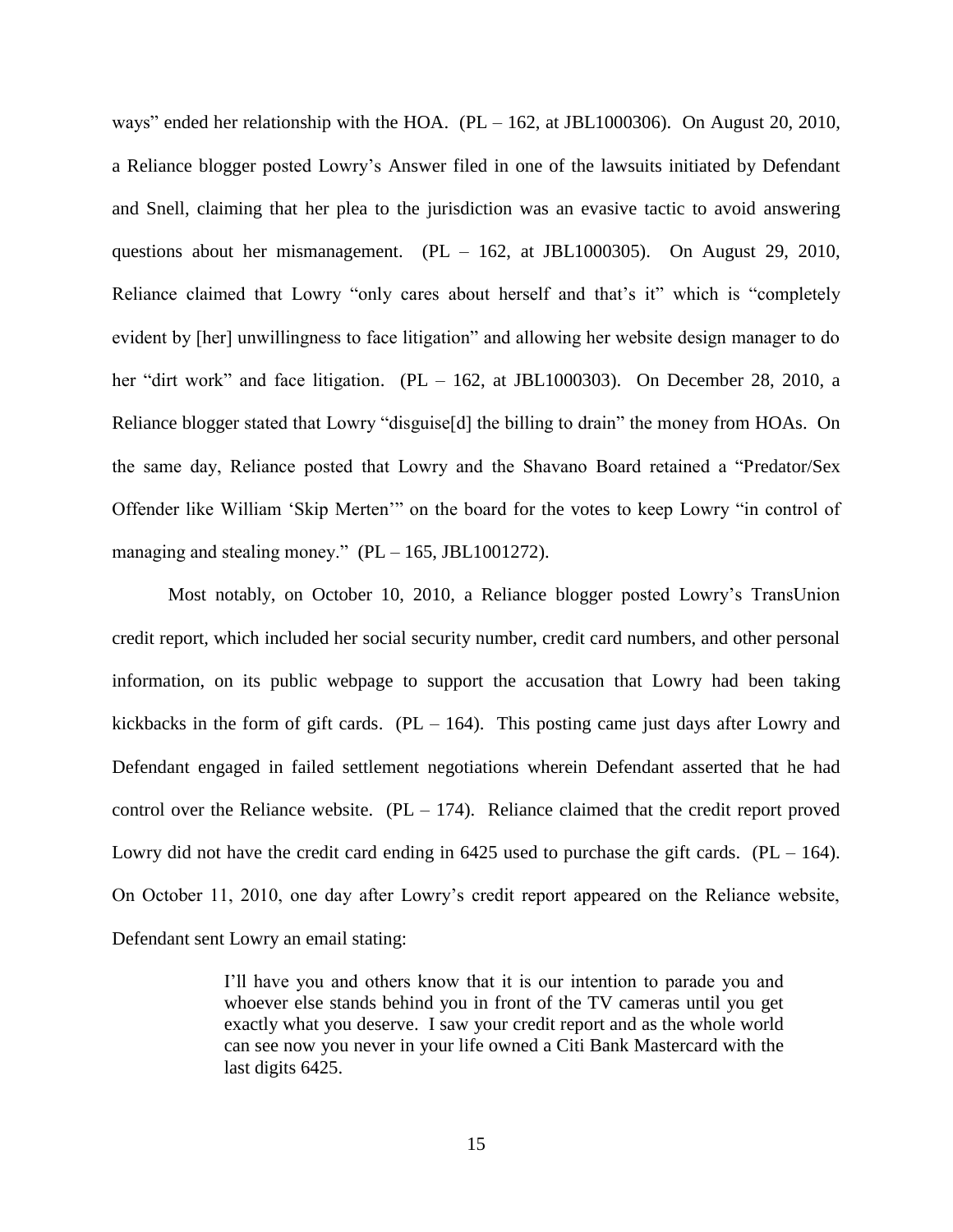ways" ended her relationship with the HOA. (PL – 162, at JBL1000306). On August 20, 2010, a Reliance blogger posted Lowry's Answer filed in one of the lawsuits initiated by Defendant and Snell, claiming that her plea to the jurisdiction was an evasive tactic to avoid answering questions about her mismanagement. (PL – 162, at JBL1000305). On August 29, 2010, Reliance claimed that Lowry "only cares about herself and that's it" which is "completely evident by [her] unwillingness to face litigation" and allowing her website design manager to do her "dirt work" and face litigation. (PL – 162, at JBL1000303). On December 28, 2010, a Reliance blogger stated that Lowry "disguise[d] the billing to drain" the money from HOAs. On the same day, Reliance posted that Lowry and the Shavano Board retained a "Predator/Sex Offender like William 'Skip Merten'" on the board for the votes to keep Lowry "in control of managing and stealing money."  $(PL - 165, JBL1001272)$ .

Most notably, on October 10, 2010, a Reliance blogger posted Lowry's TransUnion credit report, which included her social security number, credit card numbers, and other personal information, on its public webpage to support the accusation that Lowry had been taking kickbacks in the form of gift cards.  $(PL - 164)$ . This posting came just days after Lowry and Defendant engaged in failed settlement negotiations wherein Defendant asserted that he had control over the Reliance website.  $(PL - 174)$ . Reliance claimed that the credit report proved Lowry did not have the credit card ending in  $6425$  used to purchase the gift cards. (PL – 164). On October 11, 2010, one day after Lowry's credit report appeared on the Reliance website, Defendant sent Lowry an email stating:

> I'll have you and others know that it is our intention to parade you and whoever else stands behind you in front of the TV cameras until you get exactly what you deserve. I saw your credit report and as the whole world can see now you never in your life owned a Citi Bank Mastercard with the last digits 6425.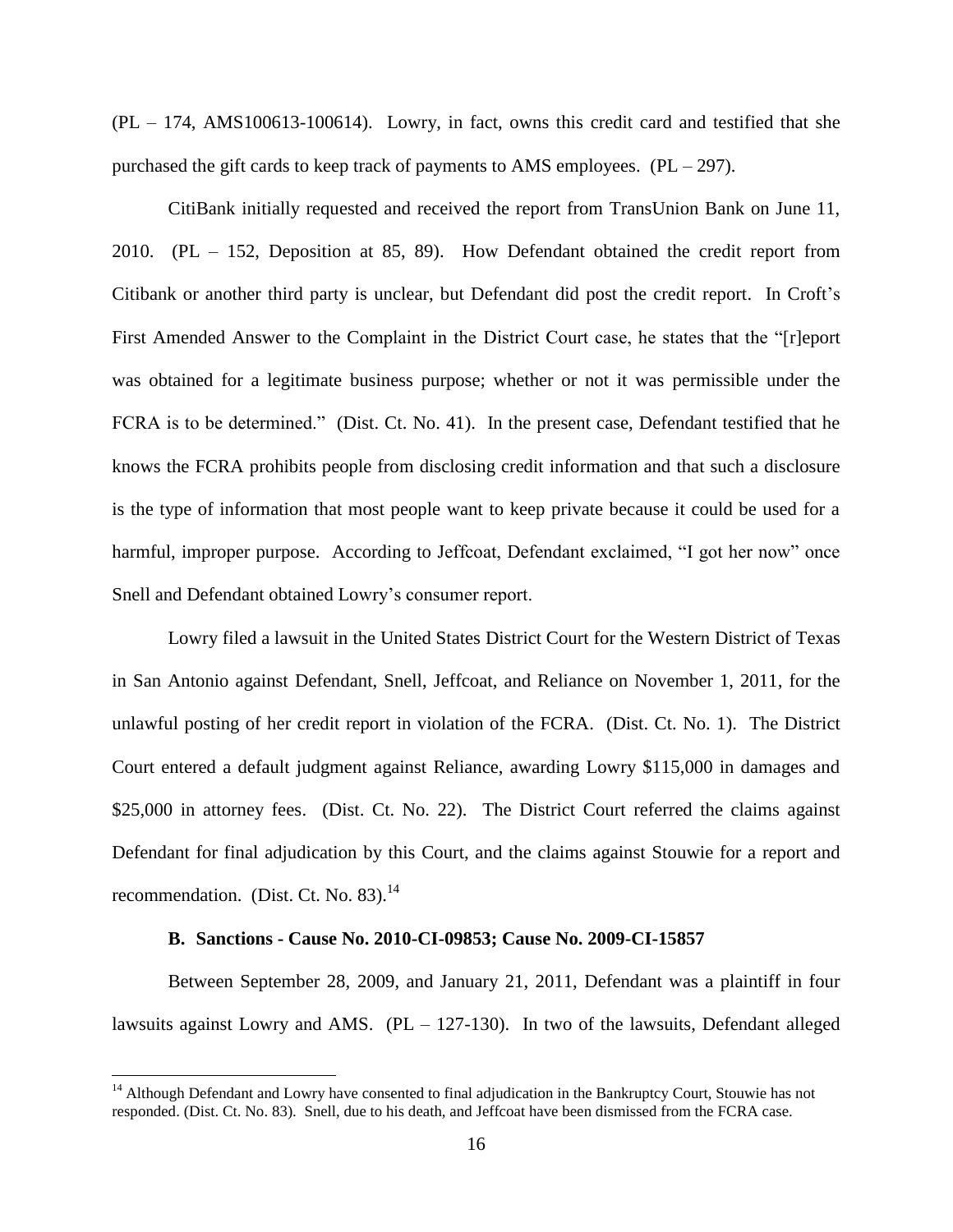(PL – 174, AMS100613-100614). Lowry, in fact, owns this credit card and testified that she purchased the gift cards to keep track of payments to AMS employees.  $(PL - 297)$ .

CitiBank initially requested and received the report from TransUnion Bank on June 11, 2010. (PL – 152, Deposition at 85, 89). How Defendant obtained the credit report from Citibank or another third party is unclear, but Defendant did post the credit report. In Croft's First Amended Answer to the Complaint in the District Court case, he states that the "[r]eport was obtained for a legitimate business purpose; whether or not it was permissible under the FCRA is to be determined." (Dist. Ct. No. 41). In the present case, Defendant testified that he knows the FCRA prohibits people from disclosing credit information and that such a disclosure is the type of information that most people want to keep private because it could be used for a harmful, improper purpose. According to Jeffcoat, Defendant exclaimed, "I got her now" once Snell and Defendant obtained Lowry's consumer report.

Lowry filed a lawsuit in the United States District Court for the Western District of Texas in San Antonio against Defendant, Snell, Jeffcoat, and Reliance on November 1, 2011, for the unlawful posting of her credit report in violation of the FCRA. (Dist. Ct. No. 1). The District Court entered a default judgment against Reliance, awarding Lowry \$115,000 in damages and \$25,000 in attorney fees. (Dist. Ct. No. 22). The District Court referred the claims against Defendant for final adjudication by this Court, and the claims against Stouwie for a report and recommendation. (Dist. Ct. No. 83).<sup>14</sup>

## **B. Sanctions - Cause No. 2010-CI-09853; Cause No. 2009-CI-15857**

 $\overline{\phantom{a}}$ 

Between September 28, 2009, and January 21, 2011, Defendant was a plaintiff in four lawsuits against Lowry and AMS.  $(PL - 127-130)$ . In two of the lawsuits, Defendant alleged

<sup>&</sup>lt;sup>14</sup> Although Defendant and Lowry have consented to final adjudication in the Bankruptcy Court, Stouwie has not responded. (Dist. Ct. No. 83). Snell, due to his death, and Jeffcoat have been dismissed from the FCRA case.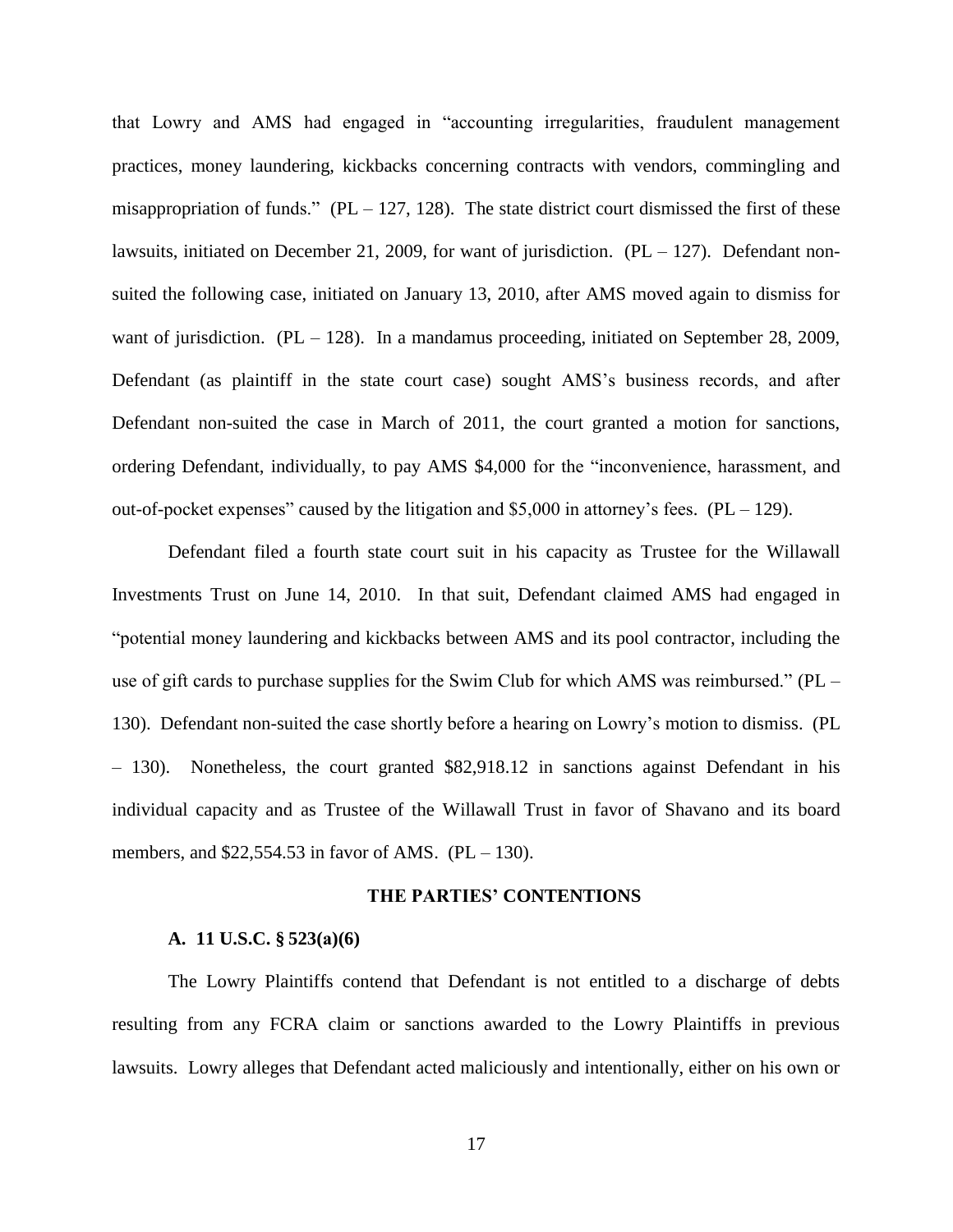that Lowry and AMS had engaged in "accounting irregularities, fraudulent management practices, money laundering, kickbacks concerning contracts with vendors, commingling and misappropriation of funds." (PL – 127, 128). The state district court dismissed the first of these lawsuits, initiated on December 21, 2009, for want of jurisdiction.  $(PL - 127)$ . Defendant nonsuited the following case, initiated on January 13, 2010, after AMS moved again to dismiss for want of jurisdiction.  $(PL - 128)$ . In a mandamus proceeding, initiated on September 28, 2009, Defendant (as plaintiff in the state court case) sought AMS's business records, and after Defendant non-suited the case in March of 2011, the court granted a motion for sanctions, ordering Defendant, individually, to pay AMS \$4,000 for the "inconvenience, harassment, and out-of-pocket expenses" caused by the litigation and  $$5,000$  in attorney's fees. (PL – 129).

Defendant filed a fourth state court suit in his capacity as Trustee for the Willawall Investments Trust on June 14, 2010. In that suit, Defendant claimed AMS had engaged in "potential money laundering and kickbacks between AMS and its pool contractor, including the use of gift cards to purchase supplies for the Swim Club for which AMS was reimbursed." (PL – 130). Defendant non-suited the case shortly before a hearing on Lowry's motion to dismiss. (PL – 130). Nonetheless, the court granted \$82,918.12 in sanctions against Defendant in his individual capacity and as Trustee of the Willawall Trust in favor of Shavano and its board members, and  $$22,554.53$  in favor of AMS. (PL – 130).

#### **THE PARTIES' CONTENTIONS**

#### **A. 11 U.S.C. § 523(a)(6)**

The Lowry Plaintiffs contend that Defendant is not entitled to a discharge of debts resulting from any FCRA claim or sanctions awarded to the Lowry Plaintiffs in previous lawsuits. Lowry alleges that Defendant acted maliciously and intentionally, either on his own or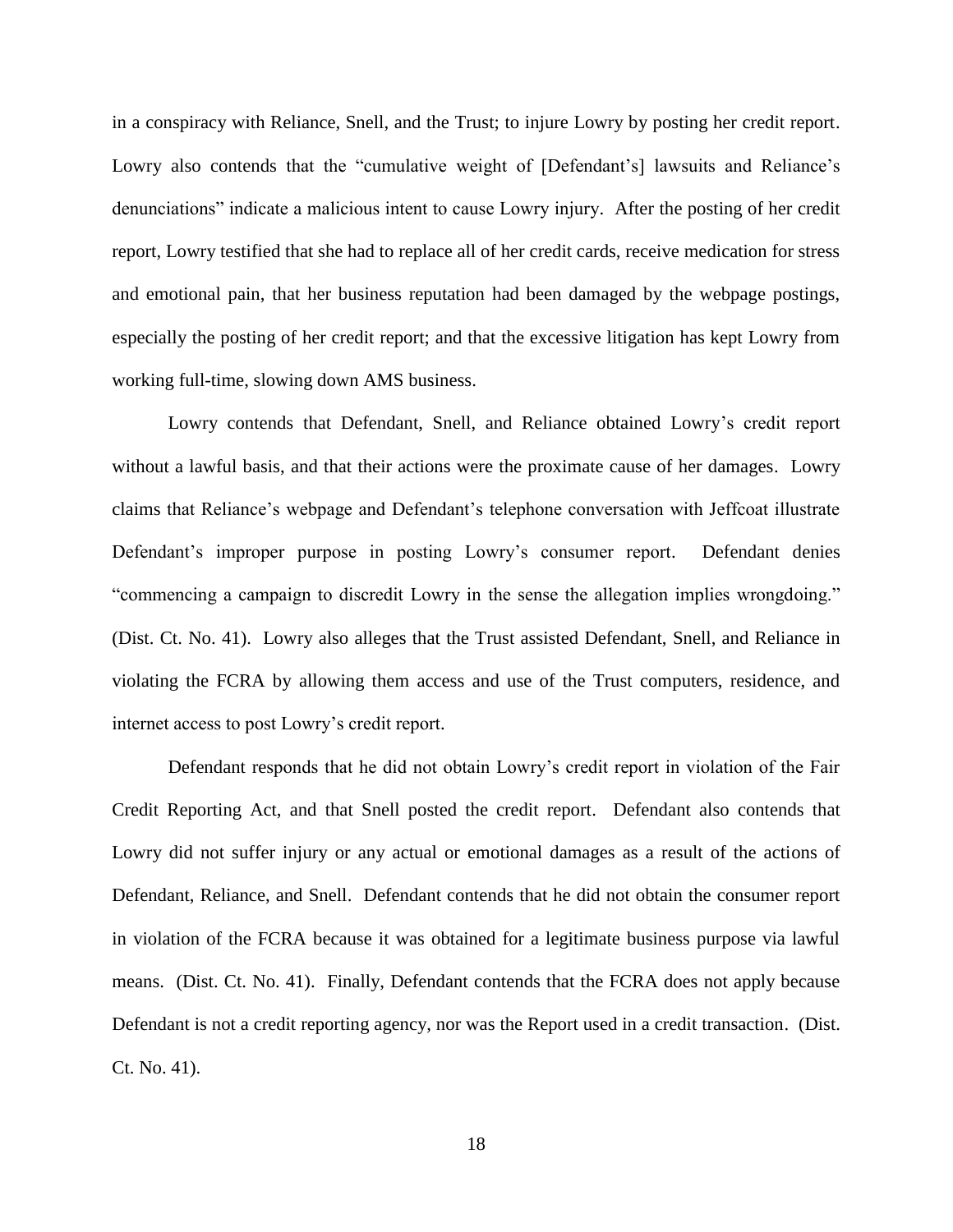in a conspiracy with Reliance, Snell, and the Trust; to injure Lowry by posting her credit report. Lowry also contends that the "cumulative weight of [Defendant's] lawsuits and Reliance's denunciations" indicate a malicious intent to cause Lowry injury. After the posting of her credit report, Lowry testified that she had to replace all of her credit cards, receive medication for stress and emotional pain, that her business reputation had been damaged by the webpage postings, especially the posting of her credit report; and that the excessive litigation has kept Lowry from working full-time, slowing down AMS business.

Lowry contends that Defendant, Snell, and Reliance obtained Lowry's credit report without a lawful basis, and that their actions were the proximate cause of her damages. Lowry claims that Reliance's webpage and Defendant's telephone conversation with Jeffcoat illustrate Defendant's improper purpose in posting Lowry's consumer report. Defendant denies "commencing a campaign to discredit Lowry in the sense the allegation implies wrongdoing." (Dist. Ct. No. 41). Lowry also alleges that the Trust assisted Defendant, Snell, and Reliance in violating the FCRA by allowing them access and use of the Trust computers, residence, and internet access to post Lowry's credit report.

Defendant responds that he did not obtain Lowry's credit report in violation of the Fair Credit Reporting Act, and that Snell posted the credit report. Defendant also contends that Lowry did not suffer injury or any actual or emotional damages as a result of the actions of Defendant, Reliance, and Snell. Defendant contends that he did not obtain the consumer report in violation of the FCRA because it was obtained for a legitimate business purpose via lawful means. (Dist. Ct. No. 41). Finally, Defendant contends that the FCRA does not apply because Defendant is not a credit reporting agency, nor was the Report used in a credit transaction. (Dist. Ct. No. 41).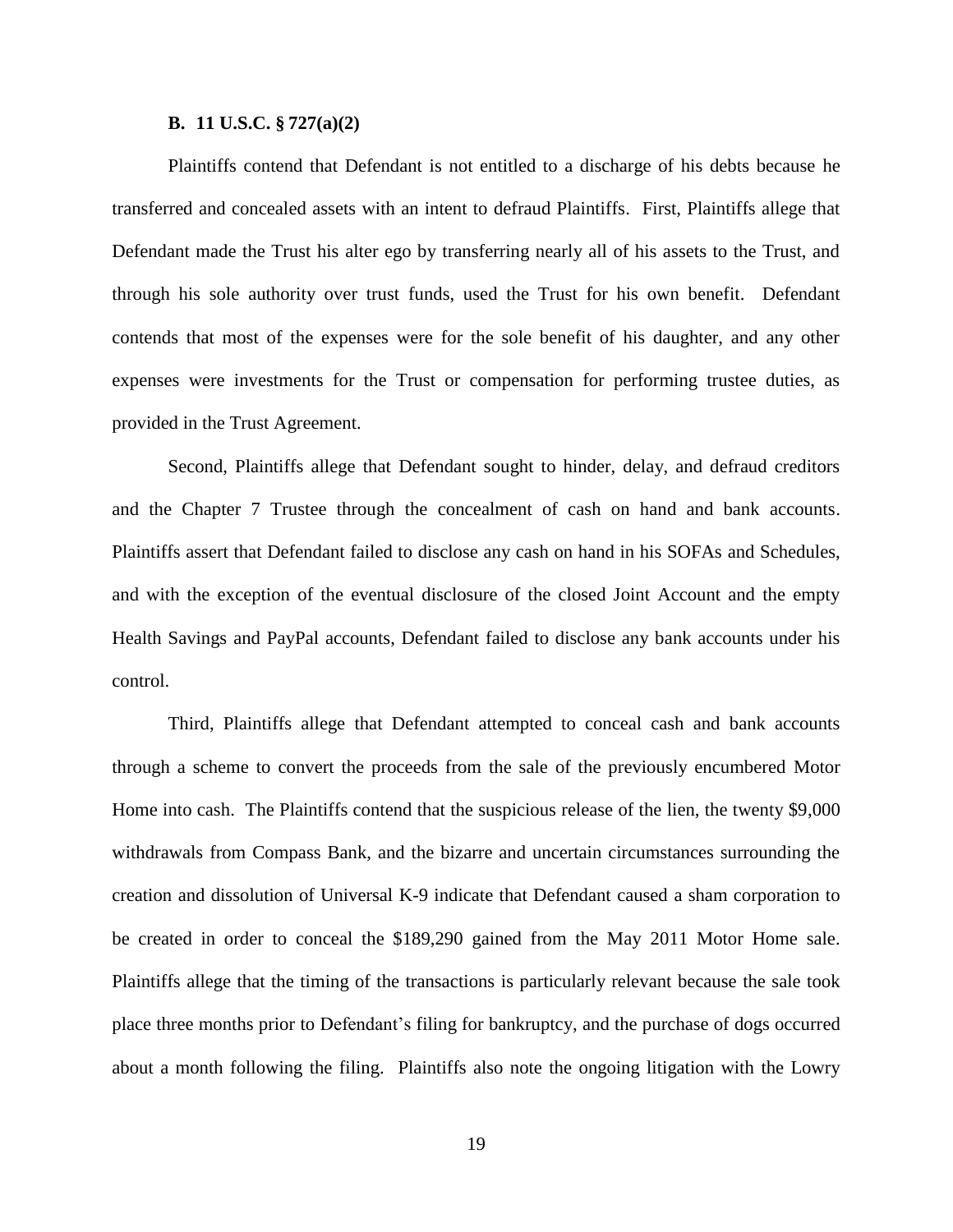#### **B. 11 U.S.C. § 727(a)(2)**

Plaintiffs contend that Defendant is not entitled to a discharge of his debts because he transferred and concealed assets with an intent to defraud Plaintiffs. First, Plaintiffs allege that Defendant made the Trust his alter ego by transferring nearly all of his assets to the Trust, and through his sole authority over trust funds, used the Trust for his own benefit. Defendant contends that most of the expenses were for the sole benefit of his daughter, and any other expenses were investments for the Trust or compensation for performing trustee duties, as provided in the Trust Agreement.

Second, Plaintiffs allege that Defendant sought to hinder, delay, and defraud creditors and the Chapter 7 Trustee through the concealment of cash on hand and bank accounts. Plaintiffs assert that Defendant failed to disclose any cash on hand in his SOFAs and Schedules, and with the exception of the eventual disclosure of the closed Joint Account and the empty Health Savings and PayPal accounts, Defendant failed to disclose any bank accounts under his control.

Third, Plaintiffs allege that Defendant attempted to conceal cash and bank accounts through a scheme to convert the proceeds from the sale of the previously encumbered Motor Home into cash. The Plaintiffs contend that the suspicious release of the lien, the twenty \$9,000 withdrawals from Compass Bank, and the bizarre and uncertain circumstances surrounding the creation and dissolution of Universal K-9 indicate that Defendant caused a sham corporation to be created in order to conceal the \$189,290 gained from the May 2011 Motor Home sale. Plaintiffs allege that the timing of the transactions is particularly relevant because the sale took place three months prior to Defendant's filing for bankruptcy, and the purchase of dogs occurred about a month following the filing. Plaintiffs also note the ongoing litigation with the Lowry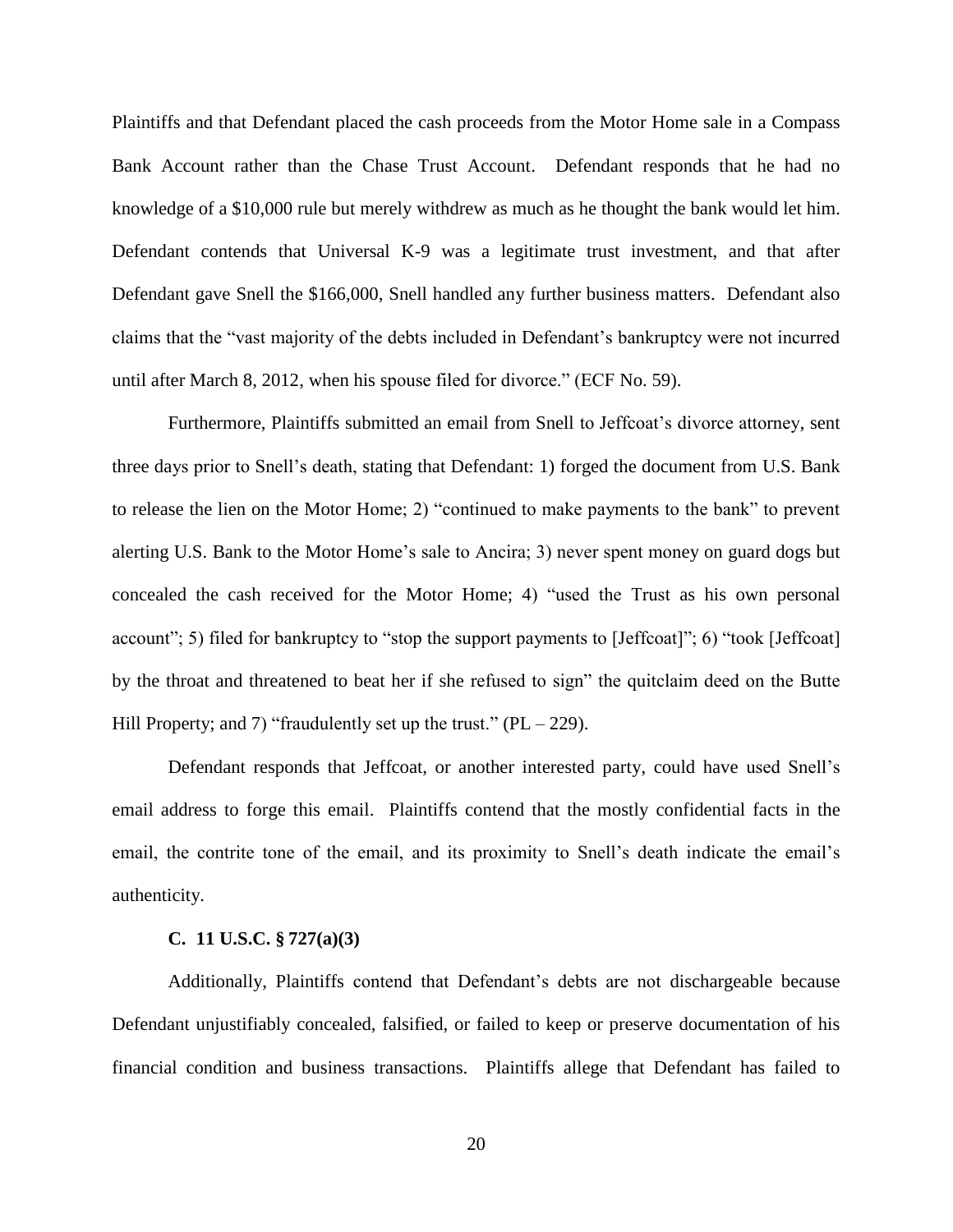Plaintiffs and that Defendant placed the cash proceeds from the Motor Home sale in a Compass Bank Account rather than the Chase Trust Account. Defendant responds that he had no knowledge of a \$10,000 rule but merely withdrew as much as he thought the bank would let him. Defendant contends that Universal K-9 was a legitimate trust investment, and that after Defendant gave Snell the \$166,000, Snell handled any further business matters. Defendant also claims that the "vast majority of the debts included in Defendant's bankruptcy were not incurred until after March 8, 2012, when his spouse filed for divorce." (ECF No. 59).

Furthermore, Plaintiffs submitted an email from Snell to Jeffcoat's divorce attorney, sent three days prior to Snell's death, stating that Defendant: 1) forged the document from U.S. Bank to release the lien on the Motor Home; 2) "continued to make payments to the bank" to prevent alerting U.S. Bank to the Motor Home's sale to Ancira; 3) never spent money on guard dogs but concealed the cash received for the Motor Home; 4) "used the Trust as his own personal account"; 5) filed for bankruptcy to "stop the support payments to [Jeffcoat]"; 6) "took [Jeffcoat] by the throat and threatened to beat her if she refused to sign" the quitclaim deed on the Butte Hill Property; and 7) "fraudulently set up the trust."  $(PL - 229)$ .

Defendant responds that Jeffcoat, or another interested party, could have used Snell's email address to forge this email. Plaintiffs contend that the mostly confidential facts in the email, the contrite tone of the email, and its proximity to Snell's death indicate the email's authenticity.

#### **C. 11 U.S.C. § 727(a)(3)**

Additionally, Plaintiffs contend that Defendant's debts are not dischargeable because Defendant unjustifiably concealed, falsified, or failed to keep or preserve documentation of his financial condition and business transactions. Plaintiffs allege that Defendant has failed to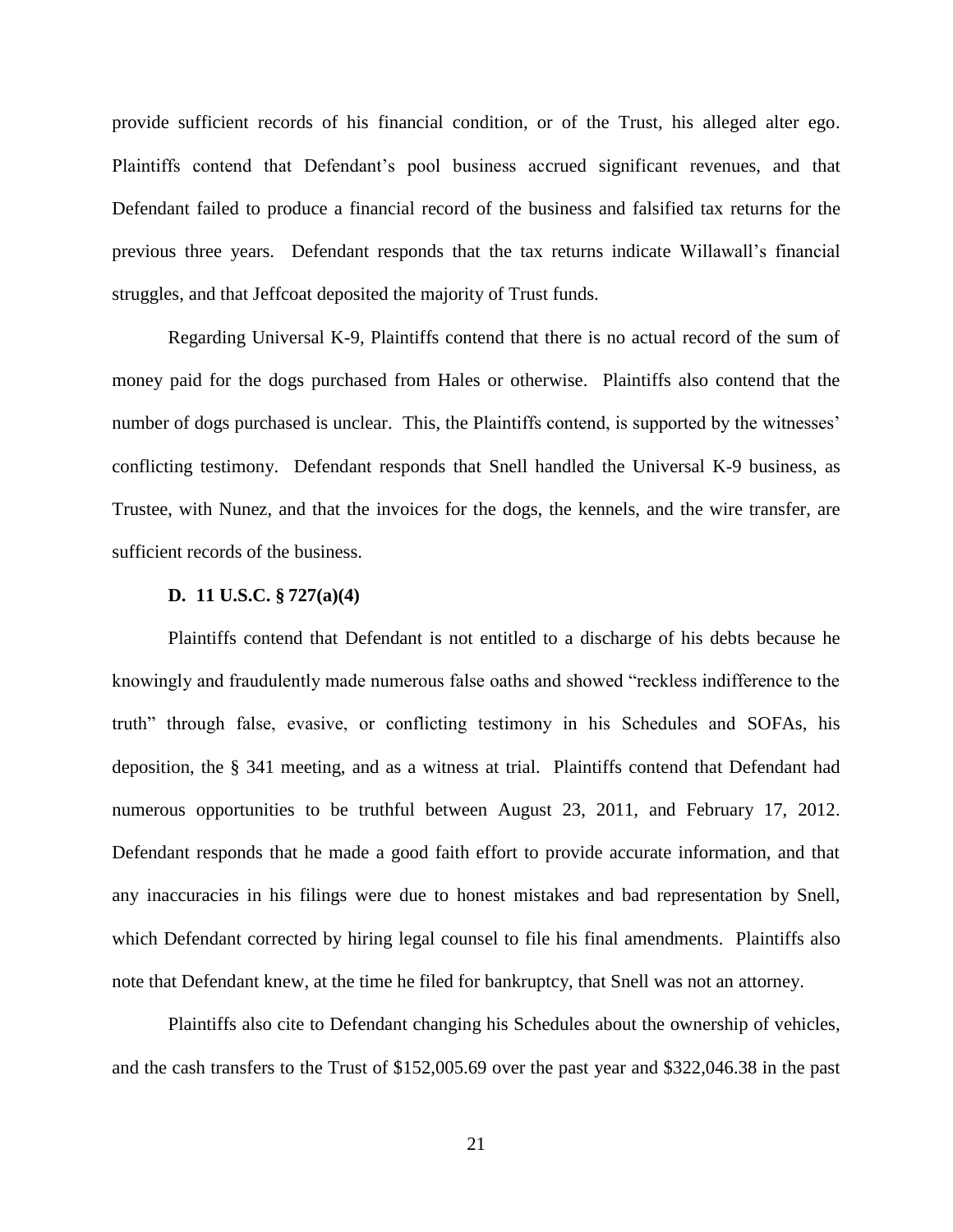provide sufficient records of his financial condition, or of the Trust, his alleged alter ego. Plaintiffs contend that Defendant's pool business accrued significant revenues, and that Defendant failed to produce a financial record of the business and falsified tax returns for the previous three years. Defendant responds that the tax returns indicate Willawall's financial struggles, and that Jeffcoat deposited the majority of Trust funds.

Regarding Universal K-9, Plaintiffs contend that there is no actual record of the sum of money paid for the dogs purchased from Hales or otherwise. Plaintiffs also contend that the number of dogs purchased is unclear. This, the Plaintiffs contend, is supported by the witnesses' conflicting testimony. Defendant responds that Snell handled the Universal K-9 business, as Trustee, with Nunez, and that the invoices for the dogs, the kennels, and the wire transfer, are sufficient records of the business.

#### **D. 11 U.S.C. § 727(a)(4)**

Plaintiffs contend that Defendant is not entitled to a discharge of his debts because he knowingly and fraudulently made numerous false oaths and showed "reckless indifference to the truth" through false, evasive, or conflicting testimony in his Schedules and SOFAs, his deposition, the § 341 meeting, and as a witness at trial. Plaintiffs contend that Defendant had numerous opportunities to be truthful between August 23, 2011, and February 17, 2012. Defendant responds that he made a good faith effort to provide accurate information, and that any inaccuracies in his filings were due to honest mistakes and bad representation by Snell, which Defendant corrected by hiring legal counsel to file his final amendments. Plaintiffs also note that Defendant knew, at the time he filed for bankruptcy, that Snell was not an attorney.

Plaintiffs also cite to Defendant changing his Schedules about the ownership of vehicles, and the cash transfers to the Trust of \$152,005.69 over the past year and \$322,046.38 in the past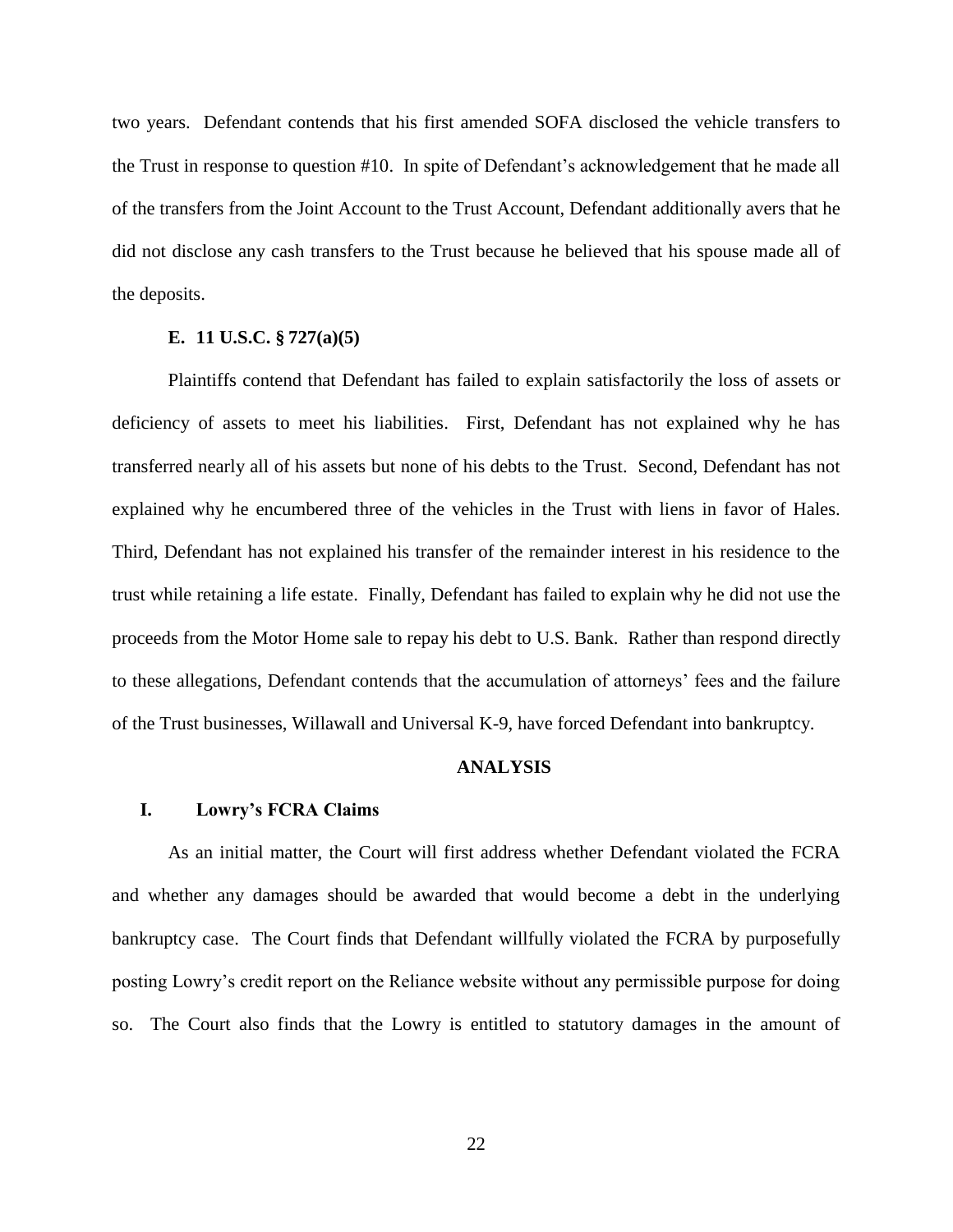two years. Defendant contends that his first amended SOFA disclosed the vehicle transfers to the Trust in response to question #10. In spite of Defendant's acknowledgement that he made all of the transfers from the Joint Account to the Trust Account, Defendant additionally avers that he did not disclose any cash transfers to the Trust because he believed that his spouse made all of the deposits.

# **E. 11 U.S.C. § 727(a)(5)**

Plaintiffs contend that Defendant has failed to explain satisfactorily the loss of assets or deficiency of assets to meet his liabilities. First, Defendant has not explained why he has transferred nearly all of his assets but none of his debts to the Trust. Second, Defendant has not explained why he encumbered three of the vehicles in the Trust with liens in favor of Hales. Third, Defendant has not explained his transfer of the remainder interest in his residence to the trust while retaining a life estate. Finally, Defendant has failed to explain why he did not use the proceeds from the Motor Home sale to repay his debt to U.S. Bank. Rather than respond directly to these allegations, Defendant contends that the accumulation of attorneys' fees and the failure of the Trust businesses, Willawall and Universal K-9, have forced Defendant into bankruptcy.

# **ANALYSIS**

### **I. Lowry's FCRA Claims**

As an initial matter, the Court will first address whether Defendant violated the FCRA and whether any damages should be awarded that would become a debt in the underlying bankruptcy case. The Court finds that Defendant willfully violated the FCRA by purposefully posting Lowry's credit report on the Reliance website without any permissible purpose for doing so. The Court also finds that the Lowry is entitled to statutory damages in the amount of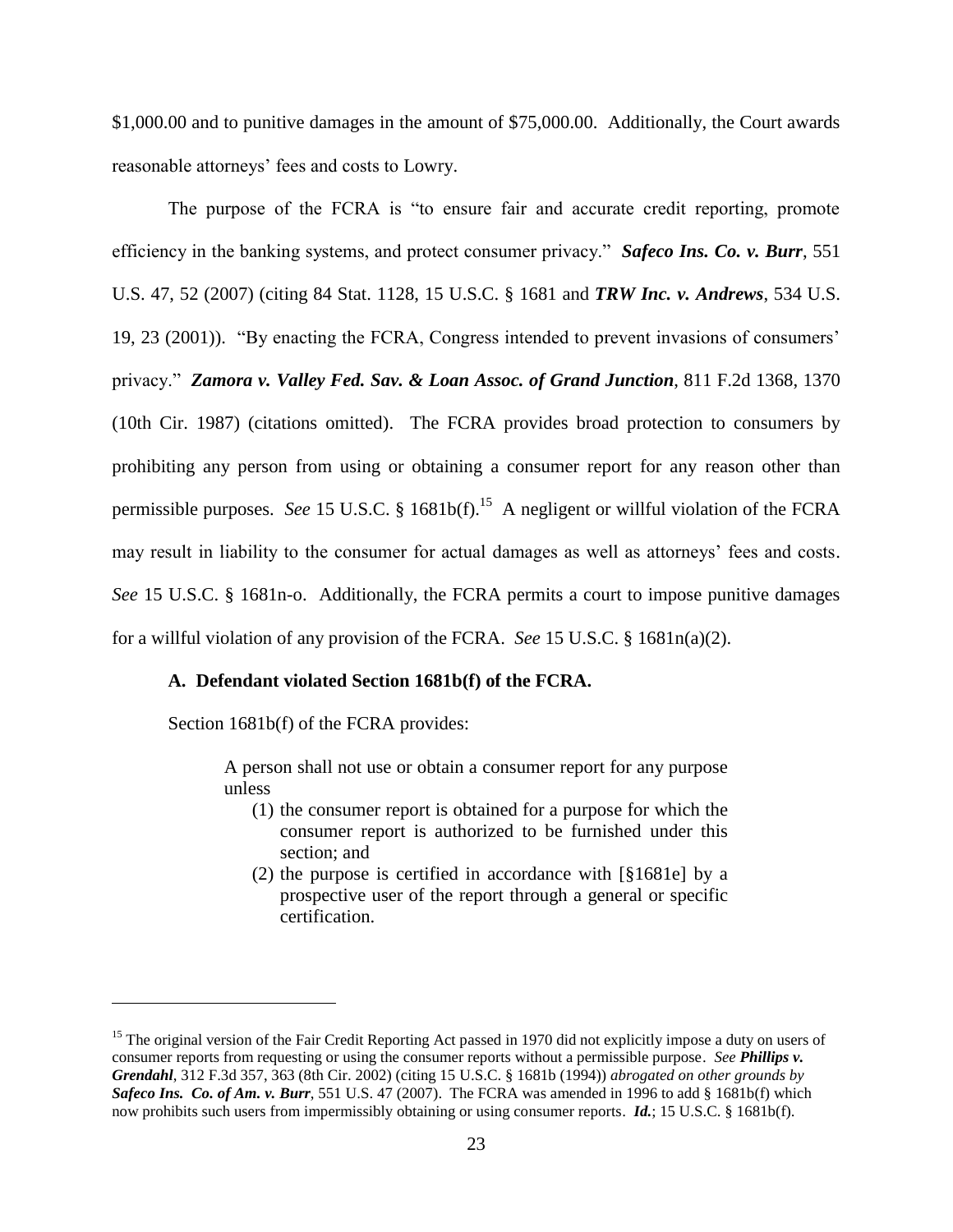\$1,000.00 and to punitive damages in the amount of \$75,000.00. Additionally, the Court awards reasonable attorneys' fees and costs to Lowry.

The purpose of the FCRA is "to ensure fair and accurate credit reporting, promote efficiency in the banking systems, and protect consumer privacy." *Safeco Ins. Co. v. Burr*, 551 U.S. 47, 52 (2007) (citing 84 Stat. 1128, 15 U.S.C. § 1681 and *TRW Inc. v. Andrews*, 534 U.S. 19, 23 (2001)). "By enacting the FCRA, Congress intended to prevent invasions of consumers' privacy." *Zamora v. Valley Fed. Sav. & Loan Assoc. of Grand Junction*, 811 F.2d 1368, 1370 (10th Cir. 1987) (citations omitted). The FCRA provides broad protection to consumers by prohibiting any person from using or obtaining a consumer report for any reason other than permissible purposes. *See* 15 U.S.C. § 1681b(f). 15 A negligent or willful violation of the FCRA may result in liability to the consumer for actual damages as well as attorneys' fees and costs. *See* 15 U.S.C. § 1681n-o. Additionally, the FCRA permits a court to impose punitive damages for a willful violation of any provision of the FCRA. *See* 15 U.S.C. § 1681n(a)(2).

# **A. Defendant violated Section 1681b(f) of the FCRA.**

Section 1681b(f) of the FCRA provides:

 $\overline{a}$ 

A person shall not use or obtain a consumer report for any purpose unless

- (1) the consumer report is obtained for a purpose for which the consumer report is authorized to be furnished under this section; and
- (2) the purpose is certified in accordance with [§1681e] by a prospective user of the report through a general or specific certification.

<sup>&</sup>lt;sup>15</sup> The original version of the Fair Credit Reporting Act passed in 1970 did not explicitly impose a duty on users of consumer reports from requesting or using the consumer reports without a permissible purpose. *See Phillips v. Grendahl*, 312 F.3d 357, 363 (8th Cir. 2002) (citing 15 U.S.C. § 1681b (1994)) *abrogated on other grounds by Safeco Ins. Co. of Am. v. Burr*, 551 U.S. 47 (2007). The FCRA was amended in 1996 to add § 1681b(f) which now prohibits such users from impermissibly obtaining or using consumer reports. *Id.*; 15 U.S.C. § 1681b(f).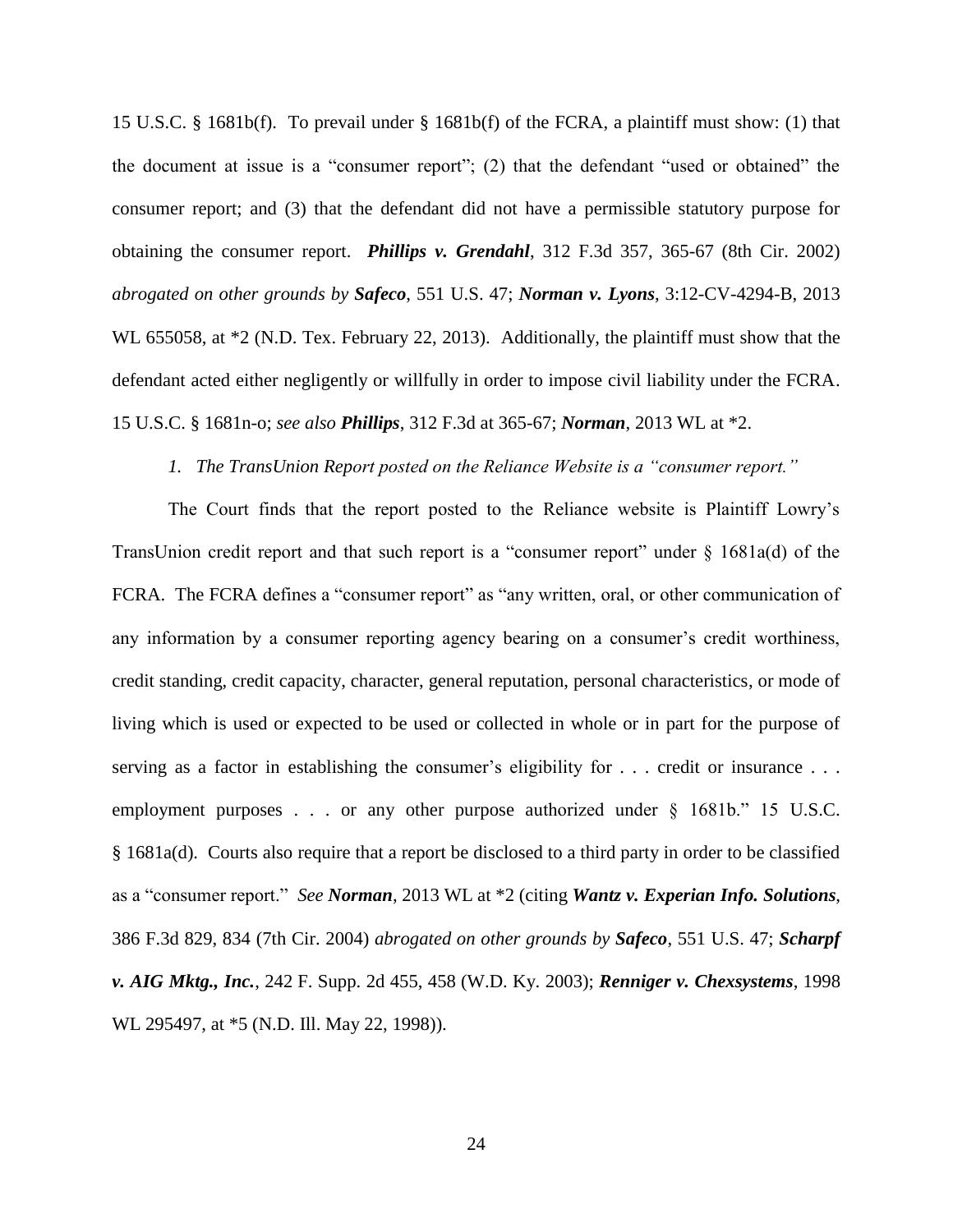15 U.S.C. § 1681b(f). To prevail under § 1681b(f) of the FCRA, a plaintiff must show: (1) that the document at issue is a "consumer report"; (2) that the defendant "used or obtained" the consumer report; and (3) that the defendant did not have a permissible statutory purpose for obtaining the consumer report. *Phillips v. Grendahl*, 312 F.3d 357, 365-67 (8th Cir. 2002) *abrogated on other grounds by Safeco*, 551 U.S. 47; *Norman v. Lyons*, 3:12-CV-4294-B, 2013 WL 655058, at  $*2$  (N.D. Tex. February 22, 2013). Additionally, the plaintiff must show that the defendant acted either negligently or willfully in order to impose civil liability under the FCRA. 15 U.S.C. § 1681n-o; *see also Phillips*, 312 F.3d at 365-67; *Norman*, 2013 WL at \*2.

# *1. The TransUnion Report posted on the Reliance Website is a "consumer report."*

The Court finds that the report posted to the Reliance website is Plaintiff Lowry's TransUnion credit report and that such report is a "consumer report" under § 1681a(d) of the FCRA. The FCRA defines a "consumer report" as "any written, oral, or other communication of any information by a consumer reporting agency bearing on a consumer's credit worthiness, credit standing, credit capacity, character, general reputation, personal characteristics, or mode of living which is used or expected to be used or collected in whole or in part for the purpose of serving as a factor in establishing the consumer's eligibility for . . . credit or insurance . . . employment purposes . . . or any other purpose authorized under § 1681b." 15 U.S.C. § 1681a(d). Courts also require that a report be disclosed to a third party in order to be classified as a "consumer report." *See Norman*, 2013 WL at \*2 (citing *Wantz v. Experian Info. Solutions*, 386 F.3d 829, 834 (7th Cir. 2004) *abrogated on other grounds by Safeco*, 551 U.S. 47; *Scharpf v. AIG Mktg., Inc.*, 242 F. Supp. 2d 455, 458 (W.D. Ky. 2003); *Renniger v. Chexsystems*, 1998 WL 295497, at  $*5$  (N.D. Ill. May 22, 1998)).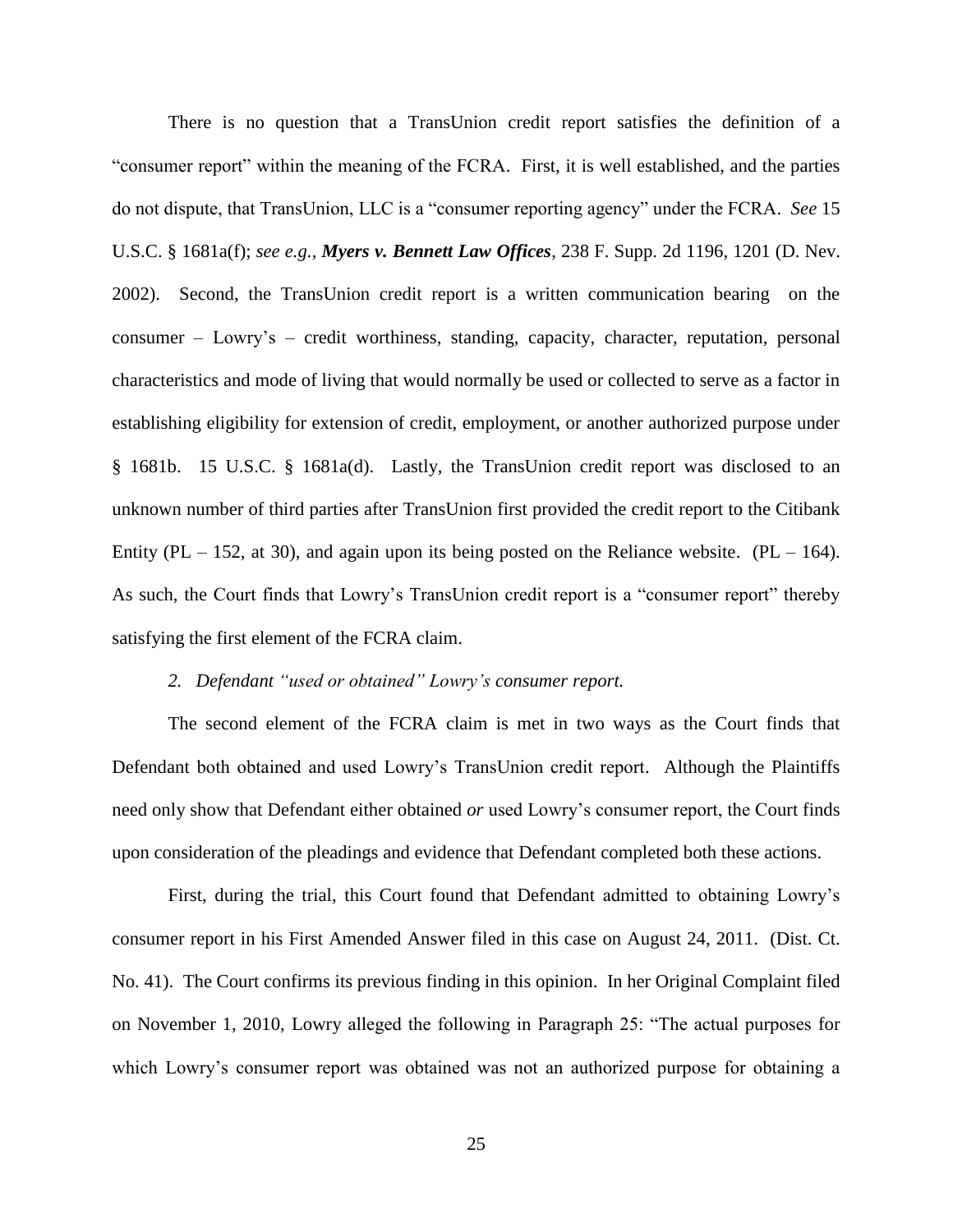There is no question that a TransUnion credit report satisfies the definition of a "consumer report" within the meaning of the FCRA. First, it is well established, and the parties do not dispute, that TransUnion, LLC is a "consumer reporting agency" under the FCRA. *See* 15 U.S.C. § 1681a(f); *see e.g., Myers v. Bennett Law Offices*, 238 F. Supp. 2d 1196, 1201 (D. Nev. 2002). Second, the TransUnion credit report is a written communication bearing on the consumer – Lowry's – credit worthiness, standing, capacity, character, reputation, personal characteristics and mode of living that would normally be used or collected to serve as a factor in establishing eligibility for extension of credit, employment, or another authorized purpose under § 1681b. 15 U.S.C. § 1681a(d). Lastly, the TransUnion credit report was disclosed to an unknown number of third parties after TransUnion first provided the credit report to the Citibank Entity (PL – 152, at 30), and again upon its being posted on the Reliance website. (PL – 164). As such, the Court finds that Lowry's TransUnion credit report is a "consumer report" thereby satisfying the first element of the FCRA claim.

# *2. Defendant "used or obtained" Lowry's consumer report.*

The second element of the FCRA claim is met in two ways as the Court finds that Defendant both obtained and used Lowry's TransUnion credit report. Although the Plaintiffs need only show that Defendant either obtained *or* used Lowry's consumer report, the Court finds upon consideration of the pleadings and evidence that Defendant completed both these actions.

First, during the trial, this Court found that Defendant admitted to obtaining Lowry's consumer report in his First Amended Answer filed in this case on August 24, 2011. (Dist. Ct. No. 41). The Court confirms its previous finding in this opinion. In her Original Complaint filed on November 1, 2010, Lowry alleged the following in Paragraph 25: "The actual purposes for which Lowry's consumer report was obtained was not an authorized purpose for obtaining a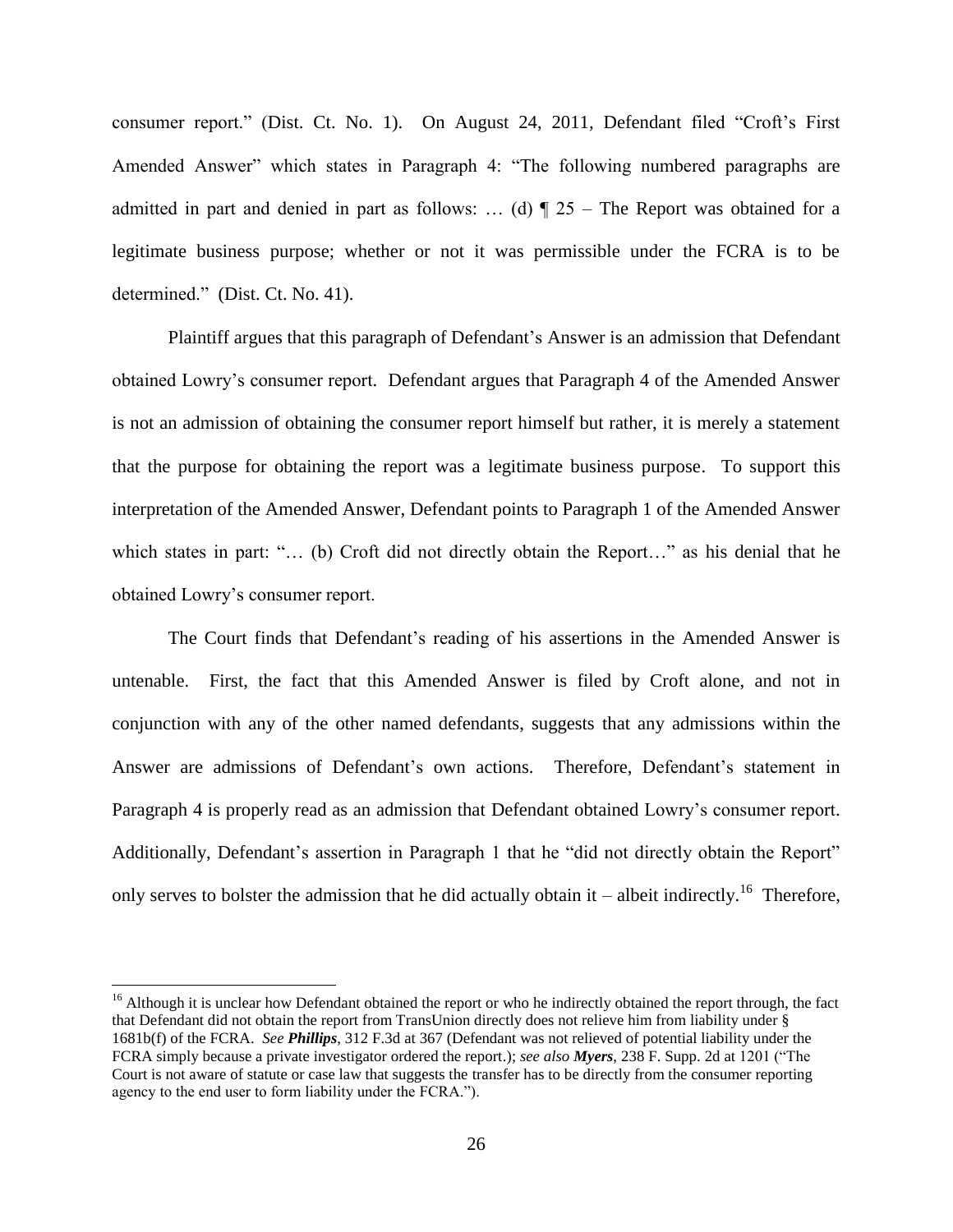consumer report." (Dist. Ct. No. 1). On August 24, 2011, Defendant filed "Croft's First Amended Answer" which states in Paragraph 4: "The following numbered paragraphs are admitted in part and denied in part as follows: ... (d)  $\P$  25 – The Report was obtained for a legitimate business purpose; whether or not it was permissible under the FCRA is to be determined." (Dist. Ct. No. 41).

Plaintiff argues that this paragraph of Defendant's Answer is an admission that Defendant obtained Lowry's consumer report. Defendant argues that Paragraph 4 of the Amended Answer is not an admission of obtaining the consumer report himself but rather, it is merely a statement that the purpose for obtaining the report was a legitimate business purpose. To support this interpretation of the Amended Answer, Defendant points to Paragraph 1 of the Amended Answer which states in part: "... (b) Croft did not directly obtain the Report..." as his denial that he obtained Lowry's consumer report.

The Court finds that Defendant's reading of his assertions in the Amended Answer is untenable. First, the fact that this Amended Answer is filed by Croft alone, and not in conjunction with any of the other named defendants, suggests that any admissions within the Answer are admissions of Defendant's own actions. Therefore, Defendant's statement in Paragraph 4 is properly read as an admission that Defendant obtained Lowry's consumer report. Additionally, Defendant's assertion in Paragraph 1 that he "did not directly obtain the Report" only serves to bolster the admission that he did actually obtain it – albeit indirectly.<sup>16</sup> Therefore,

 $\overline{\phantom{a}}$ 

 $16$  Although it is unclear how Defendant obtained the report or who he indirectly obtained the report through, the fact that Defendant did not obtain the report from TransUnion directly does not relieve him from liability under § 1681b(f) of the FCRA. *See Phillips*, 312 F.3d at 367 (Defendant was not relieved of potential liability under the FCRA simply because a private investigator ordered the report.); *see also Myers*, 238 F. Supp. 2d at 1201 ("The Court is not aware of statute or case law that suggests the transfer has to be directly from the consumer reporting agency to the end user to form liability under the FCRA.").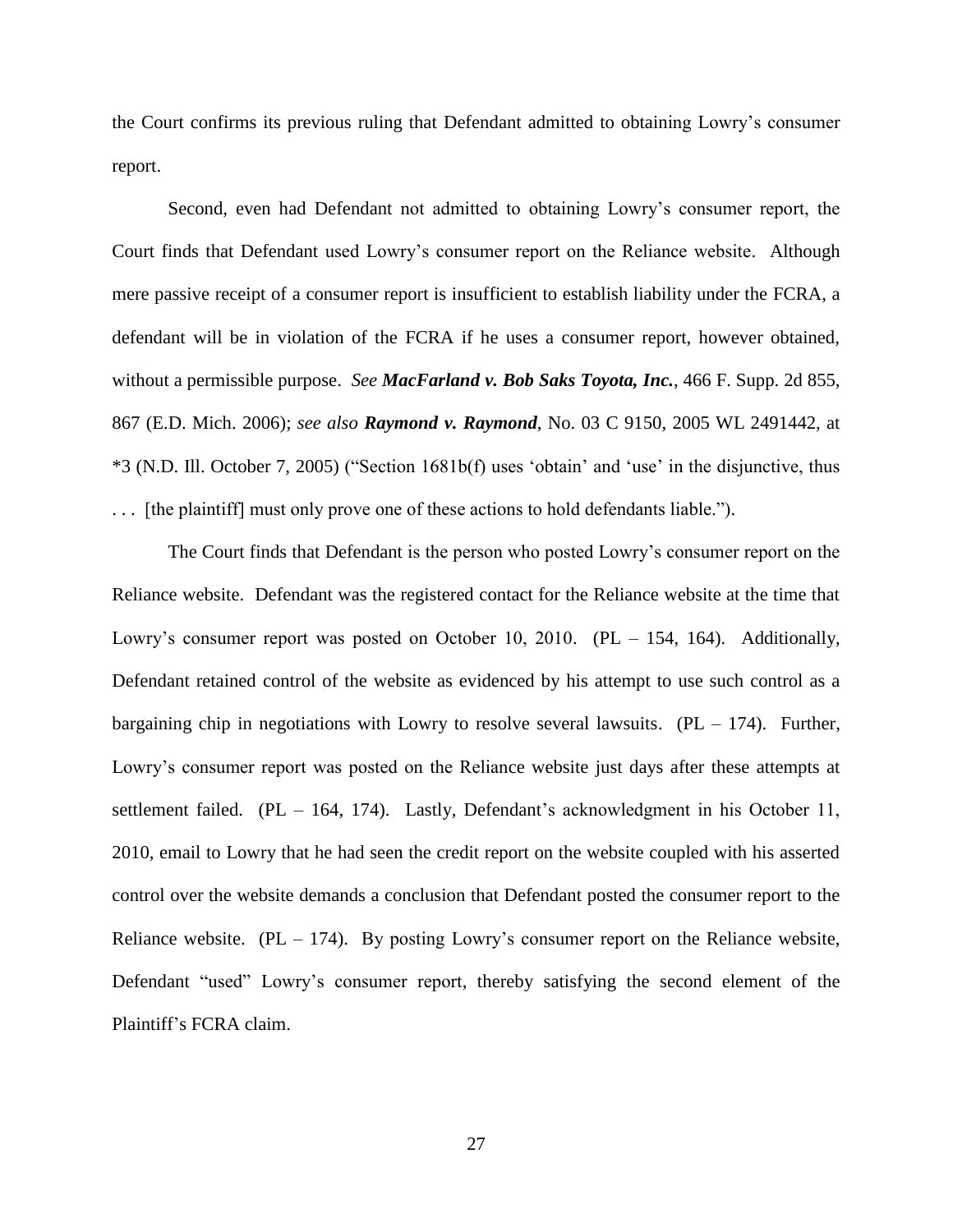the Court confirms its previous ruling that Defendant admitted to obtaining Lowry's consumer report.

Second, even had Defendant not admitted to obtaining Lowry's consumer report, the Court finds that Defendant used Lowry's consumer report on the Reliance website. Although mere passive receipt of a consumer report is insufficient to establish liability under the FCRA, a defendant will be in violation of the FCRA if he uses a consumer report, however obtained, without a permissible purpose. *See MacFarland v. Bob Saks Toyota, Inc.*, 466 F. Supp. 2d 855, 867 (E.D. Mich. 2006); *see also Raymond v. Raymond*, No. 03 C 9150, 2005 WL 2491442, at \*3 (N.D. Ill. October 7, 2005) ("Section 1681b(f) uses 'obtain' and 'use' in the disjunctive, thus . . . [the plaintiff] must only prove one of these actions to hold defendants liable.").

The Court finds that Defendant is the person who posted Lowry's consumer report on the Reliance website. Defendant was the registered contact for the Reliance website at the time that Lowry's consumer report was posted on October 10, 2010. (PL – 154, 164). Additionally, Defendant retained control of the website as evidenced by his attempt to use such control as a bargaining chip in negotiations with Lowry to resolve several lawsuits.  $(PL - 174)$ . Further, Lowry's consumer report was posted on the Reliance website just days after these attempts at settlement failed. (PL – 164, 174). Lastly, Defendant's acknowledgment in his October 11, 2010, email to Lowry that he had seen the credit report on the website coupled with his asserted control over the website demands a conclusion that Defendant posted the consumer report to the Reliance website.  $(PL - 174)$ . By posting Lowry's consumer report on the Reliance website, Defendant "used" Lowry's consumer report, thereby satisfying the second element of the Plaintiff's FCRA claim.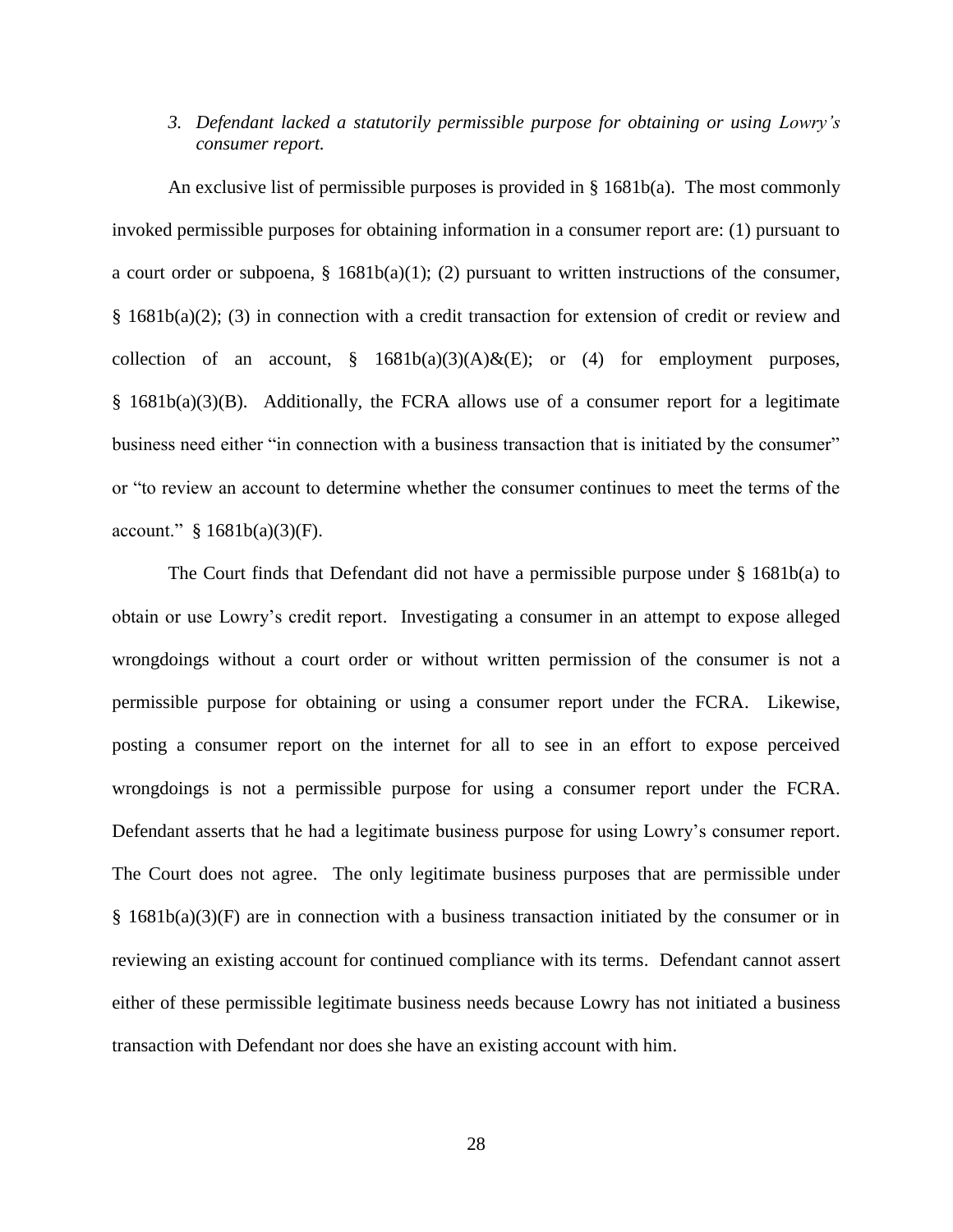# *3. Defendant lacked a statutorily permissible purpose for obtaining or using Lowry's consumer report.*

An exclusive list of permissible purposes is provided in § 1681b(a). The most commonly invoked permissible purposes for obtaining information in a consumer report are: (1) pursuant to a court order or subpoena,  $\S$  1681b(a)(1); (2) pursuant to written instructions of the consumer, § 1681b(a)(2); (3) in connection with a credit transaction for extension of credit or review and collection of an account,  $§$  1681b(a)(3)(A)&(E); or (4) for employment purposes, § 1681b(a)(3)(B). Additionally, the FCRA allows use of a consumer report for a legitimate business need either "in connection with a business transaction that is initiated by the consumer" or "to review an account to determine whether the consumer continues to meet the terms of the account."  $§ 1681b(a)(3)(F)$ .

The Court finds that Defendant did not have a permissible purpose under § 1681b(a) to obtain or use Lowry's credit report. Investigating a consumer in an attempt to expose alleged wrongdoings without a court order or without written permission of the consumer is not a permissible purpose for obtaining or using a consumer report under the FCRA. Likewise, posting a consumer report on the internet for all to see in an effort to expose perceived wrongdoings is not a permissible purpose for using a consumer report under the FCRA. Defendant asserts that he had a legitimate business purpose for using Lowry's consumer report. The Court does not agree. The only legitimate business purposes that are permissible under § 1681b(a)(3)(F) are in connection with a business transaction initiated by the consumer or in reviewing an existing account for continued compliance with its terms. Defendant cannot assert either of these permissible legitimate business needs because Lowry has not initiated a business transaction with Defendant nor does she have an existing account with him.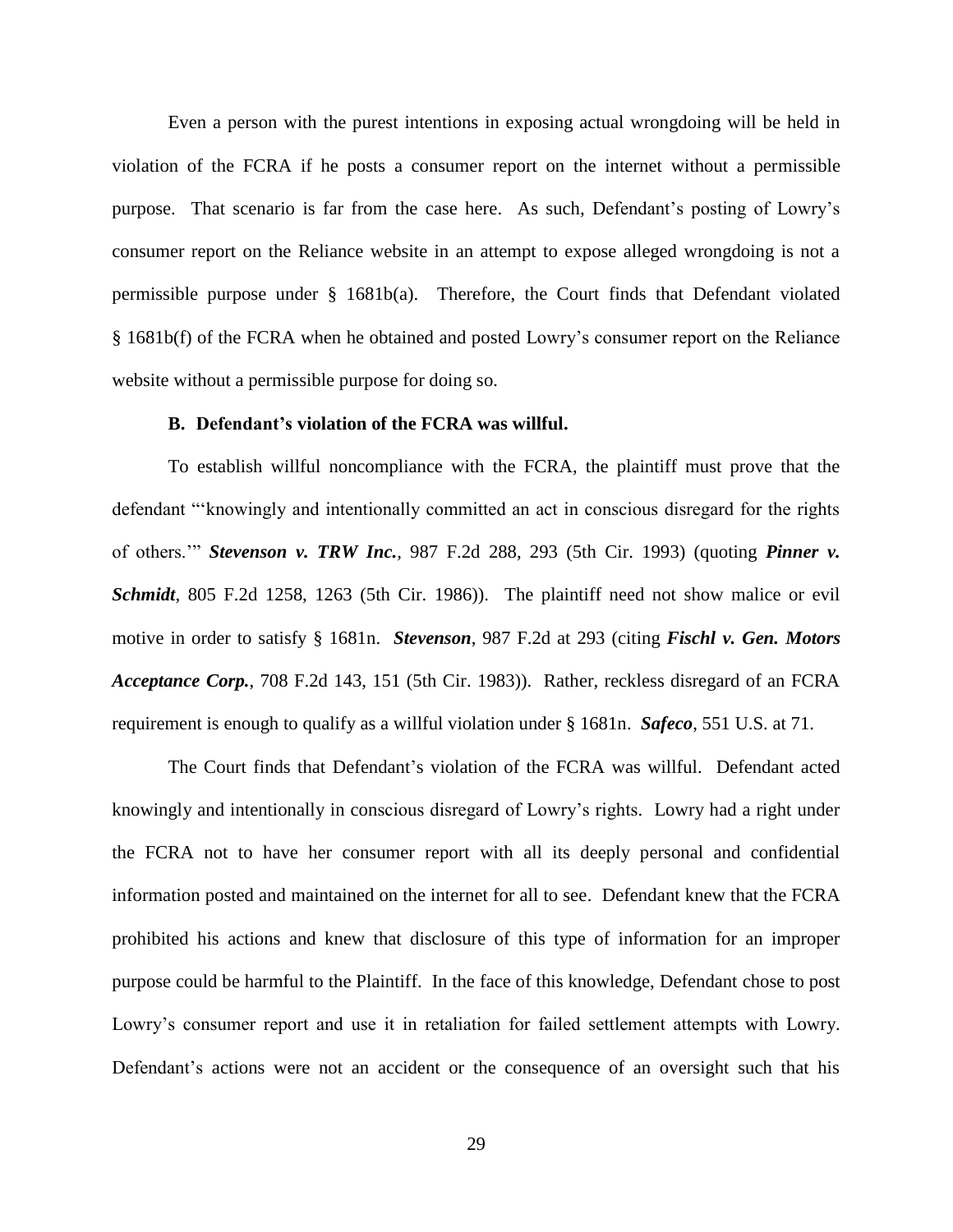Even a person with the purest intentions in exposing actual wrongdoing will be held in violation of the FCRA if he posts a consumer report on the internet without a permissible purpose. That scenario is far from the case here. As such, Defendant's posting of Lowry's consumer report on the Reliance website in an attempt to expose alleged wrongdoing is not a permissible purpose under § 1681b(a). Therefore, the Court finds that Defendant violated § 1681b(f) of the FCRA when he obtained and posted Lowry's consumer report on the Reliance website without a permissible purpose for doing so.

## **B. Defendant's violation of the FCRA was willful.**

To establish willful noncompliance with the FCRA, the plaintiff must prove that the defendant "'knowingly and intentionally committed an act in conscious disregard for the rights of others.'" *Stevenson v. TRW Inc.*, 987 F.2d 288, 293 (5th Cir. 1993) (quoting *Pinner v. Schmidt*, 805 F.2d 1258, 1263 (5th Cir. 1986)). The plaintiff need not show malice or evil motive in order to satisfy § 1681n. *Stevenson*, 987 F.2d at 293 (citing *Fischl v. Gen. Motors Acceptance Corp.*, 708 F.2d 143, 151 (5th Cir. 1983)). Rather, reckless disregard of an FCRA requirement is enough to qualify as a willful violation under § 1681n. *Safeco*, 551 U.S. at 71.

The Court finds that Defendant's violation of the FCRA was willful. Defendant acted knowingly and intentionally in conscious disregard of Lowry's rights. Lowry had a right under the FCRA not to have her consumer report with all its deeply personal and confidential information posted and maintained on the internet for all to see. Defendant knew that the FCRA prohibited his actions and knew that disclosure of this type of information for an improper purpose could be harmful to the Plaintiff. In the face of this knowledge, Defendant chose to post Lowry's consumer report and use it in retaliation for failed settlement attempts with Lowry. Defendant's actions were not an accident or the consequence of an oversight such that his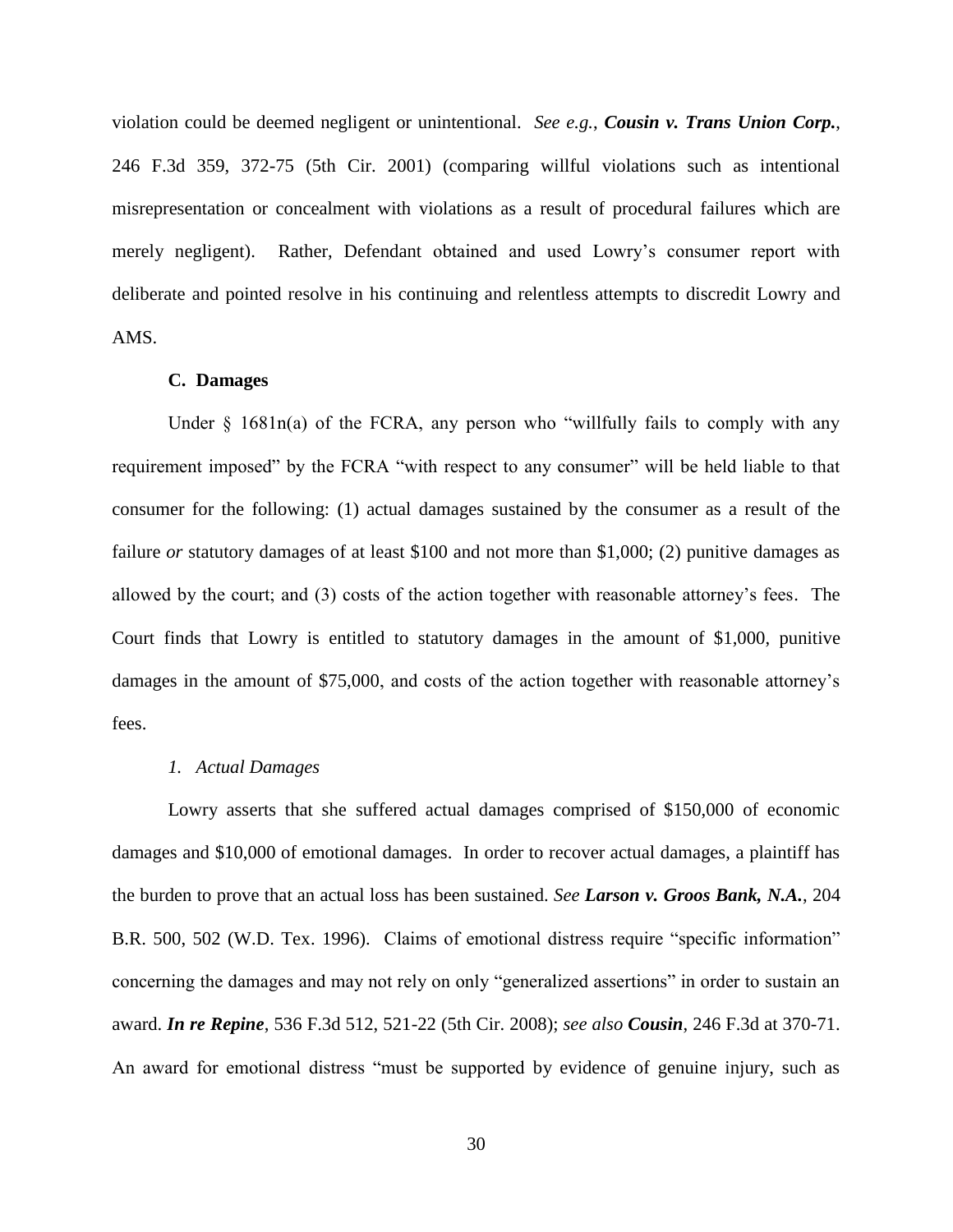violation could be deemed negligent or unintentional. *See e.g.*, *Cousin v. Trans Union Corp.*, 246 F.3d 359, 372-75 (5th Cir. 2001) (comparing willful violations such as intentional misrepresentation or concealment with violations as a result of procedural failures which are merely negligent). Rather, Defendant obtained and used Lowry's consumer report with deliberate and pointed resolve in his continuing and relentless attempts to discredit Lowry and AMS.

### **C. Damages**

Under  $\S$  1681n(a) of the FCRA, any person who "willfully fails to comply with any requirement imposed" by the FCRA "with respect to any consumer" will be held liable to that consumer for the following: (1) actual damages sustained by the consumer as a result of the failure *or* statutory damages of at least \$100 and not more than \$1,000; (2) punitive damages as allowed by the court; and (3) costs of the action together with reasonable attorney's fees. The Court finds that Lowry is entitled to statutory damages in the amount of \$1,000, punitive damages in the amount of \$75,000, and costs of the action together with reasonable attorney's fees.

# *1. Actual Damages*

Lowry asserts that she suffered actual damages comprised of \$150,000 of economic damages and \$10,000 of emotional damages. In order to recover actual damages, a plaintiff has the burden to prove that an actual loss has been sustained. *See Larson v. Groos Bank, N.A.*, 204 B.R. 500, 502 (W.D. Tex. 1996). Claims of emotional distress require "specific information" concerning the damages and may not rely on only "generalized assertions" in order to sustain an award. *In re Repine*, 536 F.3d 512, 521-22 (5th Cir. 2008); *see also Cousin*, 246 F.3d at 370-71. An award for emotional distress "must be supported by evidence of genuine injury, such as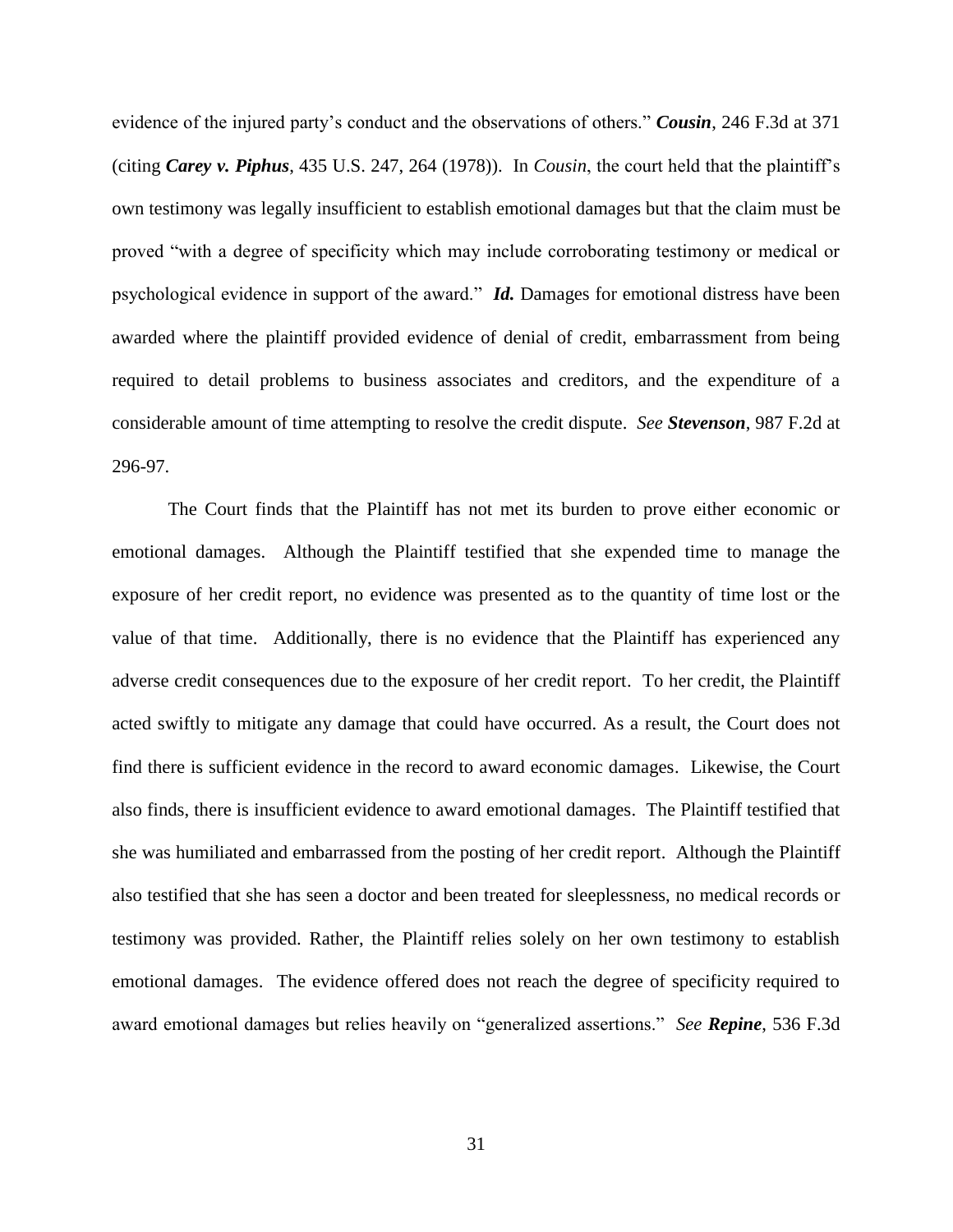evidence of the injured party's conduct and the observations of others." *Cousin*, 246 F.3d at 371 (citing *Carey v. Piphus*, 435 U.S. 247, 264 (1978)). In *Cousin*, the court held that the plaintiff's own testimony was legally insufficient to establish emotional damages but that the claim must be proved "with a degree of specificity which may include corroborating testimony or medical or psychological evidence in support of the award." *Id.* Damages for emotional distress have been awarded where the plaintiff provided evidence of denial of credit, embarrassment from being required to detail problems to business associates and creditors, and the expenditure of a considerable amount of time attempting to resolve the credit dispute. *See Stevenson*, 987 F.2d at 296-97.

The Court finds that the Plaintiff has not met its burden to prove either economic or emotional damages. Although the Plaintiff testified that she expended time to manage the exposure of her credit report, no evidence was presented as to the quantity of time lost or the value of that time. Additionally, there is no evidence that the Plaintiff has experienced any adverse credit consequences due to the exposure of her credit report. To her credit, the Plaintiff acted swiftly to mitigate any damage that could have occurred. As a result, the Court does not find there is sufficient evidence in the record to award economic damages. Likewise, the Court also finds, there is insufficient evidence to award emotional damages. The Plaintiff testified that she was humiliated and embarrassed from the posting of her credit report. Although the Plaintiff also testified that she has seen a doctor and been treated for sleeplessness, no medical records or testimony was provided. Rather, the Plaintiff relies solely on her own testimony to establish emotional damages. The evidence offered does not reach the degree of specificity required to award emotional damages but relies heavily on "generalized assertions." *See Repine*, 536 F.3d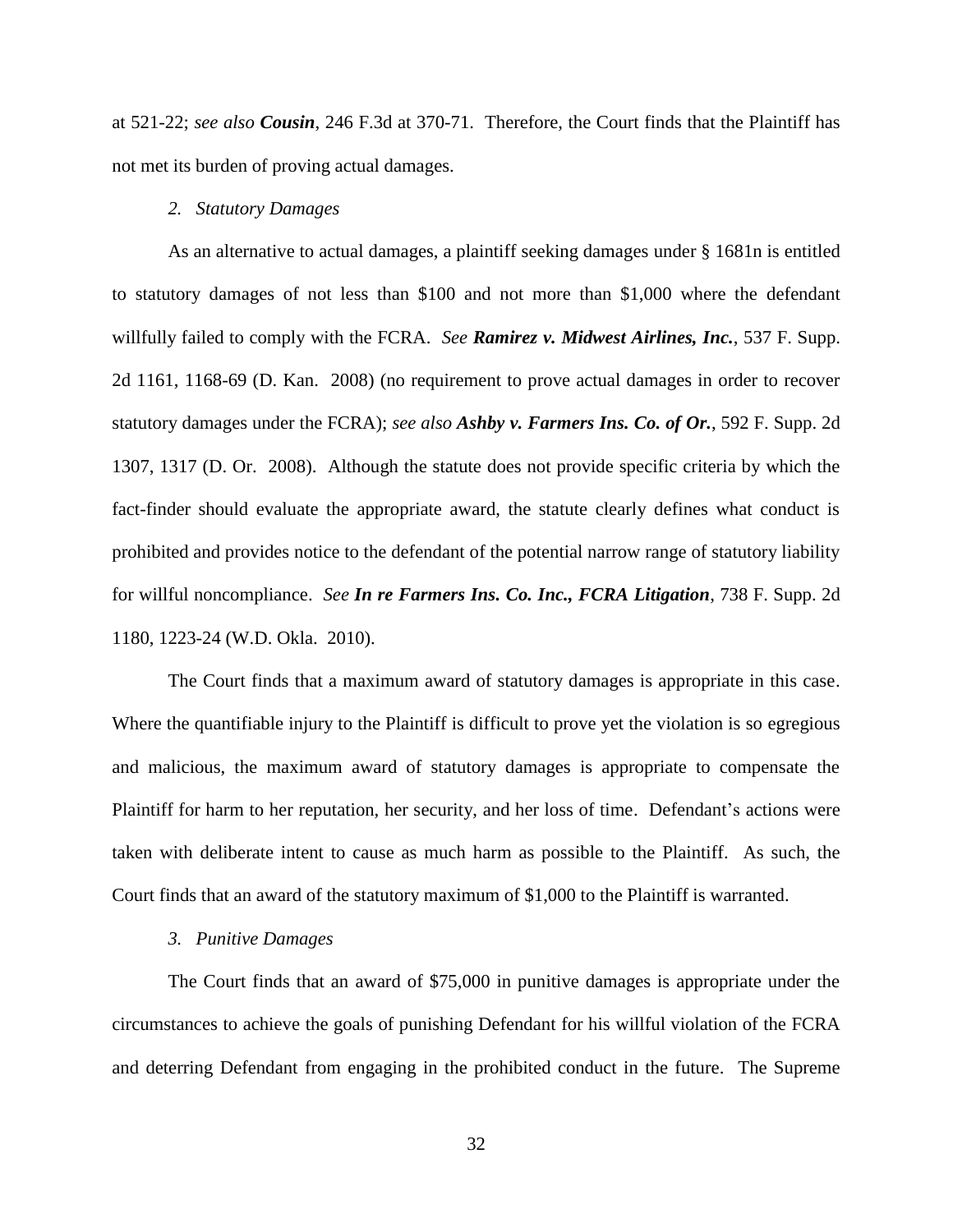at 521-22; *see also Cousin*, 246 F.3d at 370-71. Therefore, the Court finds that the Plaintiff has not met its burden of proving actual damages.

#### *2. Statutory Damages*

As an alternative to actual damages, a plaintiff seeking damages under § 1681n is entitled to statutory damages of not less than \$100 and not more than \$1,000 where the defendant willfully failed to comply with the FCRA. *See Ramirez v. Midwest Airlines, Inc.*, 537 F. Supp. 2d 1161, 1168-69 (D. Kan. 2008) (no requirement to prove actual damages in order to recover statutory damages under the FCRA); *see also Ashby v. Farmers Ins. Co. of Or.*, 592 F. Supp. 2d 1307, 1317 (D. Or. 2008). Although the statute does not provide specific criteria by which the fact-finder should evaluate the appropriate award, the statute clearly defines what conduct is prohibited and provides notice to the defendant of the potential narrow range of statutory liability for willful noncompliance. *See In re Farmers Ins. Co. Inc., FCRA Litigation*, 738 F. Supp. 2d 1180, 1223-24 (W.D. Okla. 2010).

The Court finds that a maximum award of statutory damages is appropriate in this case. Where the quantifiable injury to the Plaintiff is difficult to prove yet the violation is so egregious and malicious, the maximum award of statutory damages is appropriate to compensate the Plaintiff for harm to her reputation, her security, and her loss of time. Defendant's actions were taken with deliberate intent to cause as much harm as possible to the Plaintiff. As such, the Court finds that an award of the statutory maximum of \$1,000 to the Plaintiff is warranted.

#### *3. Punitive Damages*

The Court finds that an award of \$75,000 in punitive damages is appropriate under the circumstances to achieve the goals of punishing Defendant for his willful violation of the FCRA and deterring Defendant from engaging in the prohibited conduct in the future. The Supreme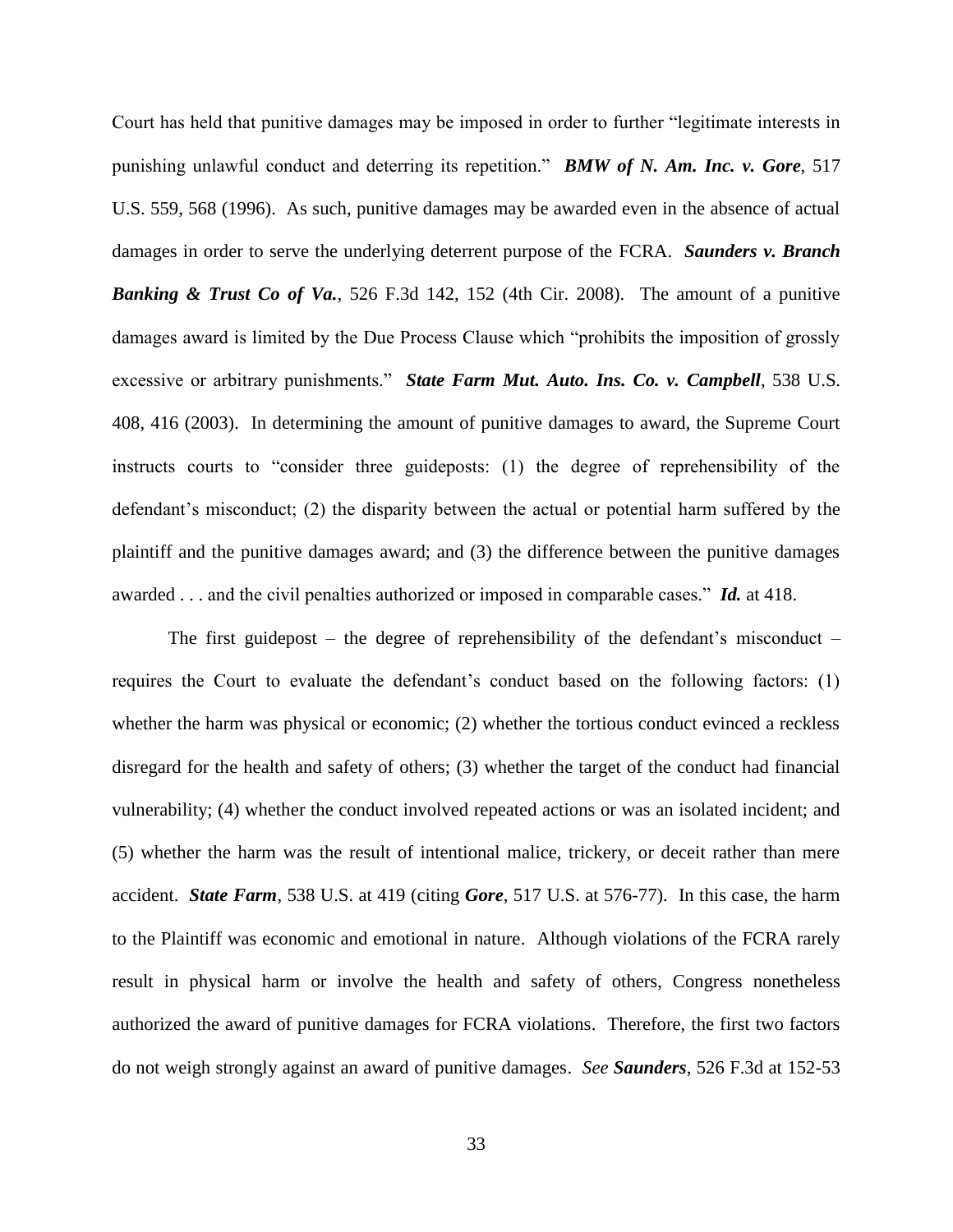Court has held that punitive damages may be imposed in order to further "legitimate interests in punishing unlawful conduct and deterring its repetition." *BMW of N. Am. Inc. v. Gore*, 517 U.S. 559, 568 (1996). As such, punitive damages may be awarded even in the absence of actual damages in order to serve the underlying deterrent purpose of the FCRA. *Saunders v. Branch Banking & Trust Co of Va.*, 526 F.3d 142, 152 (4th Cir. 2008). The amount of a punitive damages award is limited by the Due Process Clause which "prohibits the imposition of grossly excessive or arbitrary punishments." *State Farm Mut. Auto. Ins. Co. v. Campbell*, 538 U.S. 408, 416 (2003). In determining the amount of punitive damages to award, the Supreme Court instructs courts to "consider three guideposts: (1) the degree of reprehensibility of the defendant's misconduct; (2) the disparity between the actual or potential harm suffered by the plaintiff and the punitive damages award; and (3) the difference between the punitive damages awarded . . . and the civil penalties authorized or imposed in comparable cases." *Id.* at 418.

The first guidepost – the degree of reprehensibility of the defendant's misconduct – requires the Court to evaluate the defendant's conduct based on the following factors: (1) whether the harm was physical or economic; (2) whether the tortious conduct evinced a reckless disregard for the health and safety of others; (3) whether the target of the conduct had financial vulnerability; (4) whether the conduct involved repeated actions or was an isolated incident; and (5) whether the harm was the result of intentional malice, trickery, or deceit rather than mere accident. *State Farm*, 538 U.S. at 419 (citing *Gore*, 517 U.S. at 576-77). In this case, the harm to the Plaintiff was economic and emotional in nature. Although violations of the FCRA rarely result in physical harm or involve the health and safety of others, Congress nonetheless authorized the award of punitive damages for FCRA violations. Therefore, the first two factors do not weigh strongly against an award of punitive damages. *See Saunders*, 526 F.3d at 152-53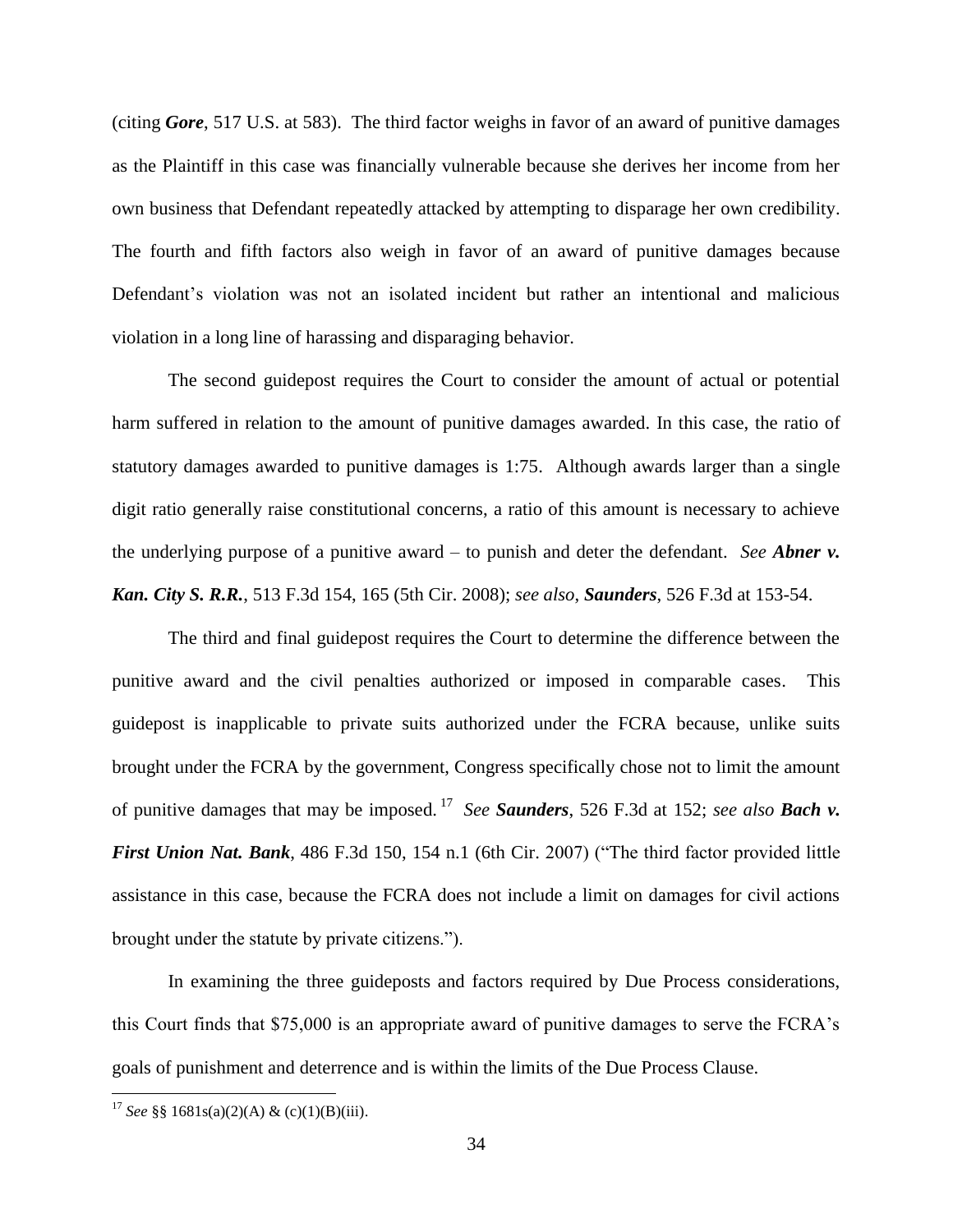(citing *Gore*, 517 U.S. at 583). The third factor weighs in favor of an award of punitive damages as the Plaintiff in this case was financially vulnerable because she derives her income from her own business that Defendant repeatedly attacked by attempting to disparage her own credibility. The fourth and fifth factors also weigh in favor of an award of punitive damages because Defendant's violation was not an isolated incident but rather an intentional and malicious violation in a long line of harassing and disparaging behavior.

The second guidepost requires the Court to consider the amount of actual or potential harm suffered in relation to the amount of punitive damages awarded. In this case, the ratio of statutory damages awarded to punitive damages is 1:75. Although awards larger than a single digit ratio generally raise constitutional concerns, a ratio of this amount is necessary to achieve the underlying purpose of a punitive award – to punish and deter the defendant. *See Abner v. Kan. City S. R.R.*, 513 F.3d 154, 165 (5th Cir. 2008); *see also*, *Saunders*, 526 F.3d at 153-54.

The third and final guidepost requires the Court to determine the difference between the punitive award and the civil penalties authorized or imposed in comparable cases. This guidepost is inapplicable to private suits authorized under the FCRA because, unlike suits brought under the FCRA by the government, Congress specifically chose not to limit the amount of punitive damages that may be imposed. <sup>17</sup> *See Saunders*, 526 F.3d at 152; *see also Bach v. First Union Nat. Bank*, 486 F.3d 150, 154 n.1 (6th Cir. 2007) ("The third factor provided little assistance in this case, because the FCRA does not include a limit on damages for civil actions brought under the statute by private citizens.").

In examining the three guideposts and factors required by Due Process considerations, this Court finds that \$75,000 is an appropriate award of punitive damages to serve the FCRA's goals of punishment and deterrence and is within the limits of the Due Process Clause.

 $\overline{\phantom{a}}$ 

<sup>&</sup>lt;sup>17</sup> *See* §§ 1681s(a)(2)(A) & (c)(1)(B)(iii).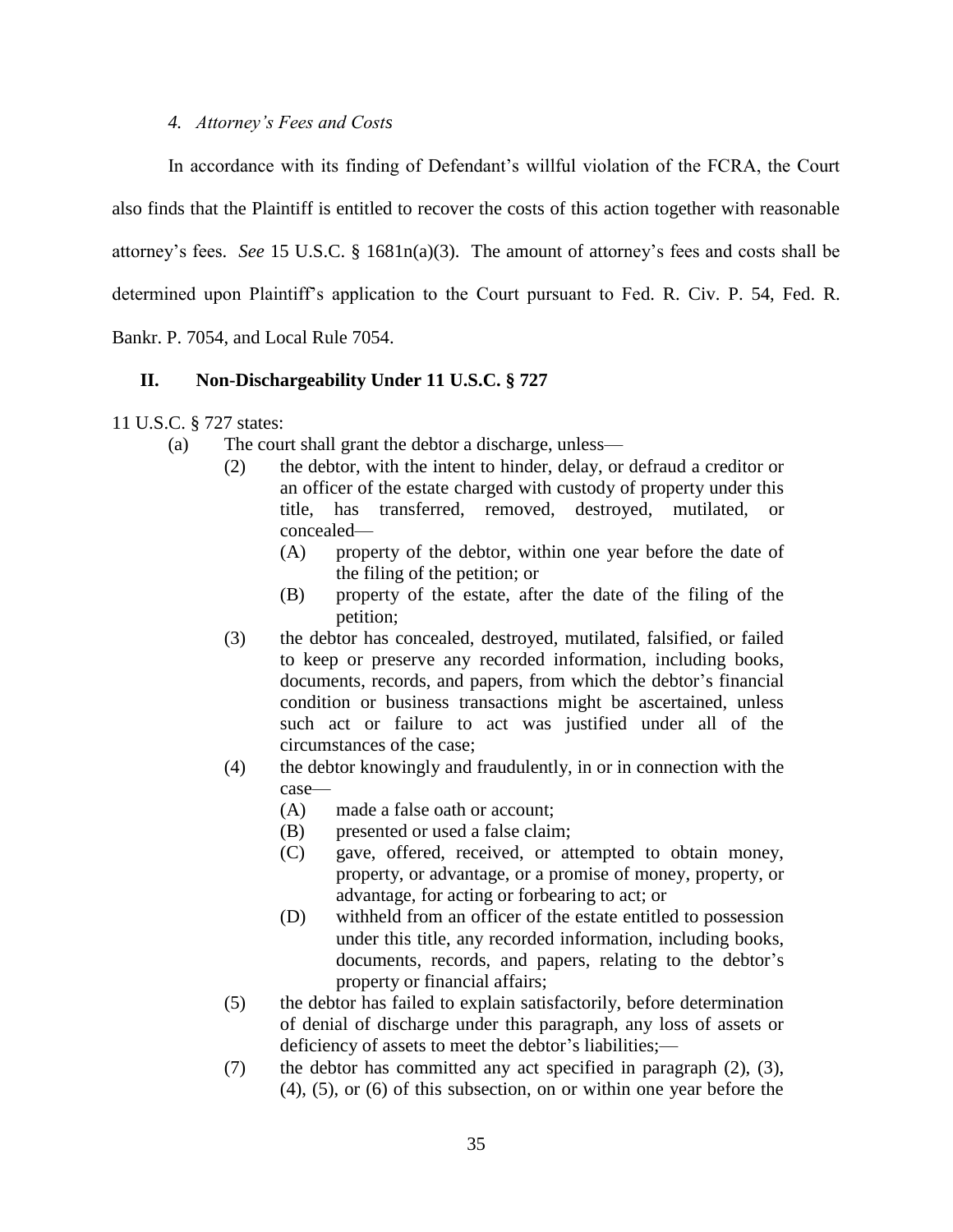# *4. Attorney's Fees and Costs*

In accordance with its finding of Defendant's willful violation of the FCRA, the Court also finds that the Plaintiff is entitled to recover the costs of this action together with reasonable attorney's fees. *See* 15 U.S.C. § 1681n(a)(3). The amount of attorney's fees and costs shall be determined upon Plaintiff's application to the Court pursuant to Fed. R. Civ. P. 54, Fed. R. Bankr. P. 7054, and Local Rule 7054.

# **II. Non-Dischargeability Under 11 U.S.C. § 727**

11 U.S.C. § 727 states:

- (a) The court shall grant the debtor a discharge, unless—
	- (2) the debtor, with the intent to hinder, delay, or defraud a creditor or an officer of the estate charged with custody of property under this title, has transferred, removed, destroyed, mutilated, or concealed—
		- (A) property of the debtor, within one year before the date of the filing of the petition; or
		- (B) property of the estate, after the date of the filing of the petition;
	- (3) the debtor has concealed, destroyed, mutilated, falsified, or failed to keep or preserve any recorded information, including books, documents, records, and papers, from which the debtor's financial condition or business transactions might be ascertained, unless such act or failure to act was justified under all of the circumstances of the case;
	- (4) the debtor knowingly and fraudulently, in or in connection with the case—
		- (A) made a false oath or account;
		- (B) presented or used a false claim;
		- (C) gave, offered, received, or attempted to obtain money, property, or advantage, or a promise of money, property, or advantage, for acting or forbearing to act; or
		- (D) withheld from an officer of the estate entitled to possession under this title, any recorded information, including books, documents, records, and papers, relating to the debtor's property or financial affairs;
	- (5) the debtor has failed to explain satisfactorily, before determination of denial of discharge under this paragraph, any loss of assets or deficiency of assets to meet the debtor's liabilities;—
	- (7) the debtor has committed any act specified in paragraph (2), (3), (4), (5), or (6) of this subsection, on or within one year before the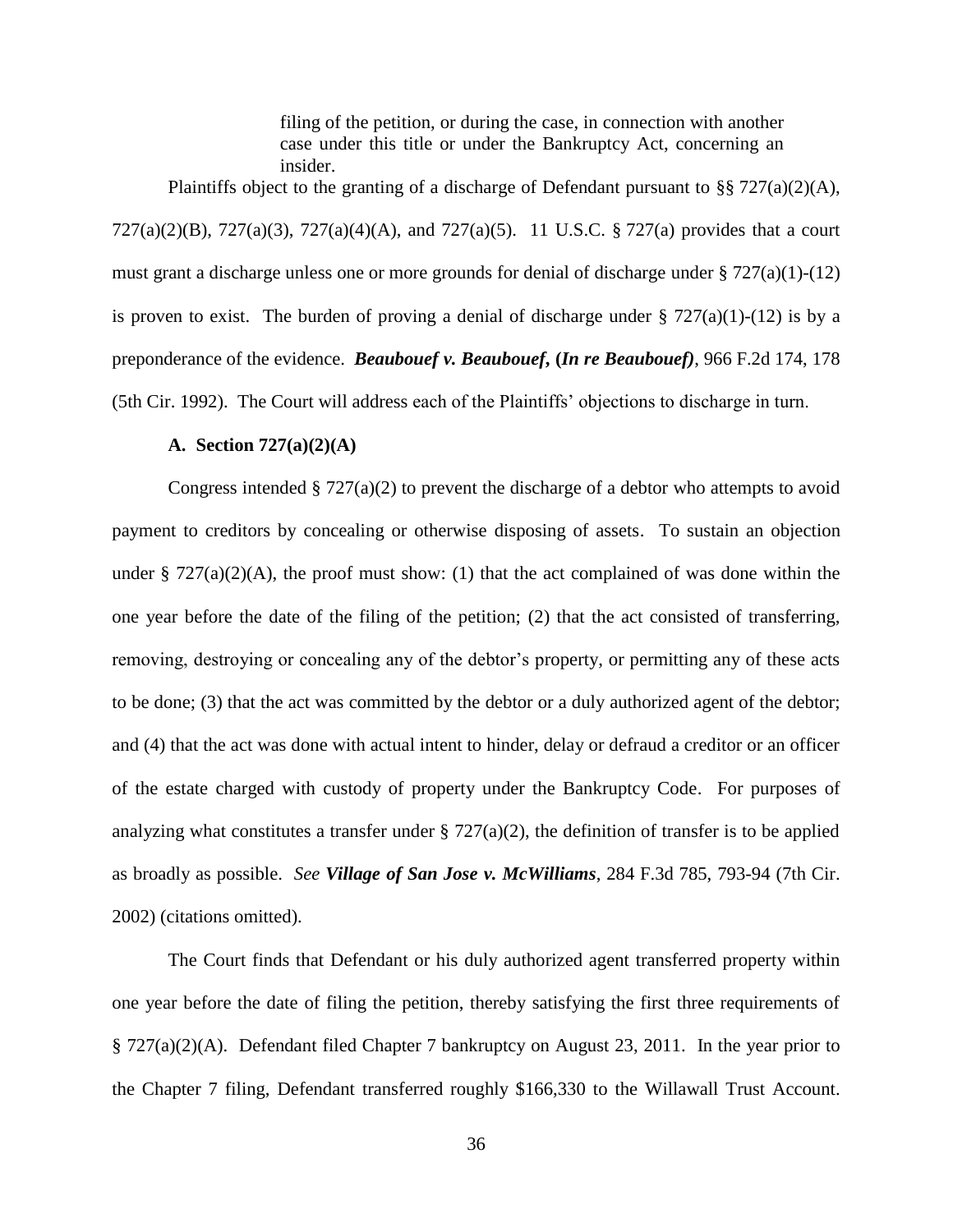filing of the petition, or during the case, in connection with another case under this title or under the Bankruptcy Act, concerning an insider.

Plaintiffs object to the granting of a discharge of Defendant pursuant to §§ 727(a)(2)(A), 727(a)(2)(B), 727(a)(3), 727(a)(4)(A), and 727(a)(5). 11 U.S.C. § 727(a) provides that a court must grant a discharge unless one or more grounds for denial of discharge under § 727(a)(1)-(12) is proven to exist. The burden of proving a denial of discharge under  $\S 727(a)(1)-(12)$  is by a preponderance of the evidence. *Beaubouef v. Beaubouef***, (***In re Beaubouef)*, 966 F.2d 174, 178 (5th Cir. 1992). The Court will address each of the Plaintiffs' objections to discharge in turn.

# **A. Section 727(a)(2)(A)**

Congress intended  $\S 727(a)(2)$  to prevent the discharge of a debtor who attempts to avoid payment to creditors by concealing or otherwise disposing of assets. To sustain an objection under §  $727(a)(2)(A)$ , the proof must show: (1) that the act complained of was done within the one year before the date of the filing of the petition; (2) that the act consisted of transferring, removing, destroying or concealing any of the debtor's property, or permitting any of these acts to be done; (3) that the act was committed by the debtor or a duly authorized agent of the debtor; and (4) that the act was done with actual intent to hinder, delay or defraud a creditor or an officer of the estate charged with custody of property under the Bankruptcy Code. For purposes of analyzing what constitutes a transfer under  $\S 727(a)(2)$ , the definition of transfer is to be applied as broadly as possible. *See Village of San Jose v. McWilliams*, 284 F.3d 785, 793-94 (7th Cir. 2002) (citations omitted).

The Court finds that Defendant or his duly authorized agent transferred property within one year before the date of filing the petition, thereby satisfying the first three requirements of § 727(a)(2)(A). Defendant filed Chapter 7 bankruptcy on August 23, 2011. In the year prior to the Chapter 7 filing, Defendant transferred roughly \$166,330 to the Willawall Trust Account.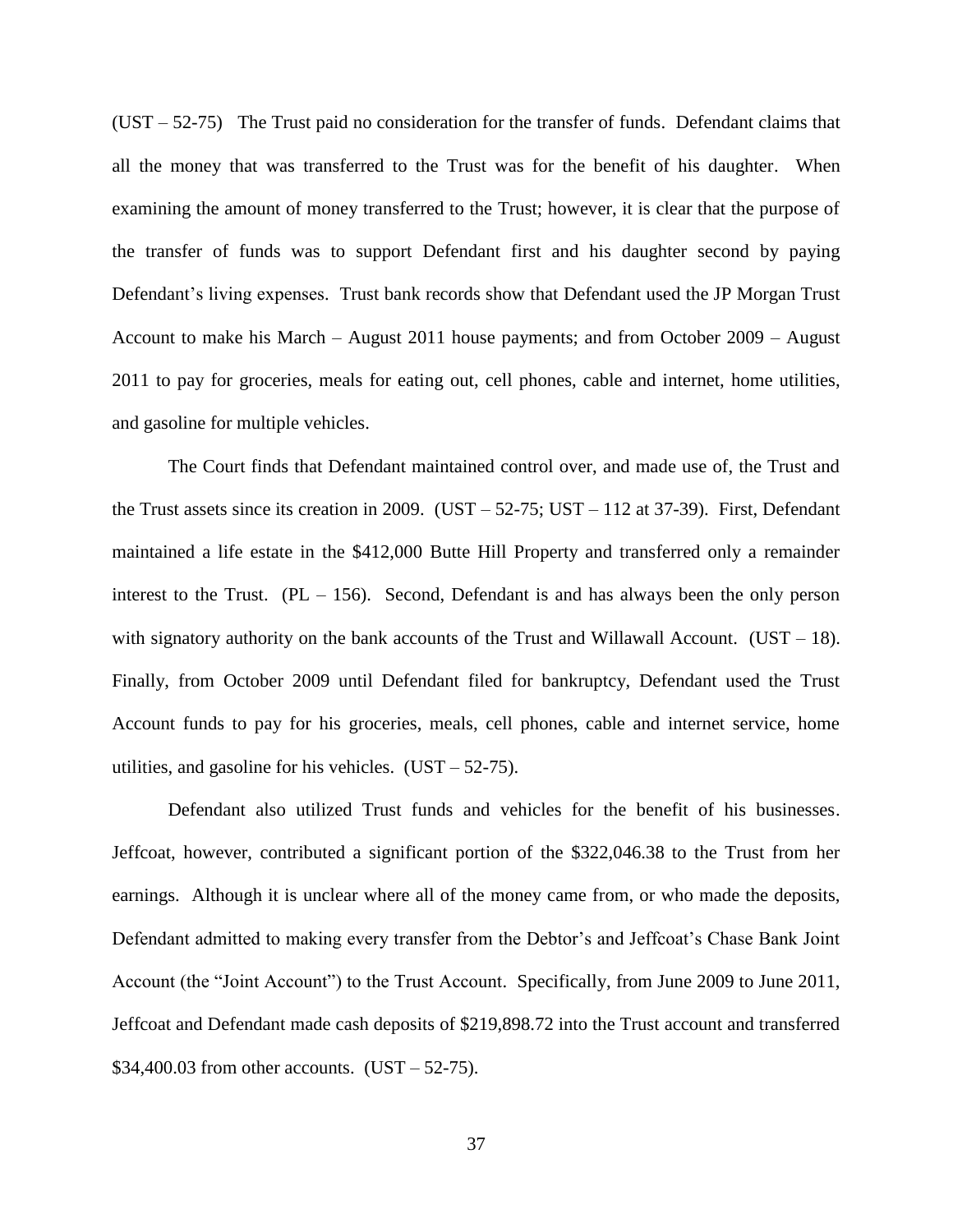$(UST - 52-75)$  The Trust paid no consideration for the transfer of funds. Defendant claims that all the money that was transferred to the Trust was for the benefit of his daughter. When examining the amount of money transferred to the Trust; however, it is clear that the purpose of the transfer of funds was to support Defendant first and his daughter second by paying Defendant's living expenses. Trust bank records show that Defendant used the JP Morgan Trust Account to make his March – August 2011 house payments; and from October 2009 – August 2011 to pay for groceries, meals for eating out, cell phones, cable and internet, home utilities, and gasoline for multiple vehicles.

The Court finds that Defendant maintained control over, and made use of, the Trust and the Trust assets since its creation in 2009. (UST  $-$  52-75; UST  $-$  112 at 37-39). First, Defendant maintained a life estate in the \$412,000 Butte Hill Property and transferred only a remainder interest to the Trust. (PL – 156). Second, Defendant is and has always been the only person with signatory authority on the bank accounts of the Trust and Willawall Account. (UST  $-$  18). Finally, from October 2009 until Defendant filed for bankruptcy, Defendant used the Trust Account funds to pay for his groceries, meals, cell phones, cable and internet service, home utilities, and gasoline for his vehicles.  $(UST - 52-75)$ .

Defendant also utilized Trust funds and vehicles for the benefit of his businesses. Jeffcoat, however, contributed a significant portion of the \$322,046.38 to the Trust from her earnings. Although it is unclear where all of the money came from, or who made the deposits, Defendant admitted to making every transfer from the Debtor's and Jeffcoat's Chase Bank Joint Account (the "Joint Account") to the Trust Account. Specifically, from June 2009 to June 2011, Jeffcoat and Defendant made cash deposits of \$219,898.72 into the Trust account and transferred \$34,400.03 from other accounts.  $(UST - 52-75)$ .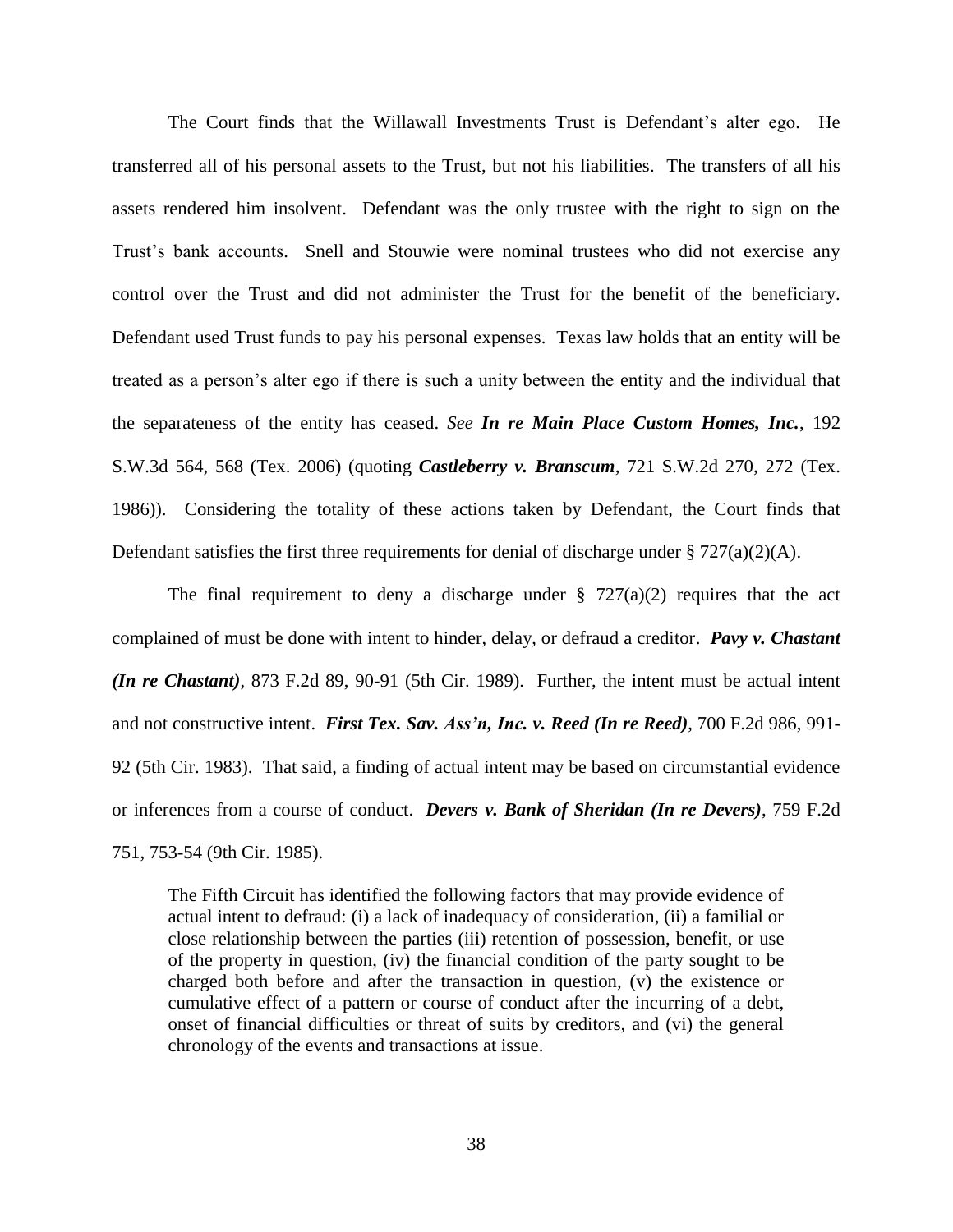The Court finds that the Willawall Investments Trust is Defendant's alter ego. He transferred all of his personal assets to the Trust, but not his liabilities. The transfers of all his assets rendered him insolvent. Defendant was the only trustee with the right to sign on the Trust's bank accounts. Snell and Stouwie were nominal trustees who did not exercise any control over the Trust and did not administer the Trust for the benefit of the beneficiary. Defendant used Trust funds to pay his personal expenses. Texas law holds that an entity will be treated as a person's alter ego if there is such a unity between the entity and the individual that the separateness of the entity has ceased. *See In re Main Place Custom Homes, Inc.*, 192 S.W.3d 564, 568 (Tex. 2006) (quoting *Castleberry v. Branscum*, 721 S.W.2d 270, 272 (Tex. 1986)). Considering the totality of these actions taken by Defendant, the Court finds that Defendant satisfies the first three requirements for denial of discharge under  $\S 727(a)(2)(A)$ .

The final requirement to deny a discharge under  $\S$  727(a)(2) requires that the act complained of must be done with intent to hinder, delay, or defraud a creditor. *Pavy v. Chastant (In re Chastant)*, 873 F.2d 89, 90-91 (5th Cir. 1989). Further, the intent must be actual intent and not constructive intent. *First Tex. Sav. Ass'n, Inc. v. Reed (In re Reed)*, 700 F.2d 986, 991- 92 (5th Cir. 1983). That said, a finding of actual intent may be based on circumstantial evidence or inferences from a course of conduct. *Devers v. Bank of Sheridan (In re Devers)*, 759 F.2d 751, 753-54 (9th Cir. 1985).

The Fifth Circuit has identified the following factors that may provide evidence of actual intent to defraud: (i) a lack of inadequacy of consideration, (ii) a familial or close relationship between the parties (iii) retention of possession, benefit, or use of the property in question, (iv) the financial condition of the party sought to be charged both before and after the transaction in question, (v) the existence or cumulative effect of a pattern or course of conduct after the incurring of a debt, onset of financial difficulties or threat of suits by creditors, and (vi) the general chronology of the events and transactions at issue.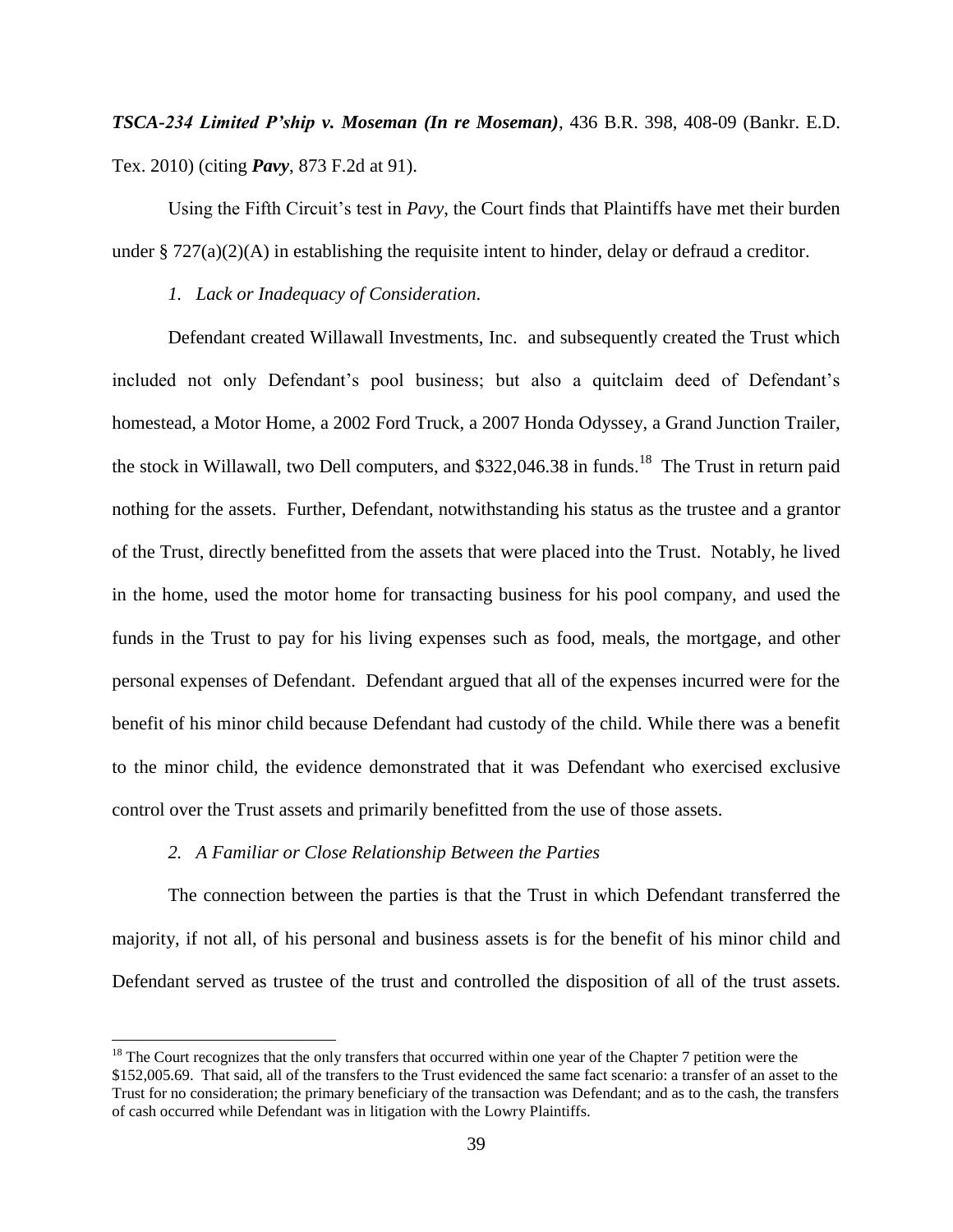*TSCA-234 Limited P'ship v. Moseman (In re Moseman)*, 436 B.R. 398, 408-09 (Bankr. E.D. Tex. 2010) (citing *Pavy*, 873 F.2d at 91).

Using the Fifth Circuit's test in *Pavy*, the Court finds that Plaintiffs have met their burden under §  $727(a)(2)(A)$  in establishing the requisite intent to hinder, delay or defraud a creditor.

*1. Lack or Inadequacy of Consideration*.

Defendant created Willawall Investments, Inc. and subsequently created the Trust which included not only Defendant's pool business; but also a quitclaim deed of Defendant's homestead, a Motor Home, a 2002 Ford Truck, a 2007 Honda Odyssey, a Grand Junction Trailer, the stock in Willawall, two Dell computers, and \$322,046.38 in funds.<sup>18</sup> The Trust in return paid nothing for the assets. Further, Defendant, notwithstanding his status as the trustee and a grantor of the Trust, directly benefitted from the assets that were placed into the Trust. Notably, he lived in the home, used the motor home for transacting business for his pool company, and used the funds in the Trust to pay for his living expenses such as food, meals, the mortgage, and other personal expenses of Defendant. Defendant argued that all of the expenses incurred were for the benefit of his minor child because Defendant had custody of the child. While there was a benefit to the minor child, the evidence demonstrated that it was Defendant who exercised exclusive control over the Trust assets and primarily benefitted from the use of those assets.

#### *2. A Familiar or Close Relationship Between the Parties*

 $\overline{\phantom{a}}$ 

The connection between the parties is that the Trust in which Defendant transferred the majority, if not all, of his personal and business assets is for the benefit of his minor child and Defendant served as trustee of the trust and controlled the disposition of all of the trust assets.

 $18$  The Court recognizes that the only transfers that occurred within one year of the Chapter 7 petition were the \$152,005.69. That said, all of the transfers to the Trust evidenced the same fact scenario: a transfer of an asset to the Trust for no consideration; the primary beneficiary of the transaction was Defendant; and as to the cash, the transfers of cash occurred while Defendant was in litigation with the Lowry Plaintiffs.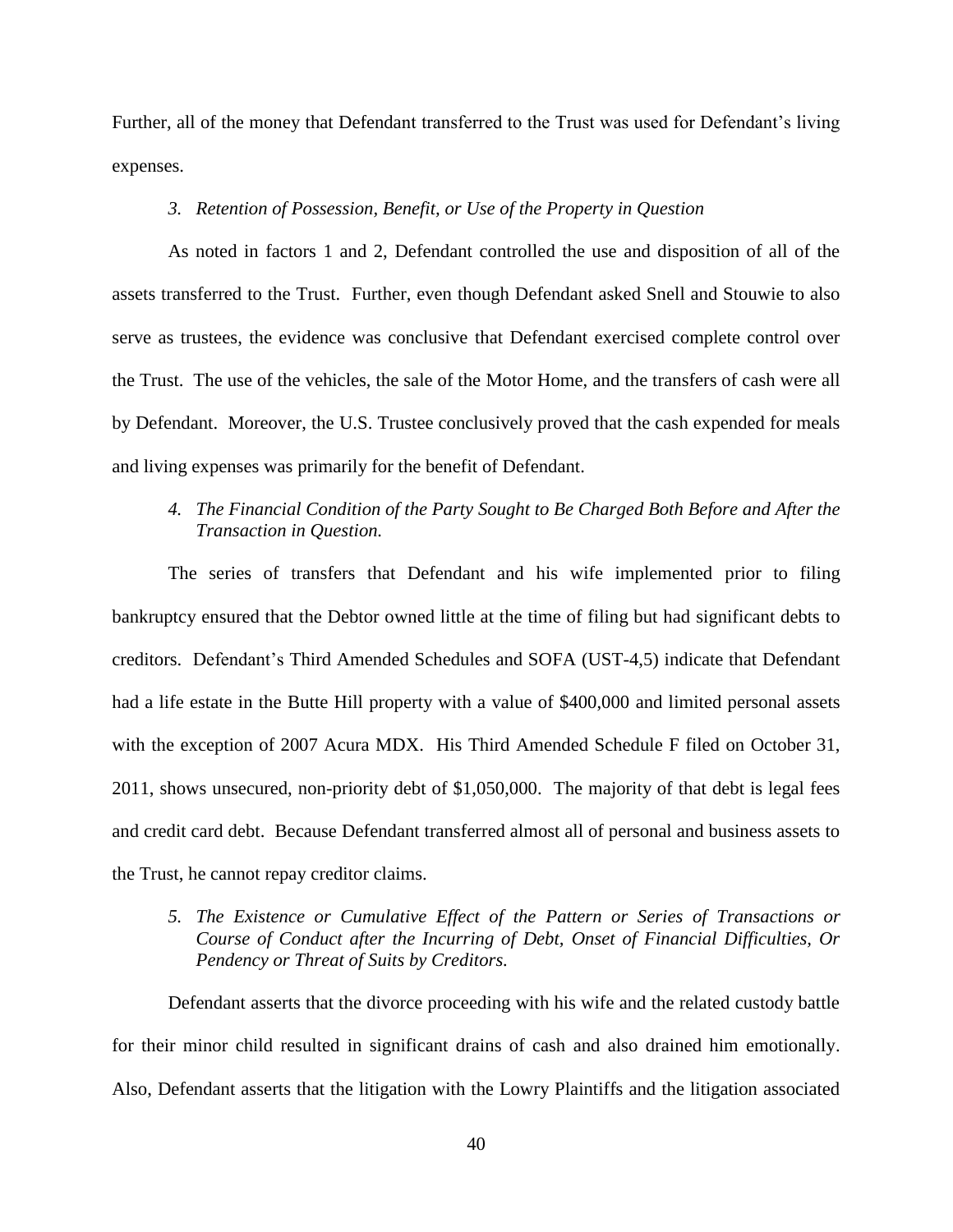Further, all of the money that Defendant transferred to the Trust was used for Defendant's living expenses.

# *3. Retention of Possession, Benefit, or Use of the Property in Question*

As noted in factors 1 and 2, Defendant controlled the use and disposition of all of the assets transferred to the Trust. Further, even though Defendant asked Snell and Stouwie to also serve as trustees, the evidence was conclusive that Defendant exercised complete control over the Trust. The use of the vehicles, the sale of the Motor Home, and the transfers of cash were all by Defendant. Moreover, the U.S. Trustee conclusively proved that the cash expended for meals and living expenses was primarily for the benefit of Defendant.

# *4. The Financial Condition of the Party Sought to Be Charged Both Before and After the Transaction in Question.*

The series of transfers that Defendant and his wife implemented prior to filing bankruptcy ensured that the Debtor owned little at the time of filing but had significant debts to creditors. Defendant's Third Amended Schedules and SOFA (UST-4,5) indicate that Defendant had a life estate in the Butte Hill property with a value of \$400,000 and limited personal assets with the exception of 2007 Acura MDX. His Third Amended Schedule F filed on October 31, 2011, shows unsecured, non-priority debt of \$1,050,000. The majority of that debt is legal fees and credit card debt. Because Defendant transferred almost all of personal and business assets to the Trust, he cannot repay creditor claims.

# *5. The Existence or Cumulative Effect of the Pattern or Series of Transactions or Course of Conduct after the Incurring of Debt, Onset of Financial Difficulties, Or Pendency or Threat of Suits by Creditors.*

Defendant asserts that the divorce proceeding with his wife and the related custody battle for their minor child resulted in significant drains of cash and also drained him emotionally. Also, Defendant asserts that the litigation with the Lowry Plaintiffs and the litigation associated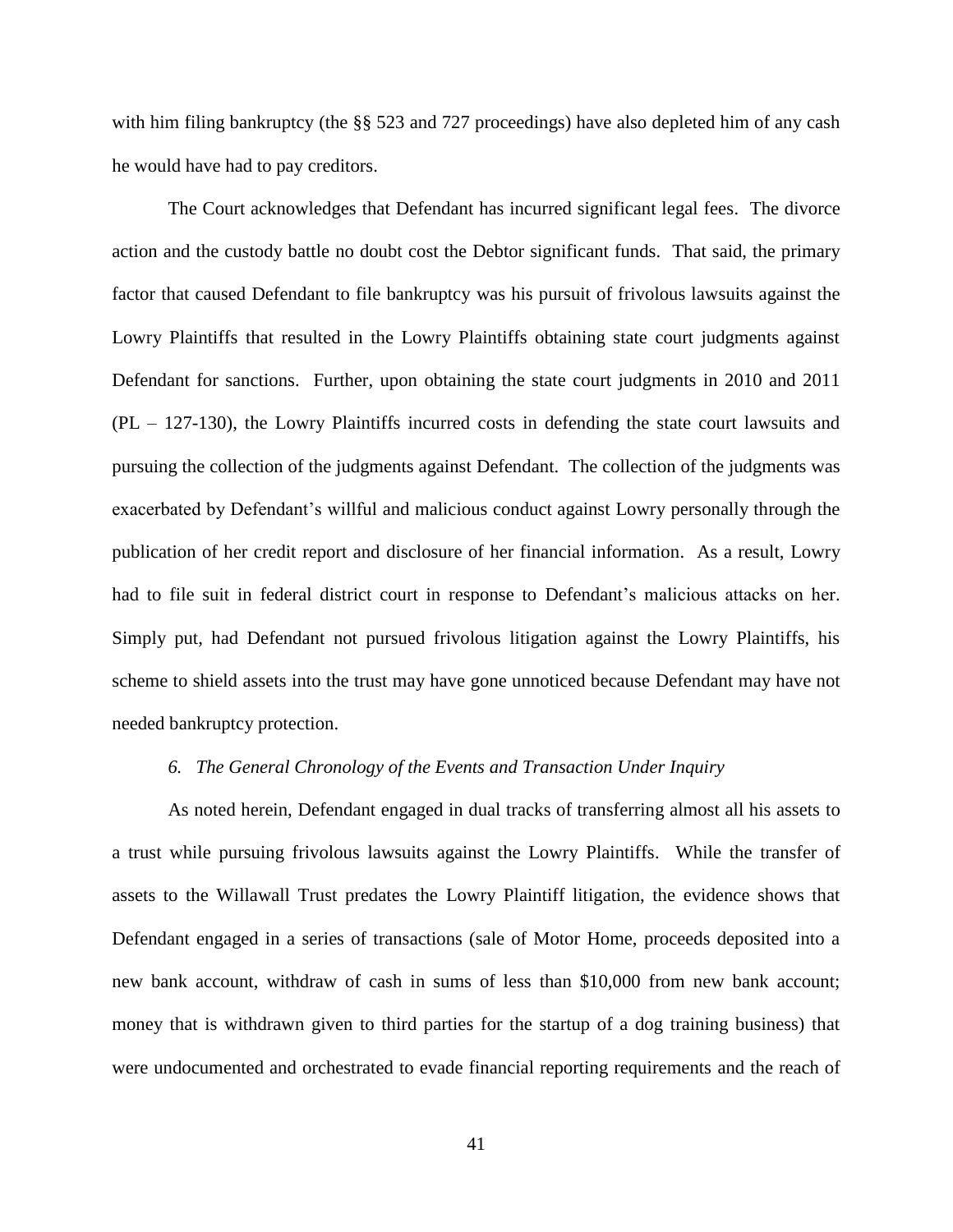with him filing bankruptcy (the §§ 523 and 727 proceedings) have also depleted him of any cash he would have had to pay creditors.

The Court acknowledges that Defendant has incurred significant legal fees. The divorce action and the custody battle no doubt cost the Debtor significant funds. That said, the primary factor that caused Defendant to file bankruptcy was his pursuit of frivolous lawsuits against the Lowry Plaintiffs that resulted in the Lowry Plaintiffs obtaining state court judgments against Defendant for sanctions. Further, upon obtaining the state court judgments in 2010 and 2011 (PL – 127-130), the Lowry Plaintiffs incurred costs in defending the state court lawsuits and pursuing the collection of the judgments against Defendant. The collection of the judgments was exacerbated by Defendant's willful and malicious conduct against Lowry personally through the publication of her credit report and disclosure of her financial information. As a result, Lowry had to file suit in federal district court in response to Defendant's malicious attacks on her. Simply put, had Defendant not pursued frivolous litigation against the Lowry Plaintiffs, his scheme to shield assets into the trust may have gone unnoticed because Defendant may have not needed bankruptcy protection.

## *6. The General Chronology of the Events and Transaction Under Inquiry*

As noted herein, Defendant engaged in dual tracks of transferring almost all his assets to a trust while pursuing frivolous lawsuits against the Lowry Plaintiffs. While the transfer of assets to the Willawall Trust predates the Lowry Plaintiff litigation, the evidence shows that Defendant engaged in a series of transactions (sale of Motor Home, proceeds deposited into a new bank account, withdraw of cash in sums of less than \$10,000 from new bank account; money that is withdrawn given to third parties for the startup of a dog training business) that were undocumented and orchestrated to evade financial reporting requirements and the reach of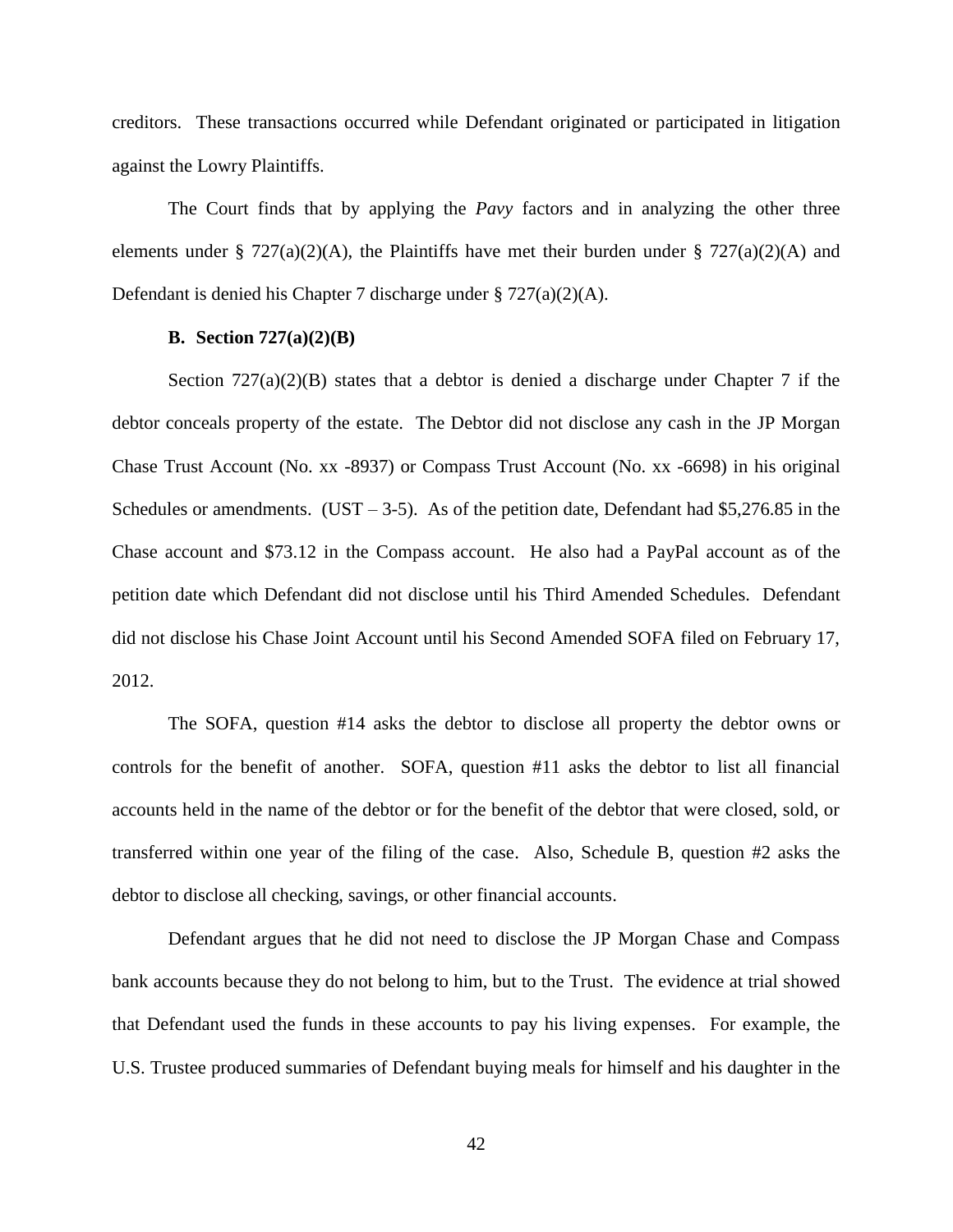creditors. These transactions occurred while Defendant originated or participated in litigation against the Lowry Plaintiffs.

The Court finds that by applying the *Pavy* factors and in analyzing the other three elements under § 727(a)(2)(A), the Plaintiffs have met their burden under § 727(a)(2)(A) and Defendant is denied his Chapter 7 discharge under § 727(a)(2)(A).

# **B. Section 727(a)(2)(B)**

Section  $727(a)(2)(B)$  states that a debtor is denied a discharge under Chapter 7 if the debtor conceals property of the estate. The Debtor did not disclose any cash in the JP Morgan Chase Trust Account (No. xx -8937) or Compass Trust Account (No. xx -6698) in his original Schedules or amendments. (UST – 3-5). As of the petition date, Defendant had \$5,276.85 in the Chase account and \$73.12 in the Compass account. He also had a PayPal account as of the petition date which Defendant did not disclose until his Third Amended Schedules. Defendant did not disclose his Chase Joint Account until his Second Amended SOFA filed on February 17, 2012.

The SOFA, question #14 asks the debtor to disclose all property the debtor owns or controls for the benefit of another. SOFA, question #11 asks the debtor to list all financial accounts held in the name of the debtor or for the benefit of the debtor that were closed, sold, or transferred within one year of the filing of the case. Also, Schedule B, question #2 asks the debtor to disclose all checking, savings, or other financial accounts.

Defendant argues that he did not need to disclose the JP Morgan Chase and Compass bank accounts because they do not belong to him, but to the Trust. The evidence at trial showed that Defendant used the funds in these accounts to pay his living expenses. For example, the U.S. Trustee produced summaries of Defendant buying meals for himself and his daughter in the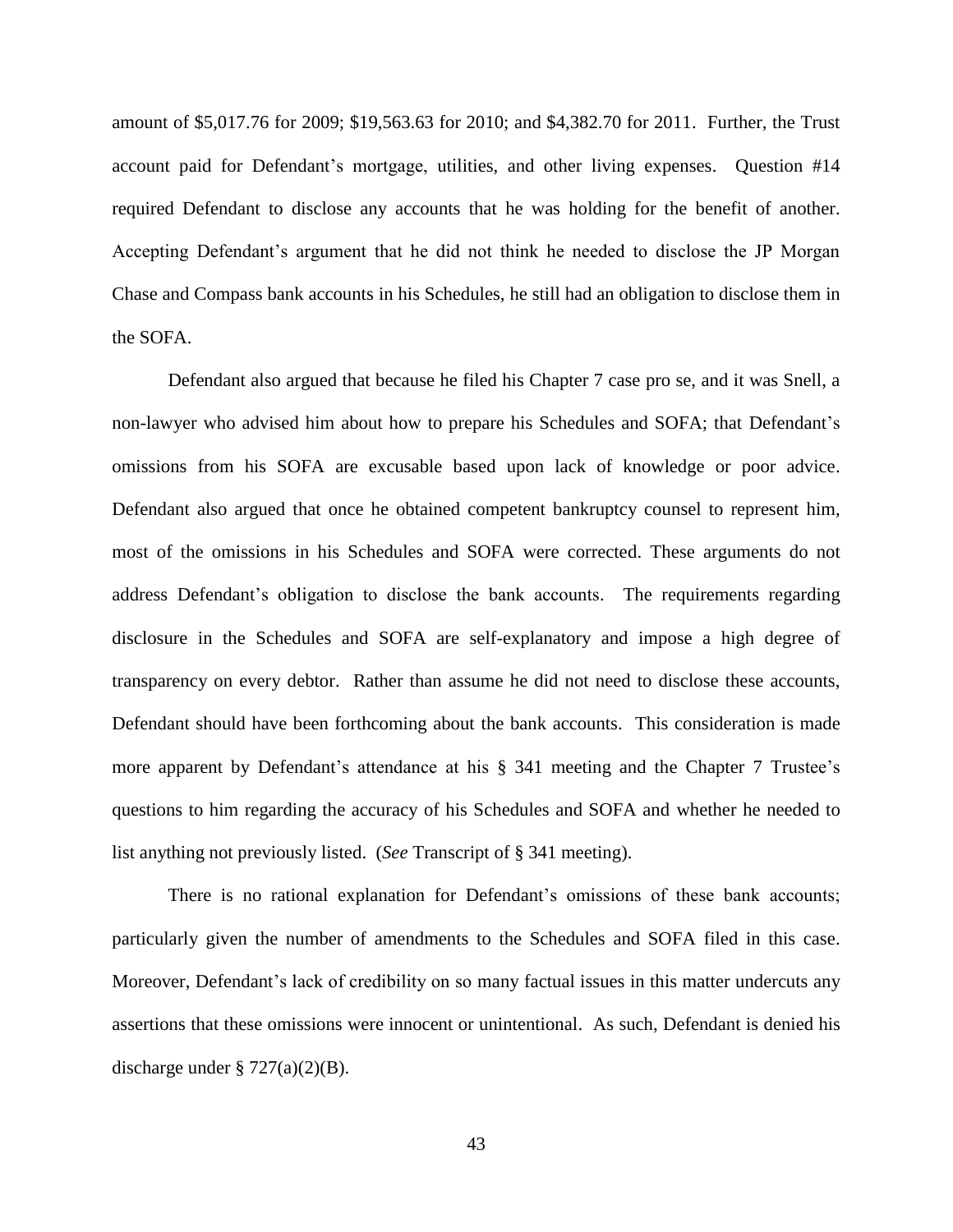amount of \$5,017.76 for 2009; \$19,563.63 for 2010; and \$4,382.70 for 2011. Further, the Trust account paid for Defendant's mortgage, utilities, and other living expenses. Question #14 required Defendant to disclose any accounts that he was holding for the benefit of another. Accepting Defendant's argument that he did not think he needed to disclose the JP Morgan Chase and Compass bank accounts in his Schedules, he still had an obligation to disclose them in the SOFA.

Defendant also argued that because he filed his Chapter 7 case pro se, and it was Snell, a non-lawyer who advised him about how to prepare his Schedules and SOFA; that Defendant's omissions from his SOFA are excusable based upon lack of knowledge or poor advice. Defendant also argued that once he obtained competent bankruptcy counsel to represent him, most of the omissions in his Schedules and SOFA were corrected. These arguments do not address Defendant's obligation to disclose the bank accounts. The requirements regarding disclosure in the Schedules and SOFA are self-explanatory and impose a high degree of transparency on every debtor. Rather than assume he did not need to disclose these accounts, Defendant should have been forthcoming about the bank accounts. This consideration is made more apparent by Defendant's attendance at his § 341 meeting and the Chapter 7 Trustee's questions to him regarding the accuracy of his Schedules and SOFA and whether he needed to list anything not previously listed. (*See* Transcript of § 341 meeting).

There is no rational explanation for Defendant's omissions of these bank accounts; particularly given the number of amendments to the Schedules and SOFA filed in this case. Moreover, Defendant's lack of credibility on so many factual issues in this matter undercuts any assertions that these omissions were innocent or unintentional. As such, Defendant is denied his discharge under  $\S 727(a)(2)(B)$ .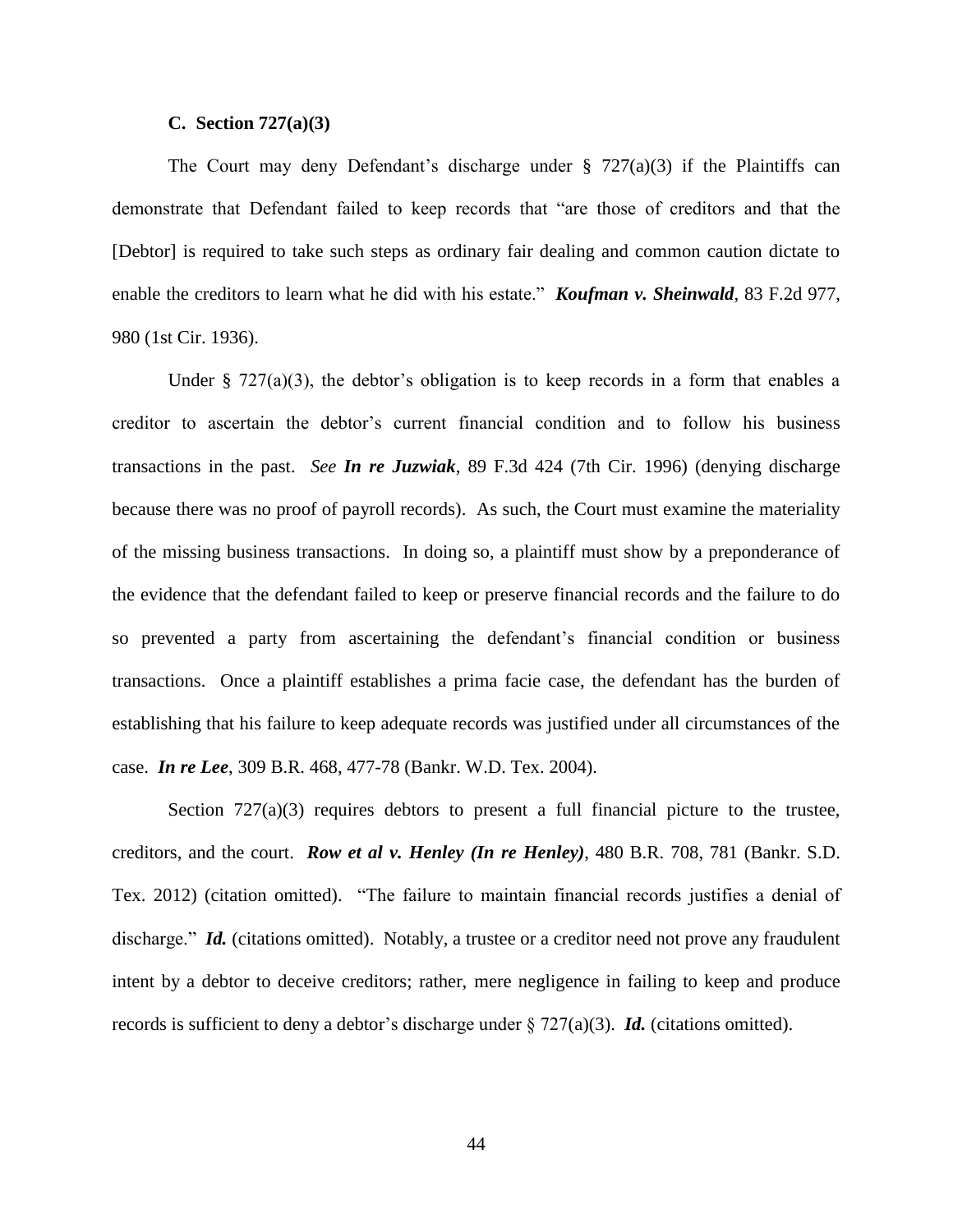#### **C. Section 727(a)(3)**

The Court may deny Defendant's discharge under  $\S$  727(a)(3) if the Plaintiffs can demonstrate that Defendant failed to keep records that "are those of creditors and that the [Debtor] is required to take such steps as ordinary fair dealing and common caution dictate to enable the creditors to learn what he did with his estate." *Koufman v. Sheinwald*, 83 F.2d 977, 980 (1st Cir. 1936).

Under § 727(a)(3), the debtor's obligation is to keep records in a form that enables a creditor to ascertain the debtor's current financial condition and to follow his business transactions in the past. *See In re Juzwiak*, 89 F.3d 424 (7th Cir. 1996) (denying discharge because there was no proof of payroll records). As such, the Court must examine the materiality of the missing business transactions. In doing so, a plaintiff must show by a preponderance of the evidence that the defendant failed to keep or preserve financial records and the failure to do so prevented a party from ascertaining the defendant's financial condition or business transactions. Once a plaintiff establishes a prima facie case, the defendant has the burden of establishing that his failure to keep adequate records was justified under all circumstances of the case. *In re Lee*, 309 B.R. 468, 477-78 (Bankr. W.D. Tex. 2004).

Section  $727(a)(3)$  requires debtors to present a full financial picture to the trustee, creditors, and the court. *Row et al v. Henley (In re Henley)*, 480 B.R. 708, 781 (Bankr. S.D. Tex. 2012) (citation omitted). "The failure to maintain financial records justifies a denial of discharge." *Id.* (citations omitted). Notably, a trustee or a creditor need not prove any fraudulent intent by a debtor to deceive creditors; rather, mere negligence in failing to keep and produce records is sufficient to deny a debtor's discharge under  $\S 727(a)(3)$ . *Id.* (citations omitted).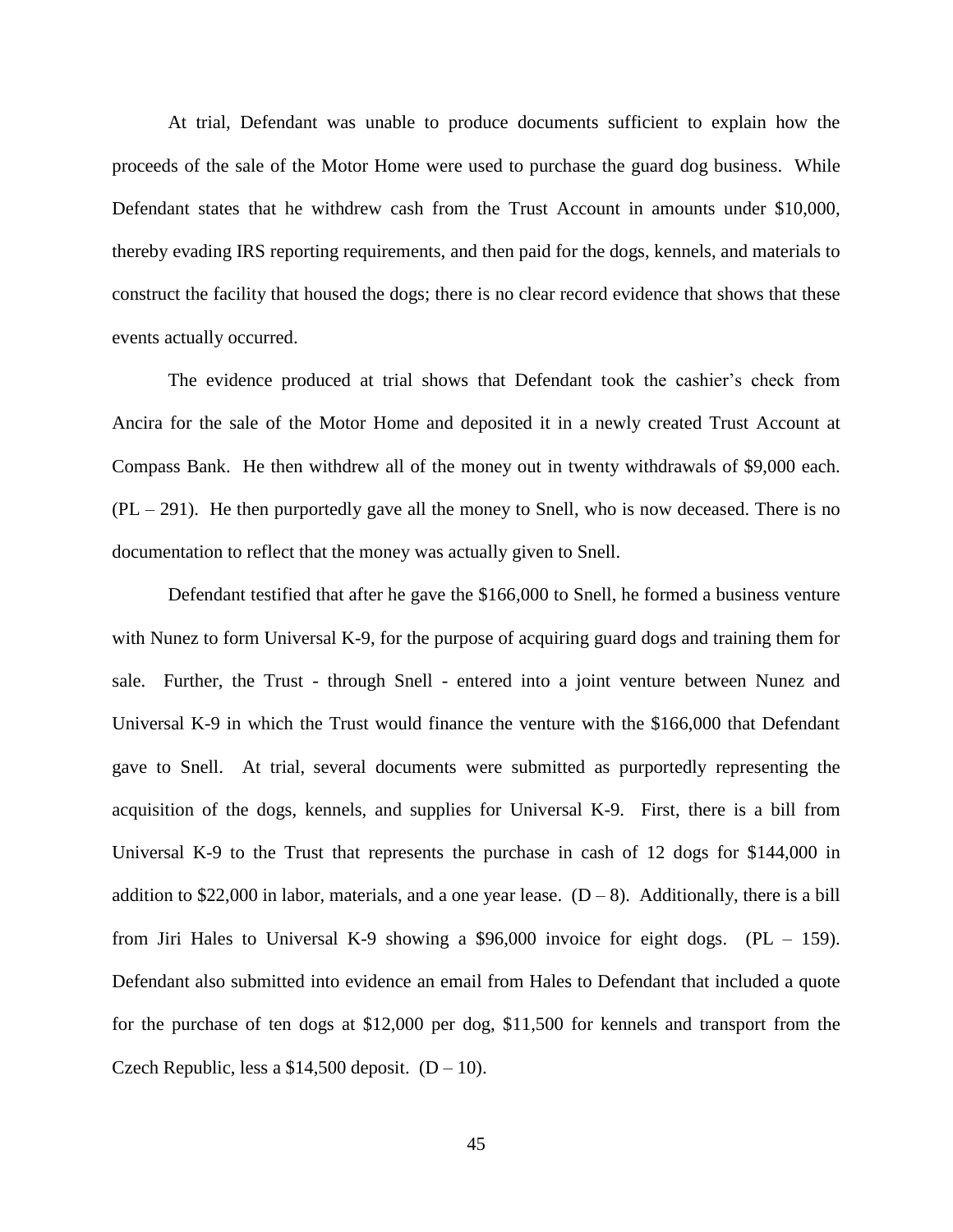At trial, Defendant was unable to produce documents sufficient to explain how the proceeds of the sale of the Motor Home were used to purchase the guard dog business. While Defendant states that he withdrew cash from the Trust Account in amounts under \$10,000, thereby evading IRS reporting requirements, and then paid for the dogs, kennels, and materials to construct the facility that housed the dogs; there is no clear record evidence that shows that these events actually occurred.

The evidence produced at trial shows that Defendant took the cashier's check from Ancira for the sale of the Motor Home and deposited it in a newly created Trust Account at Compass Bank. He then withdrew all of the money out in twenty withdrawals of \$9,000 each.  $(PL - 291)$ . He then purportedly gave all the money to Snell, who is now deceased. There is no documentation to reflect that the money was actually given to Snell.

Defendant testified that after he gave the \$166,000 to Snell, he formed a business venture with Nunez to form Universal K-9, for the purpose of acquiring guard dogs and training them for sale. Further, the Trust - through Snell - entered into a joint venture between Nunez and Universal K-9 in which the Trust would finance the venture with the \$166,000 that Defendant gave to Snell. At trial, several documents were submitted as purportedly representing the acquisition of the dogs, kennels, and supplies for Universal K-9. First, there is a bill from Universal K-9 to the Trust that represents the purchase in cash of 12 dogs for \$144,000 in addition to \$22,000 in labor, materials, and a one year lease.  $(D-8)$ . Additionally, there is a bill from Jiri Hales to Universal K-9 showing a \$96,000 invoice for eight dogs.  $(PL - 159)$ . Defendant also submitted into evidence an email from Hales to Defendant that included a quote for the purchase of ten dogs at \$12,000 per dog, \$11,500 for kennels and transport from the Czech Republic, less a \$14,500 deposit.  $(D - 10)$ .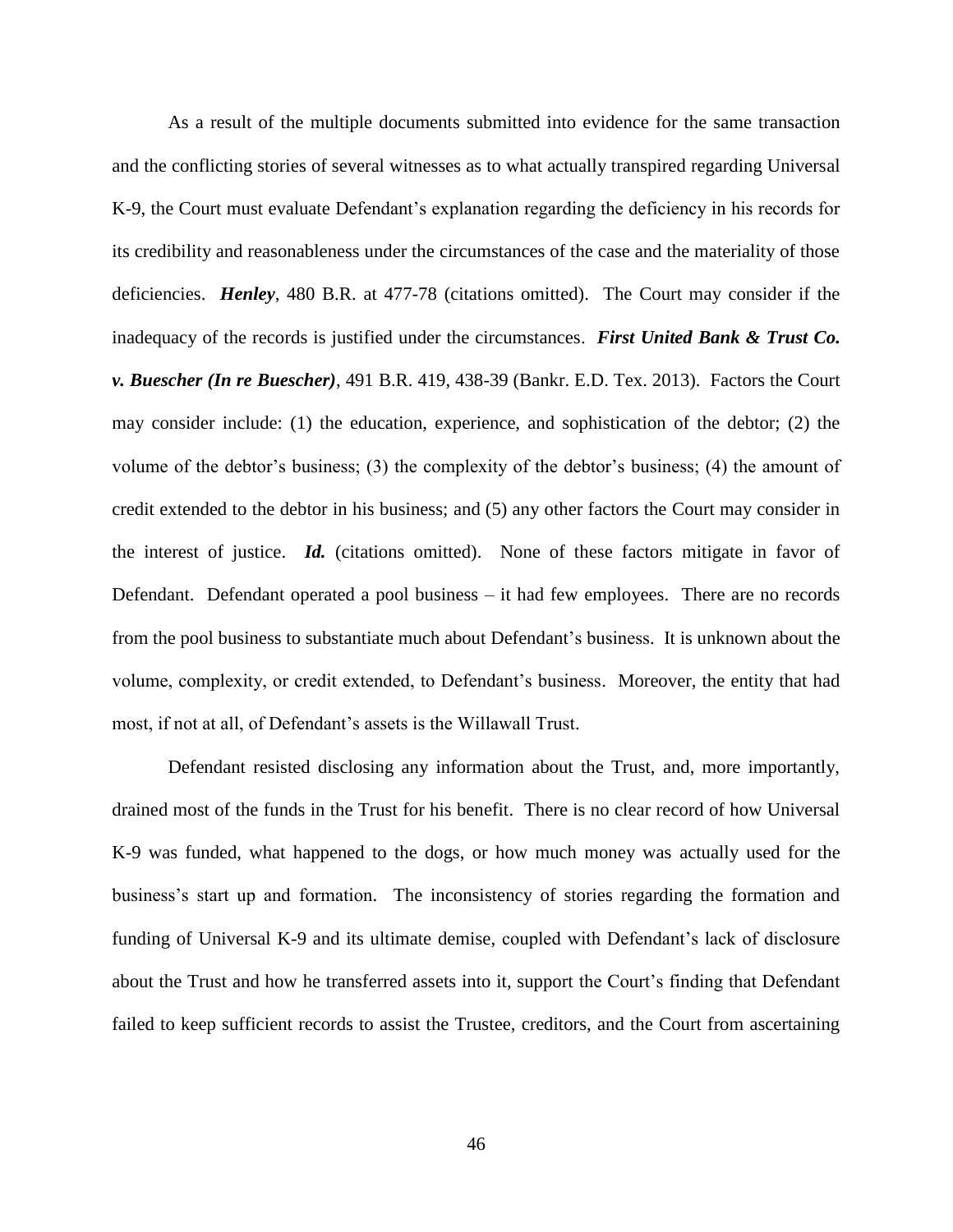As a result of the multiple documents submitted into evidence for the same transaction and the conflicting stories of several witnesses as to what actually transpired regarding Universal K-9, the Court must evaluate Defendant's explanation regarding the deficiency in his records for its credibility and reasonableness under the circumstances of the case and the materiality of those deficiencies. *Henley*, 480 B.R. at 477-78 (citations omitted). The Court may consider if the inadequacy of the records is justified under the circumstances. *First United Bank & Trust Co. v. Buescher (In re Buescher)*, 491 B.R. 419, 438-39 (Bankr. E.D. Tex. 2013). Factors the Court may consider include: (1) the education, experience, and sophistication of the debtor; (2) the volume of the debtor's business; (3) the complexity of the debtor's business; (4) the amount of credit extended to the debtor in his business; and (5) any other factors the Court may consider in the interest of justice. *Id.* (citations omitted). None of these factors mitigate in favor of Defendant. Defendant operated a pool business – it had few employees. There are no records from the pool business to substantiate much about Defendant's business. It is unknown about the volume, complexity, or credit extended, to Defendant's business. Moreover, the entity that had most, if not at all, of Defendant's assets is the Willawall Trust.

Defendant resisted disclosing any information about the Trust, and, more importantly, drained most of the funds in the Trust for his benefit. There is no clear record of how Universal K-9 was funded, what happened to the dogs, or how much money was actually used for the business's start up and formation. The inconsistency of stories regarding the formation and funding of Universal K-9 and its ultimate demise, coupled with Defendant's lack of disclosure about the Trust and how he transferred assets into it, support the Court's finding that Defendant failed to keep sufficient records to assist the Trustee, creditors, and the Court from ascertaining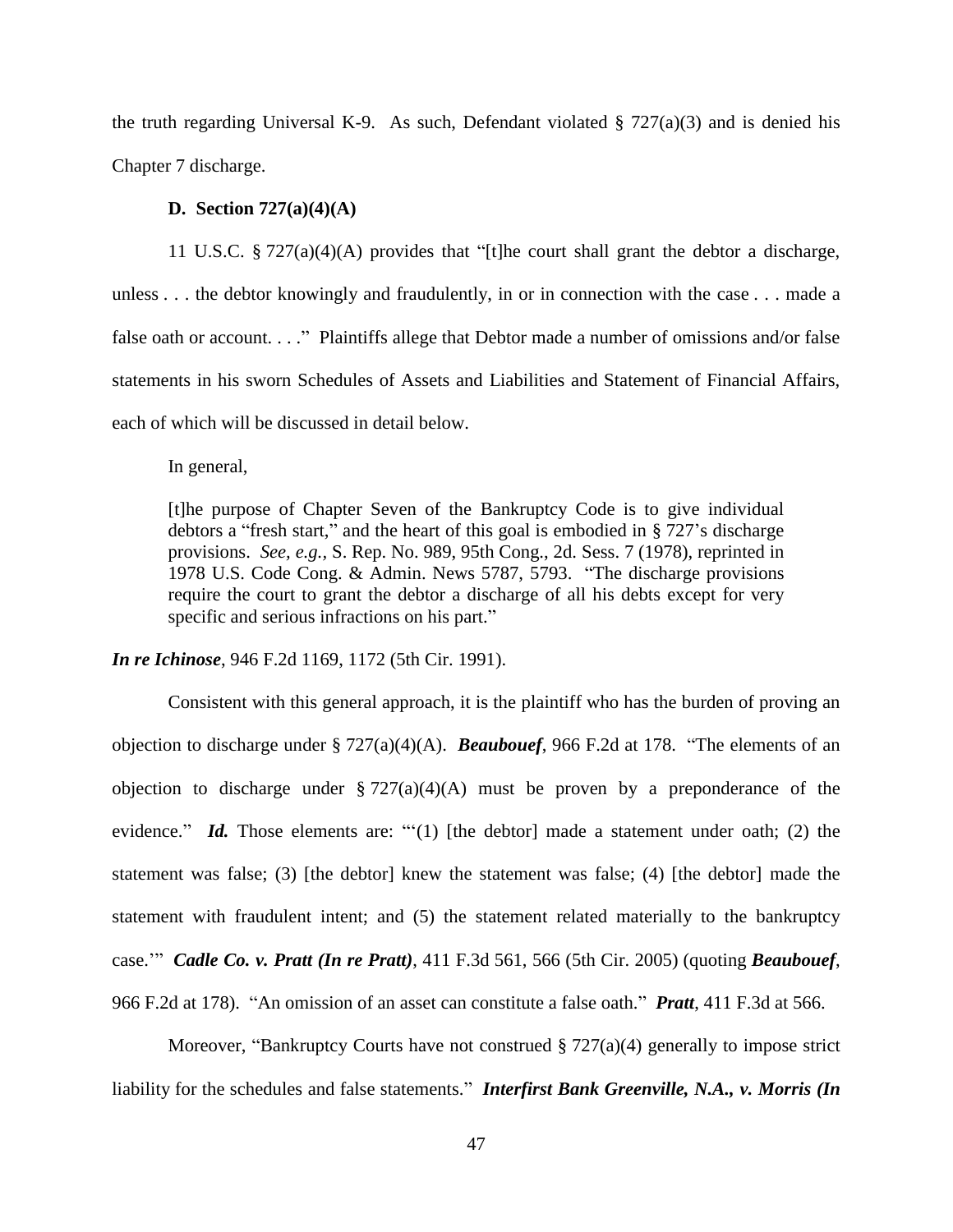the truth regarding Universal K-9. As such, Defendant violated  $\S 727(a)(3)$  and is denied his Chapter 7 discharge.

# **D. Section 727(a)(4)(A)**

11 U.S.C. § 727(a)(4)(A) provides that "[t]he court shall grant the debtor a discharge, unless . . . the debtor knowingly and fraudulently, in or in connection with the case . . . made a false oath or account. . . ." Plaintiffs allege that Debtor made a number of omissions and/or false statements in his sworn Schedules of Assets and Liabilities and Statement of Financial Affairs, each of which will be discussed in detail below.

In general,

[t]he purpose of Chapter Seven of the Bankruptcy Code is to give individual debtors a "fresh start," and the heart of this goal is embodied in § 727's discharge provisions. *See, e.g.,* S. Rep. No. 989, 95th Cong., 2d. Sess. 7 (1978), reprinted in 1978 U.S. Code Cong. & Admin. News 5787, 5793. "The discharge provisions require the court to grant the debtor a discharge of all his debts except for very specific and serious infractions on his part."

*In re Ichinose*, 946 F.2d 1169, 1172 (5th Cir. 1991).

Consistent with this general approach, it is the plaintiff who has the burden of proving an objection to discharge under § 727(a)(4)(A). *Beaubouef*, 966 F.2d at 178. "The elements of an objection to discharge under  $\S 727(a)(4)(A)$  must be proven by a preponderance of the evidence." *Id.* Those elements are: ""(1) [the debtor] made a statement under oath; (2) the statement was false; (3) [the debtor] knew the statement was false; (4) [the debtor] made the statement with fraudulent intent; and (5) the statement related materially to the bankruptcy case.'" *Cadle Co. v. Pratt (In re Pratt)*, 411 F.3d 561, 566 (5th Cir. 2005) (quoting *Beaubouef*, 966 F.2d at 178). "An omission of an asset can constitute a false oath." *Pratt*, 411 F.3d at 566.

Moreover, "Bankruptcy Courts have not construed  $\S 727(a)(4)$  generally to impose strict liability for the schedules and false statements." *Interfirst Bank Greenville, N.A., v. Morris (In*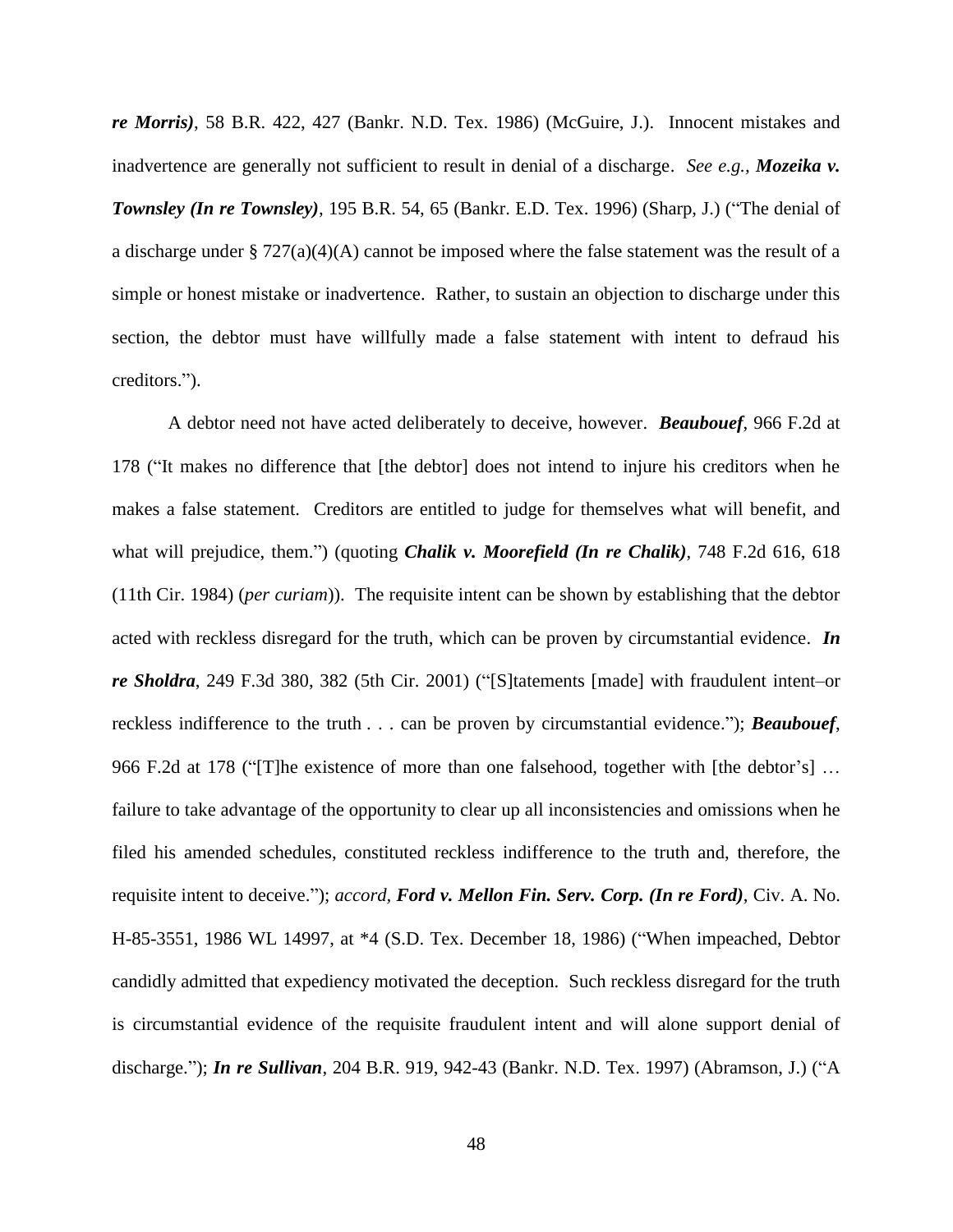*re Morris)*, 58 B.R. 422, 427 (Bankr. N.D. Tex. 1986) (McGuire, J.). Innocent mistakes and inadvertence are generally not sufficient to result in denial of a discharge. *See e.g., Mozeika v. Townsley (In re Townsley)*, 195 B.R. 54, 65 (Bankr. E.D. Tex. 1996) (Sharp, J.) ("The denial of a discharge under § 727(a)(4)(A) cannot be imposed where the false statement was the result of a simple or honest mistake or inadvertence. Rather, to sustain an objection to discharge under this section, the debtor must have willfully made a false statement with intent to defraud his creditors.").

A debtor need not have acted deliberately to deceive, however. *Beaubouef*, 966 F.2d at 178 ("It makes no difference that [the debtor] does not intend to injure his creditors when he makes a false statement. Creditors are entitled to judge for themselves what will benefit, and what will prejudice, them.") (quoting *Chalik v. Moorefield (In re Chalik)*, 748 F.2d 616, 618 (11th Cir. 1984) (*per curiam*)). The requisite intent can be shown by establishing that the debtor acted with reckless disregard for the truth, which can be proven by circumstantial evidence. *In re Sholdra*, 249 F.3d 380, 382 (5th Cir. 2001) ("[S]tatements [made] with fraudulent intent–or reckless indifference to the truth . . . can be proven by circumstantial evidence."); *Beaubouef*, 966 F.2d at 178 ("The existence of more than one falsehood, together with [the debtor's] ... failure to take advantage of the opportunity to clear up all inconsistencies and omissions when he filed his amended schedules, constituted reckless indifference to the truth and, therefore, the requisite intent to deceive."); *accord, Ford v. Mellon Fin. Serv. Corp. (In re Ford)*, Civ. A. No. H-85-3551, 1986 WL 14997, at \*4 (S.D. Tex. December 18, 1986) ("When impeached, Debtor candidly admitted that expediency motivated the deception. Such reckless disregard for the truth is circumstantial evidence of the requisite fraudulent intent and will alone support denial of discharge."); *In re Sullivan*, 204 B.R. 919, 942-43 (Bankr. N.D. Tex. 1997) (Abramson, J.) ("A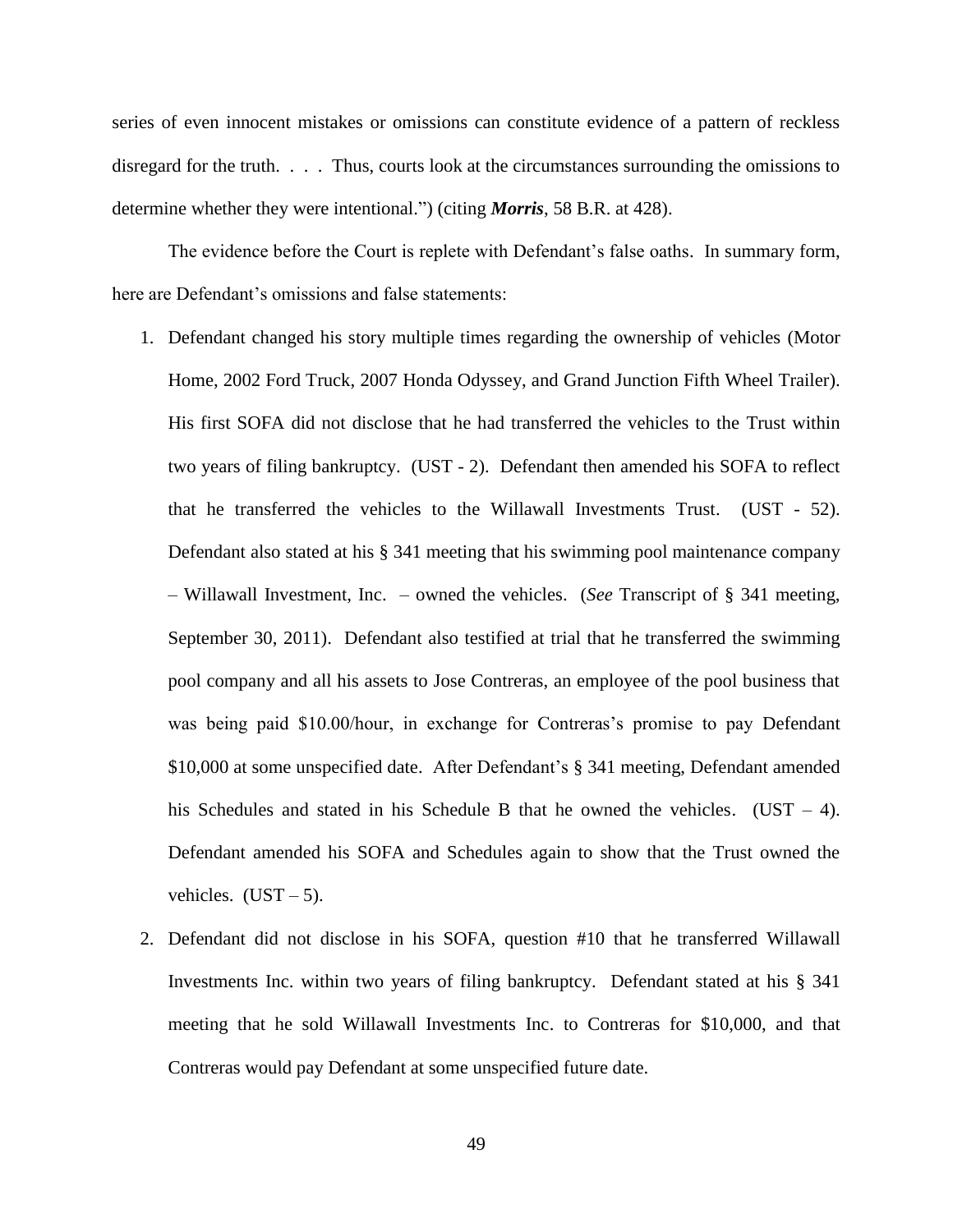series of even innocent mistakes or omissions can constitute evidence of a pattern of reckless disregard for the truth. . . . Thus, courts look at the circumstances surrounding the omissions to determine whether they were intentional.") (citing *Morris*, 58 B.R. at 428).

The evidence before the Court is replete with Defendant's false oaths. In summary form, here are Defendant's omissions and false statements:

- 1. Defendant changed his story multiple times regarding the ownership of vehicles (Motor Home, 2002 Ford Truck, 2007 Honda Odyssey, and Grand Junction Fifth Wheel Trailer). His first SOFA did not disclose that he had transferred the vehicles to the Trust within two years of filing bankruptcy. (UST - 2). Defendant then amended his SOFA to reflect that he transferred the vehicles to the Willawall Investments Trust. (UST - 52). Defendant also stated at his § 341 meeting that his swimming pool maintenance company – Willawall Investment, Inc. – owned the vehicles. (*See* Transcript of § 341 meeting, September 30, 2011). Defendant also testified at trial that he transferred the swimming pool company and all his assets to Jose Contreras, an employee of the pool business that was being paid \$10.00/hour, in exchange for Contreras's promise to pay Defendant \$10,000 at some unspecified date. After Defendant's § 341 meeting, Defendant amended his Schedules and stated in his Schedule B that he owned the vehicles.  $(UST - 4)$ . Defendant amended his SOFA and Schedules again to show that the Trust owned the vehicles.  $(UST-5)$ .
- 2. Defendant did not disclose in his SOFA, question #10 that he transferred Willawall Investments Inc. within two years of filing bankruptcy. Defendant stated at his § 341 meeting that he sold Willawall Investments Inc. to Contreras for \$10,000, and that Contreras would pay Defendant at some unspecified future date.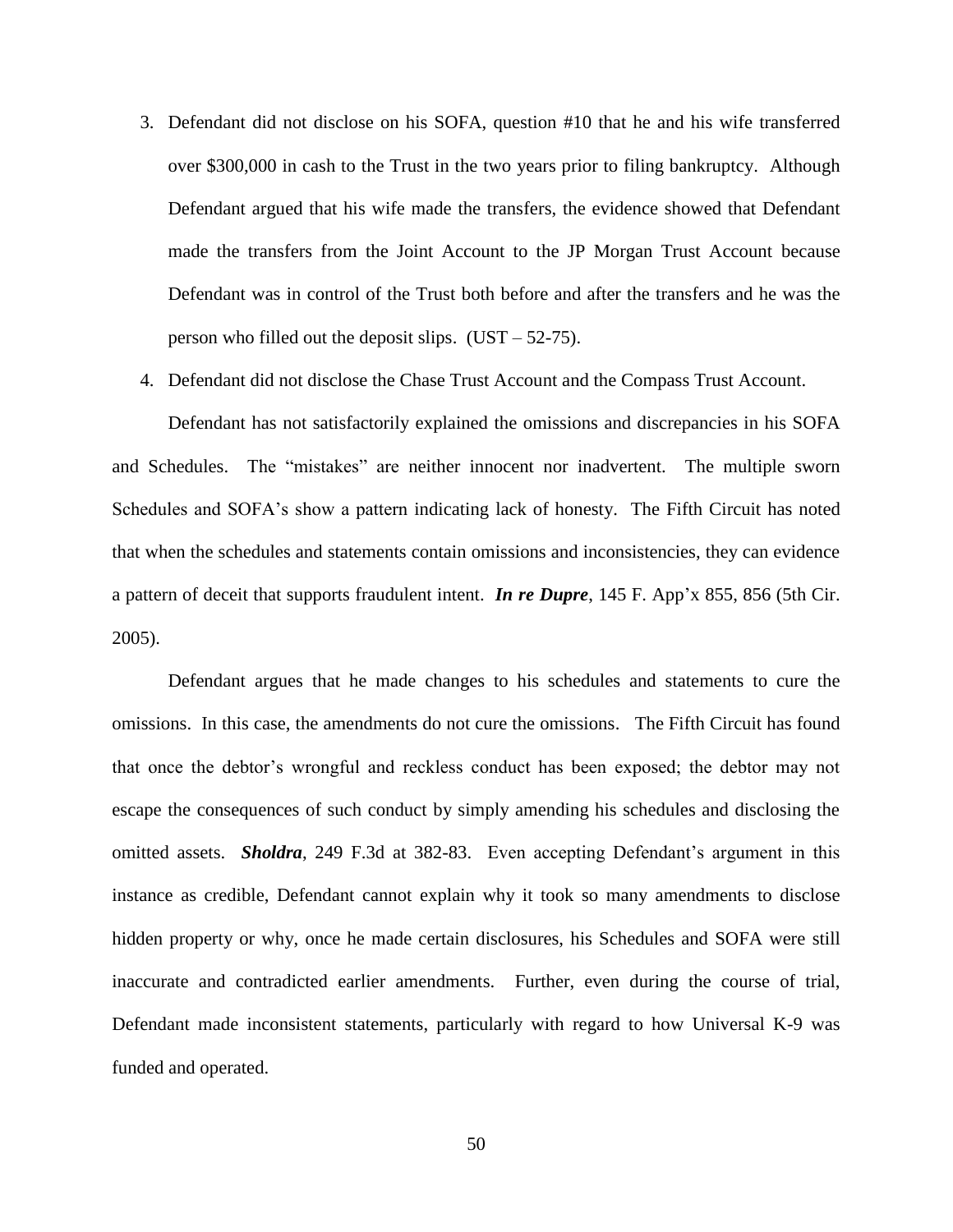- 3. Defendant did not disclose on his SOFA, question #10 that he and his wife transferred over \$300,000 in cash to the Trust in the two years prior to filing bankruptcy. Although Defendant argued that his wife made the transfers, the evidence showed that Defendant made the transfers from the Joint Account to the JP Morgan Trust Account because Defendant was in control of the Trust both before and after the transfers and he was the person who filled out the deposit slips.  $(UST - 52-75)$ .
- 4. Defendant did not disclose the Chase Trust Account and the Compass Trust Account.

Defendant has not satisfactorily explained the omissions and discrepancies in his SOFA and Schedules. The "mistakes" are neither innocent nor inadvertent. The multiple sworn Schedules and SOFA's show a pattern indicating lack of honesty. The Fifth Circuit has noted that when the schedules and statements contain omissions and inconsistencies, they can evidence a pattern of deceit that supports fraudulent intent. *In re Dupre*, 145 F. App'x 855, 856 (5th Cir. 2005).

Defendant argues that he made changes to his schedules and statements to cure the omissions. In this case, the amendments do not cure the omissions. The Fifth Circuit has found that once the debtor's wrongful and reckless conduct has been exposed; the debtor may not escape the consequences of such conduct by simply amending his schedules and disclosing the omitted assets. *Sholdra*, 249 F.3d at 382-83. Even accepting Defendant's argument in this instance as credible, Defendant cannot explain why it took so many amendments to disclose hidden property or why, once he made certain disclosures, his Schedules and SOFA were still inaccurate and contradicted earlier amendments. Further, even during the course of trial, Defendant made inconsistent statements, particularly with regard to how Universal K-9 was funded and operated.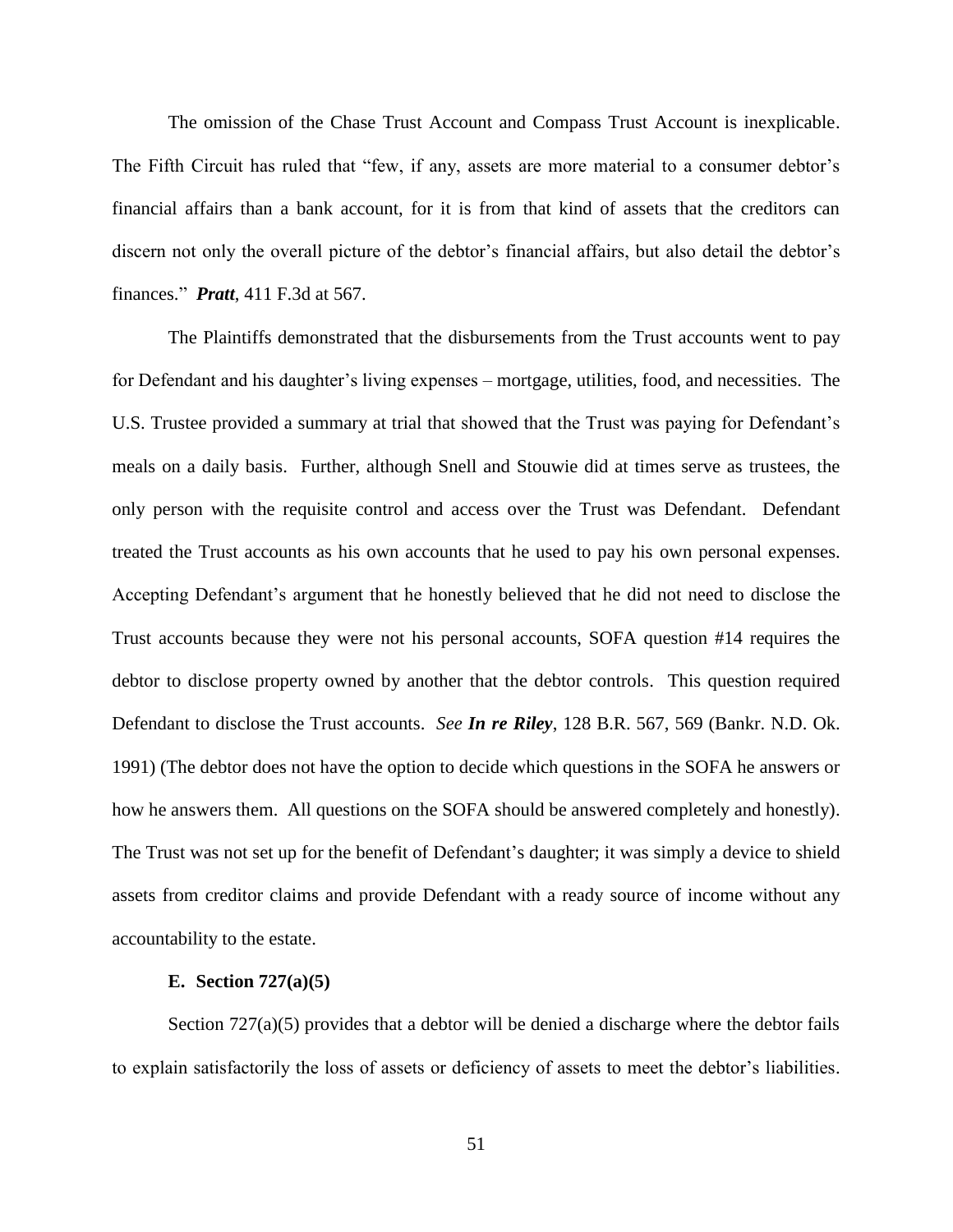The omission of the Chase Trust Account and Compass Trust Account is inexplicable. The Fifth Circuit has ruled that "few, if any, assets are more material to a consumer debtor's financial affairs than a bank account, for it is from that kind of assets that the creditors can discern not only the overall picture of the debtor's financial affairs, but also detail the debtor's finances." *Pratt*, 411 F.3d at 567.

The Plaintiffs demonstrated that the disbursements from the Trust accounts went to pay for Defendant and his daughter's living expenses – mortgage, utilities, food, and necessities. The U.S. Trustee provided a summary at trial that showed that the Trust was paying for Defendant's meals on a daily basis. Further, although Snell and Stouwie did at times serve as trustees, the only person with the requisite control and access over the Trust was Defendant. Defendant treated the Trust accounts as his own accounts that he used to pay his own personal expenses. Accepting Defendant's argument that he honestly believed that he did not need to disclose the Trust accounts because they were not his personal accounts, SOFA question #14 requires the debtor to disclose property owned by another that the debtor controls. This question required Defendant to disclose the Trust accounts. *See In re Riley*, 128 B.R. 567, 569 (Bankr. N.D. Ok. 1991) (The debtor does not have the option to decide which questions in the SOFA he answers or how he answers them. All questions on the SOFA should be answered completely and honestly). The Trust was not set up for the benefit of Defendant's daughter; it was simply a device to shield assets from creditor claims and provide Defendant with a ready source of income without any accountability to the estate.

### **E. Section 727(a)(5)**

Section 727(a)(5) provides that a debtor will be denied a discharge where the debtor fails to explain satisfactorily the loss of assets or deficiency of assets to meet the debtor's liabilities.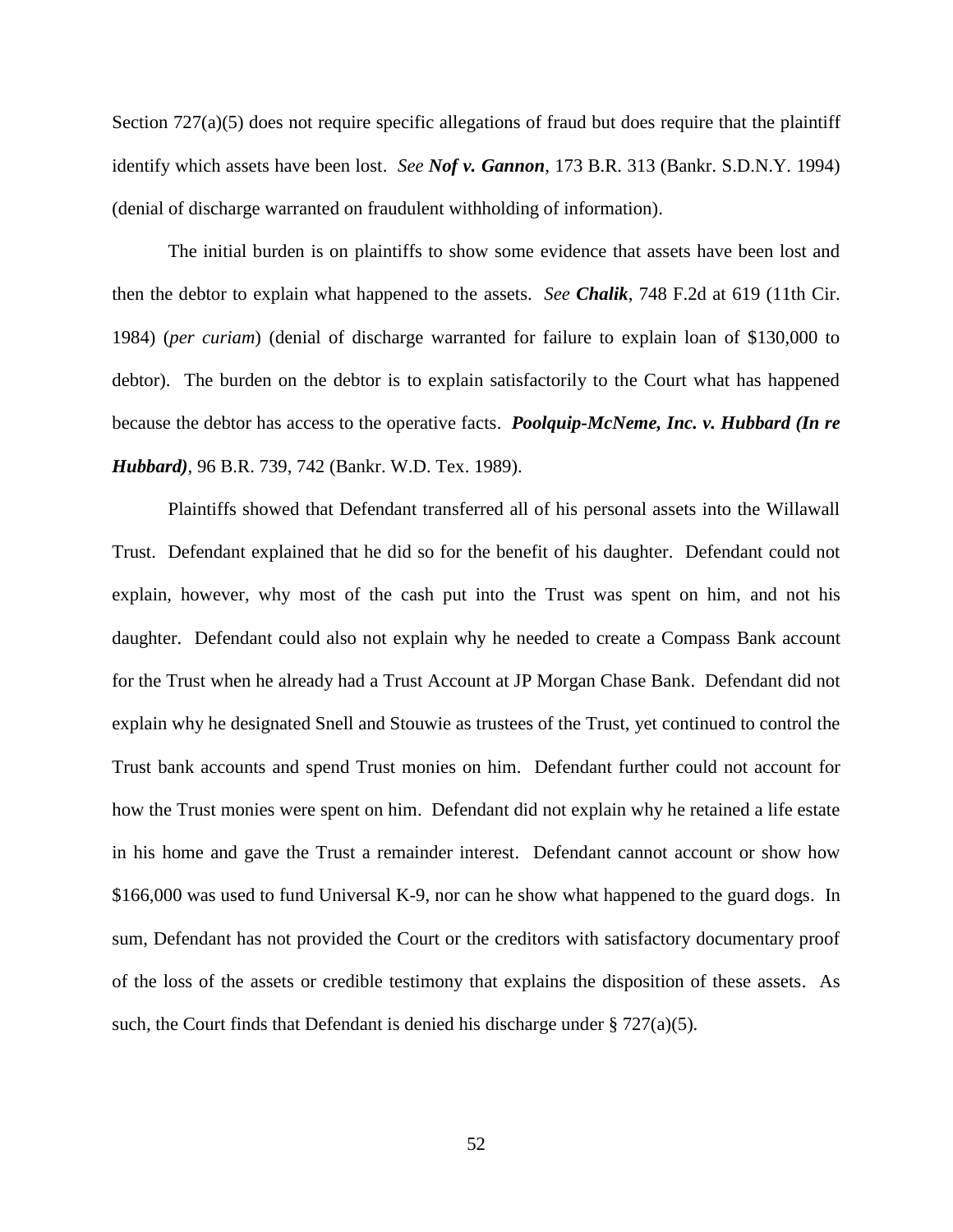Section 727(a)(5) does not require specific allegations of fraud but does require that the plaintiff identify which assets have been lost. *See Nof v. Gannon*, 173 B.R. 313 (Bankr. S.D.N.Y. 1994) (denial of discharge warranted on fraudulent withholding of information).

The initial burden is on plaintiffs to show some evidence that assets have been lost and then the debtor to explain what happened to the assets. *See Chalik*, 748 F.2d at 619 (11th Cir. 1984) (*per curiam*) (denial of discharge warranted for failure to explain loan of \$130,000 to debtor). The burden on the debtor is to explain satisfactorily to the Court what has happened because the debtor has access to the operative facts. *Poolquip-McNeme, Inc. v. Hubbard (In re Hubbard)*, 96 B.R. 739, 742 (Bankr. W.D. Tex. 1989).

Plaintiffs showed that Defendant transferred all of his personal assets into the Willawall Trust. Defendant explained that he did so for the benefit of his daughter. Defendant could not explain, however, why most of the cash put into the Trust was spent on him, and not his daughter. Defendant could also not explain why he needed to create a Compass Bank account for the Trust when he already had a Trust Account at JP Morgan Chase Bank. Defendant did not explain why he designated Snell and Stouwie as trustees of the Trust, yet continued to control the Trust bank accounts and spend Trust monies on him. Defendant further could not account for how the Trust monies were spent on him. Defendant did not explain why he retained a life estate in his home and gave the Trust a remainder interest. Defendant cannot account or show how \$166,000 was used to fund Universal K-9, nor can he show what happened to the guard dogs. In sum, Defendant has not provided the Court or the creditors with satisfactory documentary proof of the loss of the assets or credible testimony that explains the disposition of these assets. As such, the Court finds that Defendant is denied his discharge under  $\S 727(a)(5)$ .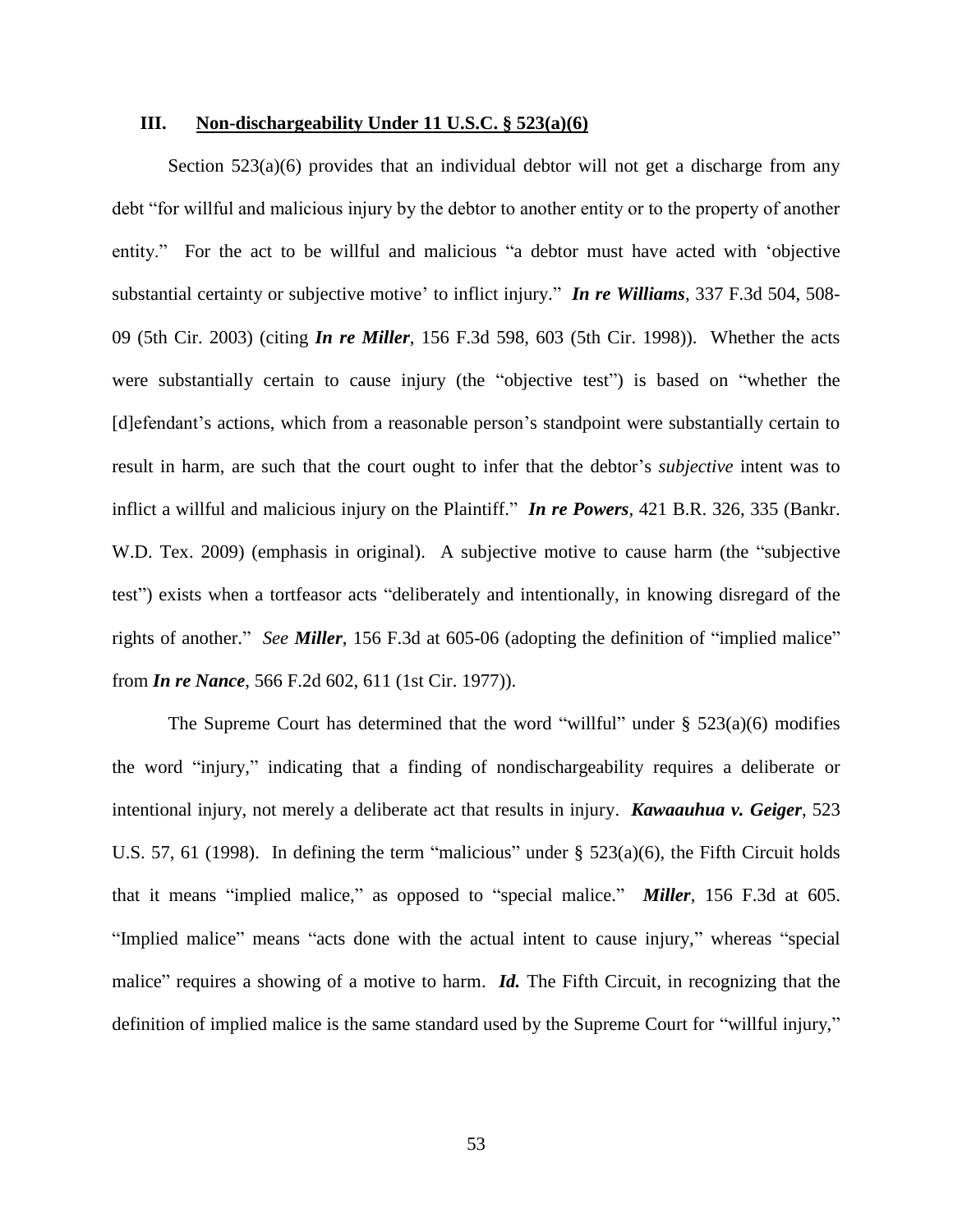## **III. Non-dischargeability Under 11 U.S.C. § 523(a)(6)**

Section  $523(a)(6)$  provides that an individual debtor will not get a discharge from any debt "for willful and malicious injury by the debtor to another entity or to the property of another entity." For the act to be willful and malicious "a debtor must have acted with 'objective substantial certainty or subjective motive' to inflict injury." *In re Williams*, 337 F.3d 504, 508- 09 (5th Cir. 2003) (citing *In re Miller*, 156 F.3d 598, 603 (5th Cir. 1998)). Whether the acts were substantially certain to cause injury (the "objective test") is based on "whether the [d]efendant's actions, which from a reasonable person's standpoint were substantially certain to result in harm, are such that the court ought to infer that the debtor's *subjective* intent was to inflict a willful and malicious injury on the Plaintiff." *In re Powers*, 421 B.R. 326, 335 (Bankr. W.D. Tex. 2009) (emphasis in original). A subjective motive to cause harm (the "subjective test") exists when a tortfeasor acts "deliberately and intentionally, in knowing disregard of the rights of another." *See Miller*, 156 F.3d at 605-06 (adopting the definition of "implied malice" from *In re Nance*, 566 F.2d 602, 611 (1st Cir. 1977)).

The Supreme Court has determined that the word "willful" under  $\S$  523(a)(6) modifies the word "injury," indicating that a finding of nondischargeability requires a deliberate or intentional injury, not merely a deliberate act that results in injury. *Kawaauhua v. Geiger*, 523 U.S. 57, 61 (1998). In defining the term "malicious" under § 523(a)(6), the Fifth Circuit holds that it means "implied malice," as opposed to "special malice." *Miller*, 156 F.3d at 605. "Implied malice" means "acts done with the actual intent to cause injury," whereas "special malice" requires a showing of a motive to harm. *Id.* The Fifth Circuit, in recognizing that the definition of implied malice is the same standard used by the Supreme Court for "willful injury,"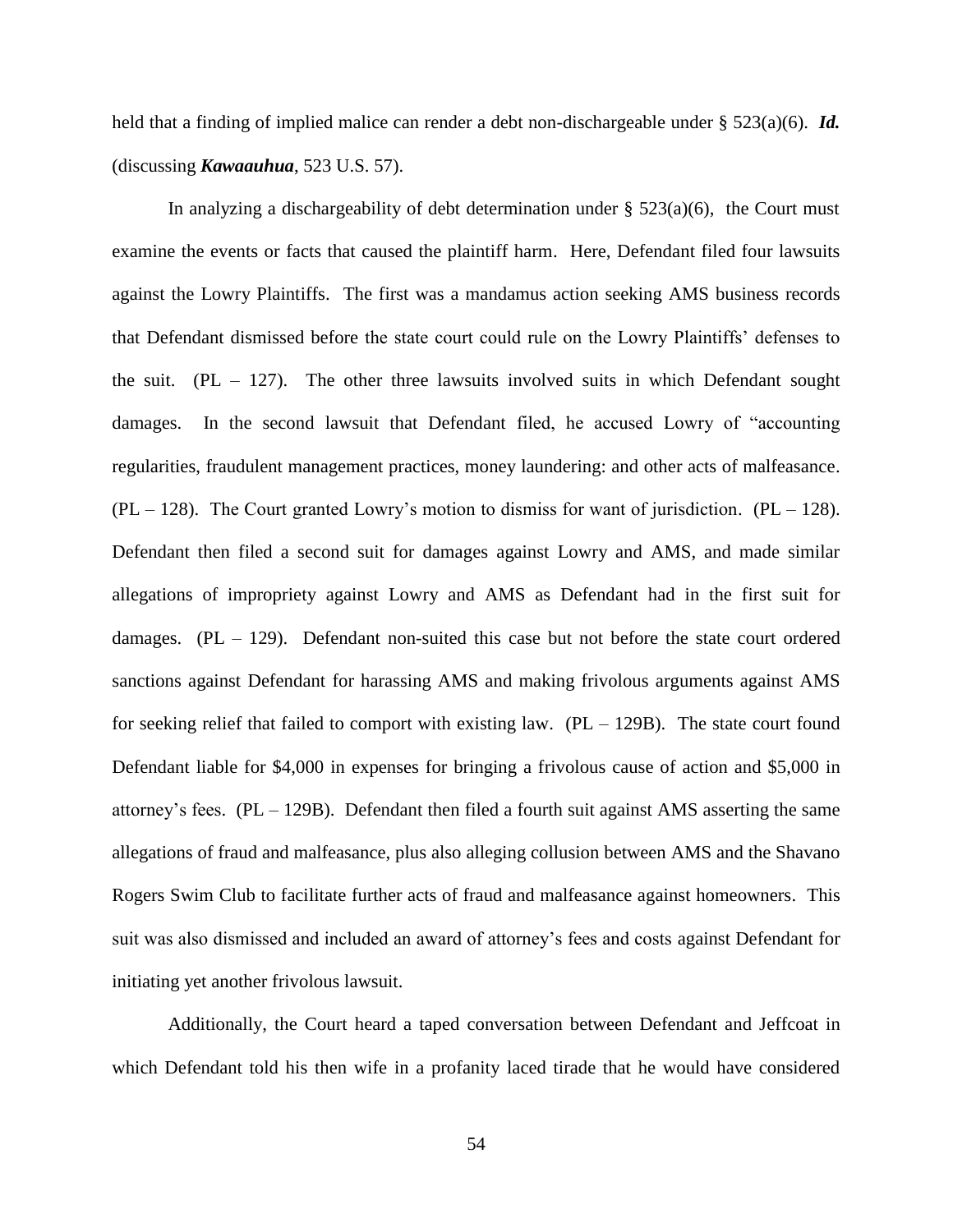held that a finding of implied malice can render a debt non-dischargeable under § 523(a)(6). *Id.* (discussing *Kawaauhua*, 523 U.S. 57).

In analyzing a dischargeability of debt determination under  $\S$  523(a)(6), the Court must examine the events or facts that caused the plaintiff harm. Here, Defendant filed four lawsuits against the Lowry Plaintiffs. The first was a mandamus action seeking AMS business records that Defendant dismissed before the state court could rule on the Lowry Plaintiffs' defenses to the suit.  $(PL - 127)$ . The other three lawsuits involved suits in which Defendant sought damages. In the second lawsuit that Defendant filed, he accused Lowry of "accounting regularities, fraudulent management practices, money laundering: and other acts of malfeasance.  $(PL - 128)$ . The Court granted Lowry's motion to dismiss for want of jurisdiction.  $(PL - 128)$ . Defendant then filed a second suit for damages against Lowry and AMS, and made similar allegations of impropriety against Lowry and AMS as Defendant had in the first suit for damages.  $(PL - 129)$ . Defendant non-suited this case but not before the state court ordered sanctions against Defendant for harassing AMS and making frivolous arguments against AMS for seeking relief that failed to comport with existing law.  $(PL - 129B)$ . The state court found Defendant liable for \$4,000 in expenses for bringing a frivolous cause of action and \$5,000 in attorney's fees.  $(PL - 129B)$ . Defendant then filed a fourth suit against AMS asserting the same allegations of fraud and malfeasance, plus also alleging collusion between AMS and the Shavano Rogers Swim Club to facilitate further acts of fraud and malfeasance against homeowners. This suit was also dismissed and included an award of attorney's fees and costs against Defendant for initiating yet another frivolous lawsuit.

Additionally, the Court heard a taped conversation between Defendant and Jeffcoat in which Defendant told his then wife in a profanity laced tirade that he would have considered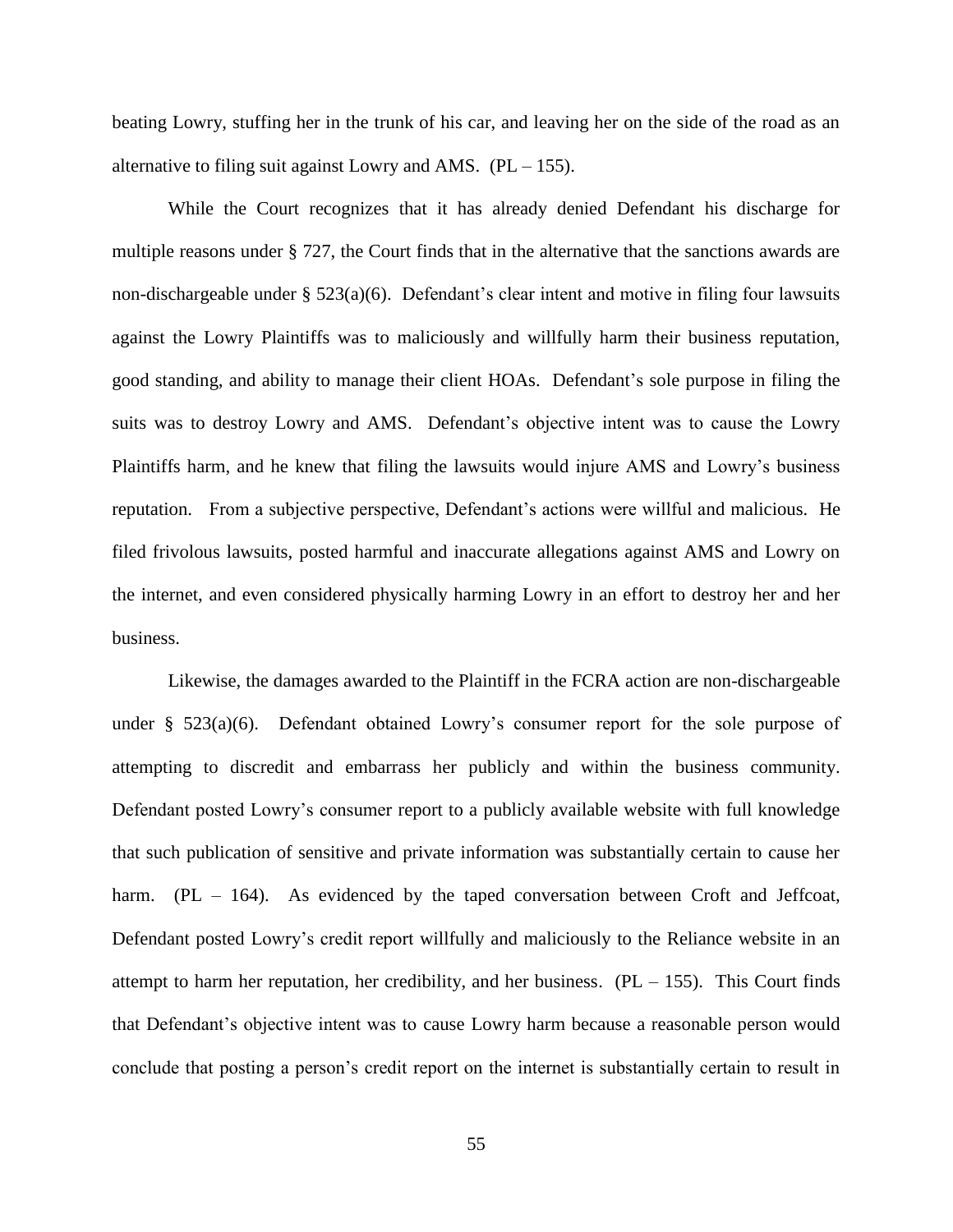beating Lowry, stuffing her in the trunk of his car, and leaving her on the side of the road as an alternative to filing suit against Lowry and AMS.  $(PL - 155)$ .

While the Court recognizes that it has already denied Defendant his discharge for multiple reasons under § 727, the Court finds that in the alternative that the sanctions awards are non-dischargeable under § 523(a)(6). Defendant's clear intent and motive in filing four lawsuits against the Lowry Plaintiffs was to maliciously and willfully harm their business reputation, good standing, and ability to manage their client HOAs. Defendant's sole purpose in filing the suits was to destroy Lowry and AMS. Defendant's objective intent was to cause the Lowry Plaintiffs harm, and he knew that filing the lawsuits would injure AMS and Lowry's business reputation. From a subjective perspective, Defendant's actions were willful and malicious. He filed frivolous lawsuits, posted harmful and inaccurate allegations against AMS and Lowry on the internet, and even considered physically harming Lowry in an effort to destroy her and her business.

Likewise, the damages awarded to the Plaintiff in the FCRA action are non-dischargeable under § 523(a)(6). Defendant obtained Lowry's consumer report for the sole purpose of attempting to discredit and embarrass her publicly and within the business community. Defendant posted Lowry's consumer report to a publicly available website with full knowledge that such publication of sensitive and private information was substantially certain to cause her harm.  $(PL - 164)$ . As evidenced by the taped conversation between Croft and Jeffcoat, Defendant posted Lowry's credit report willfully and maliciously to the Reliance website in an attempt to harm her reputation, her credibility, and her business.  $(PL - 155)$ . This Court finds that Defendant's objective intent was to cause Lowry harm because a reasonable person would conclude that posting a person's credit report on the internet is substantially certain to result in